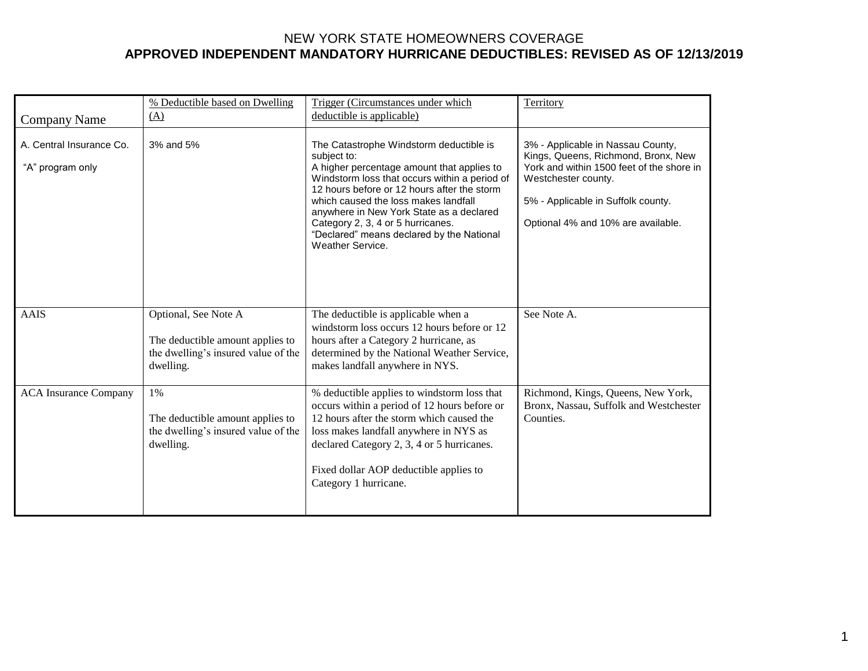| <b>Company Name</b>                          | % Deductible based on Dwelling<br>(A)                                                                        | Trigger (Circumstances under which<br>deductible is applicable)                                                                                                                                                                                                                                                                                                                                       | <b>Territory</b>                                                                                                                                                                                                         |
|----------------------------------------------|--------------------------------------------------------------------------------------------------------------|-------------------------------------------------------------------------------------------------------------------------------------------------------------------------------------------------------------------------------------------------------------------------------------------------------------------------------------------------------------------------------------------------------|--------------------------------------------------------------------------------------------------------------------------------------------------------------------------------------------------------------------------|
| A. Central Insurance Co.<br>"A" program only | 3% and 5%                                                                                                    | The Catastrophe Windstorm deductible is<br>subject to:<br>A higher percentage amount that applies to<br>Windstorm loss that occurs within a period of<br>12 hours before or 12 hours after the storm<br>which caused the loss makes landfall<br>anywhere in New York State as a declared<br>Category 2, 3, 4 or 5 hurricanes.<br>"Declared" means declared by the National<br><b>Weather Service.</b> | 3% - Applicable in Nassau County,<br>Kings, Queens, Richmond, Bronx, New<br>York and within 1500 feet of the shore in<br>Westchester county.<br>5% - Applicable in Suffolk county.<br>Optional 4% and 10% are available. |
| <b>AAIS</b>                                  | Optional, See Note A<br>The deductible amount applies to<br>the dwelling's insured value of the<br>dwelling. | The deductible is applicable when a<br>windstorm loss occurs 12 hours before or 12<br>hours after a Category 2 hurricane, as<br>determined by the National Weather Service,<br>makes landfall anywhere in NYS.                                                                                                                                                                                        | See Note A.                                                                                                                                                                                                              |
| <b>ACA</b> Insurance Company                 | 1%<br>The deductible amount applies to<br>the dwelling's insured value of the<br>dwelling.                   | % deductible applies to windstorm loss that<br>occurs within a period of 12 hours before or<br>12 hours after the storm which caused the<br>loss makes landfall anywhere in NYS as<br>declared Category 2, 3, 4 or 5 hurricanes.<br>Fixed dollar AOP deductible applies to<br>Category 1 hurricane.                                                                                                   | Richmond, Kings, Queens, New York,<br>Bronx, Nassau, Suffolk and Westchester<br>Counties.                                                                                                                                |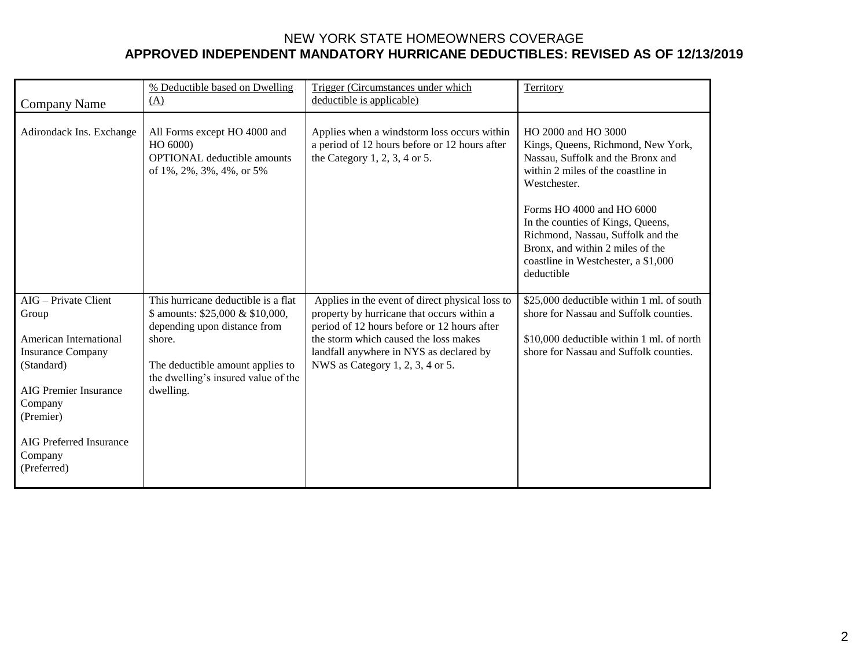| <b>Company Name</b>                                                                                                                                                                                            | % Deductible based on Dwelling<br>(A)                                                                                                                                                                     | Trigger (Circumstances under which<br>deductible is applicable)                                                                                                                                                                                                      | Territory                                                                                                                                                                                                                                                                                                                                            |
|----------------------------------------------------------------------------------------------------------------------------------------------------------------------------------------------------------------|-----------------------------------------------------------------------------------------------------------------------------------------------------------------------------------------------------------|----------------------------------------------------------------------------------------------------------------------------------------------------------------------------------------------------------------------------------------------------------------------|------------------------------------------------------------------------------------------------------------------------------------------------------------------------------------------------------------------------------------------------------------------------------------------------------------------------------------------------------|
| Adirondack Ins. Exchange                                                                                                                                                                                       | All Forms except HO 4000 and<br>HO 6000)<br><b>OPTIONAL</b> deductible amounts<br>of $1\%$ , $2\%$ , $3\%$ , $4\%$ , or $5\%$                                                                             | Applies when a windstorm loss occurs within<br>a period of 12 hours before or 12 hours after<br>the Category 1, 2, 3, 4 or 5.                                                                                                                                        | HO 2000 and HO 3000<br>Kings, Queens, Richmond, New York,<br>Nassau, Suffolk and the Bronx and<br>within 2 miles of the coastline in<br>Westchester.<br>Forms HO 4000 and HO 6000<br>In the counties of Kings, Queens,<br>Richmond, Nassau, Suffolk and the<br>Bronx, and within 2 miles of the<br>coastline in Westchester, a \$1,000<br>deductible |
| AIG - Private Client<br>Group<br>American International<br><b>Insurance Company</b><br>(Standard)<br><b>AIG Premier Insurance</b><br>Company<br>(Premier)<br>AIG Preferred Insurance<br>Company<br>(Preferred) | This hurricane deductible is a flat<br>\$ amounts: \$25,000 & \$10,000,<br>depending upon distance from<br>shore.<br>The deductible amount applies to<br>the dwelling's insured value of the<br>dwelling. | Applies in the event of direct physical loss to<br>property by hurricane that occurs within a<br>period of 12 hours before or 12 hours after<br>the storm which caused the loss makes<br>landfall anywhere in NYS as declared by<br>NWS as Category 1, 2, 3, 4 or 5. | \$25,000 deductible within 1 ml. of south<br>shore for Nassau and Suffolk counties.<br>\$10,000 deductible within 1 ml. of north<br>shore for Nassau and Suffolk counties.                                                                                                                                                                           |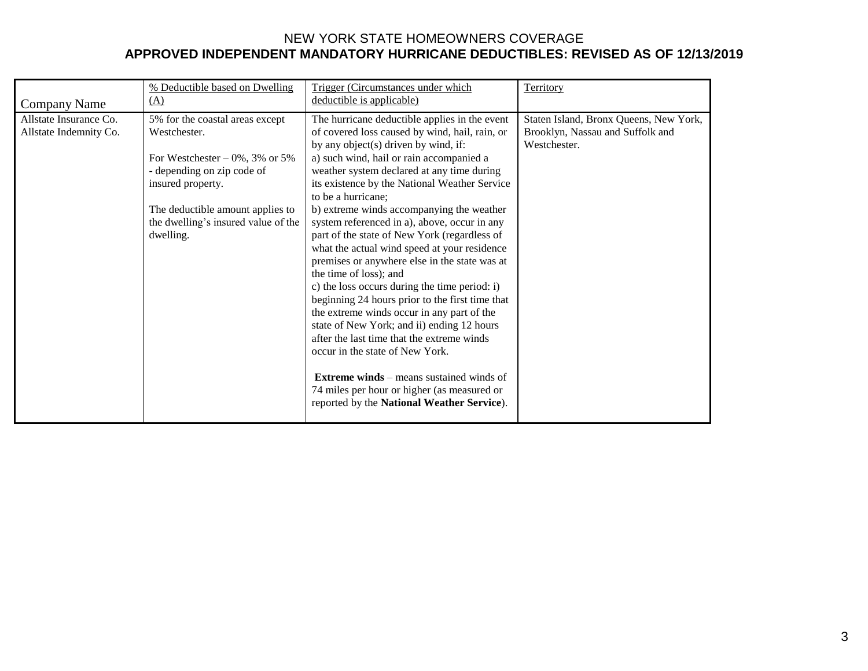|                                                  | % Deductible based on Dwelling                                                                                                                                                                                                  | Trigger (Circumstances under which                                                                                                                                                                                                                                                                                                                                                                                                                                                                                                                                                                                                                                                                                                                                                                                                                                                                                                                                                                                | Territory                                                                                  |
|--------------------------------------------------|---------------------------------------------------------------------------------------------------------------------------------------------------------------------------------------------------------------------------------|-------------------------------------------------------------------------------------------------------------------------------------------------------------------------------------------------------------------------------------------------------------------------------------------------------------------------------------------------------------------------------------------------------------------------------------------------------------------------------------------------------------------------------------------------------------------------------------------------------------------------------------------------------------------------------------------------------------------------------------------------------------------------------------------------------------------------------------------------------------------------------------------------------------------------------------------------------------------------------------------------------------------|--------------------------------------------------------------------------------------------|
| <b>Company Name</b>                              | (A)                                                                                                                                                                                                                             | deductible is applicable)                                                                                                                                                                                                                                                                                                                                                                                                                                                                                                                                                                                                                                                                                                                                                                                                                                                                                                                                                                                         |                                                                                            |
| Allstate Insurance Co.<br>Allstate Indemnity Co. | 5% for the coastal areas except<br>Westchester.<br>For Westchester $-0\%$ , 3% or 5%<br>- depending on zip code of<br>insured property.<br>The deductible amount applies to<br>the dwelling's insured value of the<br>dwelling. | The hurricane deductible applies in the event<br>of covered loss caused by wind, hail, rain, or<br>by any object(s) driven by wind, if:<br>a) such wind, hail or rain accompanied a<br>weather system declared at any time during<br>its existence by the National Weather Service<br>to be a hurricane;<br>b) extreme winds accompanying the weather<br>system referenced in a), above, occur in any<br>part of the state of New York (regardless of<br>what the actual wind speed at your residence<br>premises or anywhere else in the state was at<br>the time of loss); and<br>c) the loss occurs during the time period: i)<br>beginning 24 hours prior to the first time that<br>the extreme winds occur in any part of the<br>state of New York; and ii) ending 12 hours<br>after the last time that the extreme winds<br>occur in the state of New York.<br><b>Extreme winds</b> – means sustained winds of<br>74 miles per hour or higher (as measured or<br>reported by the National Weather Service). | Staten Island, Bronx Queens, New York,<br>Brooklyn, Nassau and Suffolk and<br>Westchester. |
|                                                  |                                                                                                                                                                                                                                 |                                                                                                                                                                                                                                                                                                                                                                                                                                                                                                                                                                                                                                                                                                                                                                                                                                                                                                                                                                                                                   |                                                                                            |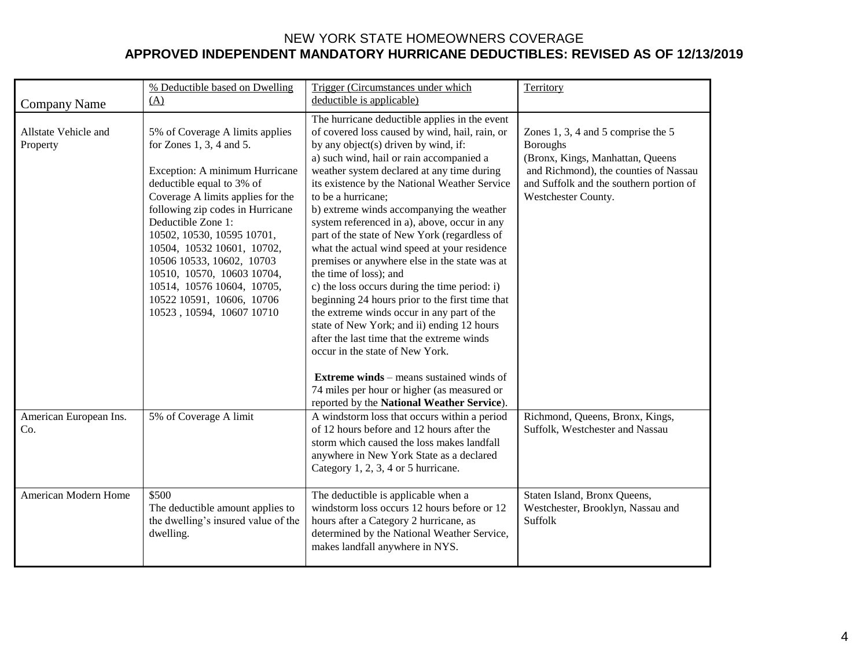|                                                  | % Deductible based on Dwelling<br>(A)                                                                                                                                                                                                                                                                                                                                                                                                        | Trigger (Circumstances under which<br>deductible is applicable)                                                                                                                                                                                                                                                                                                                                                                                                                                                                                                                                                                                                                                                                                                                                                                                                                                                                                                                                                   | Territory                                                                                                                                                                                            |
|--------------------------------------------------|----------------------------------------------------------------------------------------------------------------------------------------------------------------------------------------------------------------------------------------------------------------------------------------------------------------------------------------------------------------------------------------------------------------------------------------------|-------------------------------------------------------------------------------------------------------------------------------------------------------------------------------------------------------------------------------------------------------------------------------------------------------------------------------------------------------------------------------------------------------------------------------------------------------------------------------------------------------------------------------------------------------------------------------------------------------------------------------------------------------------------------------------------------------------------------------------------------------------------------------------------------------------------------------------------------------------------------------------------------------------------------------------------------------------------------------------------------------------------|------------------------------------------------------------------------------------------------------------------------------------------------------------------------------------------------------|
| Company Name<br>Allstate Vehicle and<br>Property | 5% of Coverage A limits applies<br>for Zones $1, 3, 4$ and $5.$<br>Exception: A minimum Hurricane<br>deductible equal to 3% of<br>Coverage A limits applies for the<br>following zip codes in Hurricane<br>Deductible Zone 1:<br>10502, 10530, 10595 10701,<br>10504, 10532 10601, 10702,<br>10506 10533, 10602, 10703<br>10510, 10570, 10603 10704,<br>10514, 10576 10604, 10705,<br>10522 10591, 10606, 10706<br>10523, 10594, 10607 10710 | The hurricane deductible applies in the event<br>of covered loss caused by wind, hail, rain, or<br>by any object(s) driven by wind, if:<br>a) such wind, hail or rain accompanied a<br>weather system declared at any time during<br>its existence by the National Weather Service<br>to be a hurricane;<br>b) extreme winds accompanying the weather<br>system referenced in a), above, occur in any<br>part of the state of New York (regardless of<br>what the actual wind speed at your residence<br>premises or anywhere else in the state was at<br>the time of loss); and<br>c) the loss occurs during the time period: i)<br>beginning 24 hours prior to the first time that<br>the extreme winds occur in any part of the<br>state of New York; and ii) ending 12 hours<br>after the last time that the extreme winds<br>occur in the state of New York.<br><b>Extreme winds</b> – means sustained winds of<br>74 miles per hour or higher (as measured or<br>reported by the National Weather Service). | Zones 1, 3, 4 and 5 comprise the 5<br><b>Boroughs</b><br>(Bronx, Kings, Manhattan, Queens<br>and Richmond), the counties of Nassau<br>and Suffolk and the southern portion of<br>Westchester County. |
| American European Ins.<br>Co.                    | 5% of Coverage A limit                                                                                                                                                                                                                                                                                                                                                                                                                       | A windstorm loss that occurs within a period<br>of 12 hours before and 12 hours after the<br>storm which caused the loss makes landfall<br>anywhere in New York State as a declared<br>Category 1, 2, 3, 4 or 5 hurricane.                                                                                                                                                                                                                                                                                                                                                                                                                                                                                                                                                                                                                                                                                                                                                                                        | Richmond, Queens, Bronx, Kings,<br>Suffolk, Westchester and Nassau                                                                                                                                   |
| American Modern Home                             | \$500<br>The deductible amount applies to<br>the dwelling's insured value of the<br>dwelling.                                                                                                                                                                                                                                                                                                                                                | The deductible is applicable when a<br>windstorm loss occurs 12 hours before or 12<br>hours after a Category 2 hurricane, as<br>determined by the National Weather Service,<br>makes landfall anywhere in NYS.                                                                                                                                                                                                                                                                                                                                                                                                                                                                                                                                                                                                                                                                                                                                                                                                    | Staten Island, Bronx Queens,<br>Westchester, Brooklyn, Nassau and<br>Suffolk                                                                                                                         |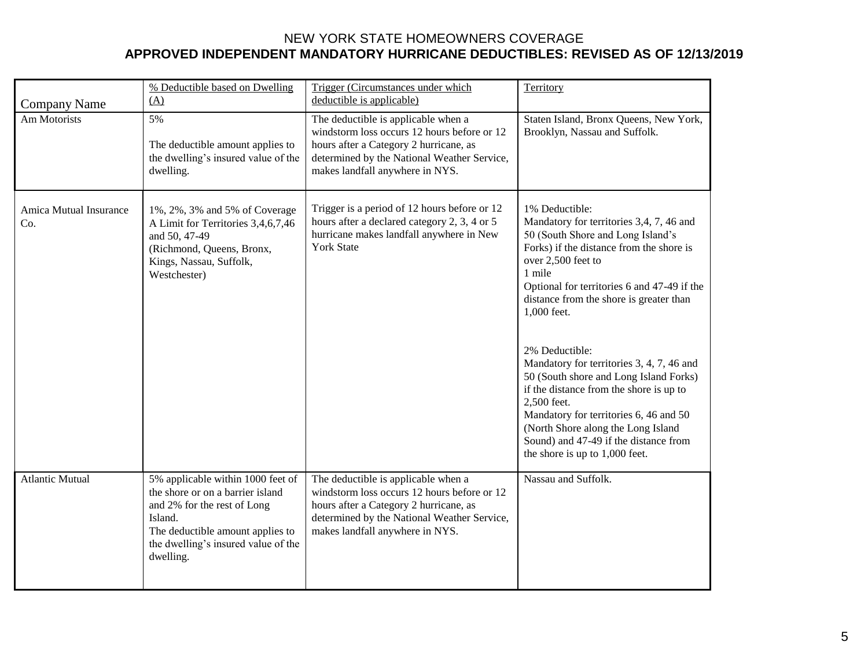|                                     | % Deductible based on Dwelling<br>(A)                                                                                                                                                                   | Trigger (Circumstances under which<br>deductible is applicable)                                                                                                                                                | Territory                                                                                                                                                                                                                                                                                                                                                                                                                                                                                                                                                                                                          |
|-------------------------------------|---------------------------------------------------------------------------------------------------------------------------------------------------------------------------------------------------------|----------------------------------------------------------------------------------------------------------------------------------------------------------------------------------------------------------------|--------------------------------------------------------------------------------------------------------------------------------------------------------------------------------------------------------------------------------------------------------------------------------------------------------------------------------------------------------------------------------------------------------------------------------------------------------------------------------------------------------------------------------------------------------------------------------------------------------------------|
| <b>Company Name</b><br>Am Motorists | 5%<br>The deductible amount applies to<br>the dwelling's insured value of the<br>dwelling.                                                                                                              | The deductible is applicable when a<br>windstorm loss occurs 12 hours before or 12<br>hours after a Category 2 hurricane, as<br>determined by the National Weather Service,<br>makes landfall anywhere in NYS. | Staten Island, Bronx Queens, New York,<br>Brooklyn, Nassau and Suffolk.                                                                                                                                                                                                                                                                                                                                                                                                                                                                                                                                            |
| Amica Mutual Insurance<br>Co.       | 1%, 2%, 3% and 5% of Coverage<br>A Limit for Territories 3,4,6,7,46<br>and 50, 47-49<br>(Richmond, Queens, Bronx,<br>Kings, Nassau, Suffolk,<br>Westchester)                                            | Trigger is a period of 12 hours before or 12<br>hours after a declared category 2, 3, 4 or 5<br>hurricane makes landfall anywhere in New<br><b>York State</b>                                                  | 1% Deductible:<br>Mandatory for territories 3,4, 7, 46 and<br>50 (South Shore and Long Island's<br>Forks) if the distance from the shore is<br>over 2,500 feet to<br>1 mile<br>Optional for territories 6 and 47-49 if the<br>distance from the shore is greater than<br>1,000 feet.<br>2% Deductible:<br>Mandatory for territories 3, 4, 7, 46 and<br>50 (South shore and Long Island Forks)<br>if the distance from the shore is up to<br>2,500 feet.<br>Mandatory for territories 6, 46 and 50<br>(North Shore along the Long Island<br>Sound) and 47-49 if the distance from<br>the shore is up to 1,000 feet. |
| <b>Atlantic Mutual</b>              | 5% applicable within 1000 feet of<br>the shore or on a barrier island<br>and 2% for the rest of Long<br>Island.<br>The deductible amount applies to<br>the dwelling's insured value of the<br>dwelling. | The deductible is applicable when a<br>windstorm loss occurs 12 hours before or 12<br>hours after a Category 2 hurricane, as<br>determined by the National Weather Service,<br>makes landfall anywhere in NYS. | Nassau and Suffolk.                                                                                                                                                                                                                                                                                                                                                                                                                                                                                                                                                                                                |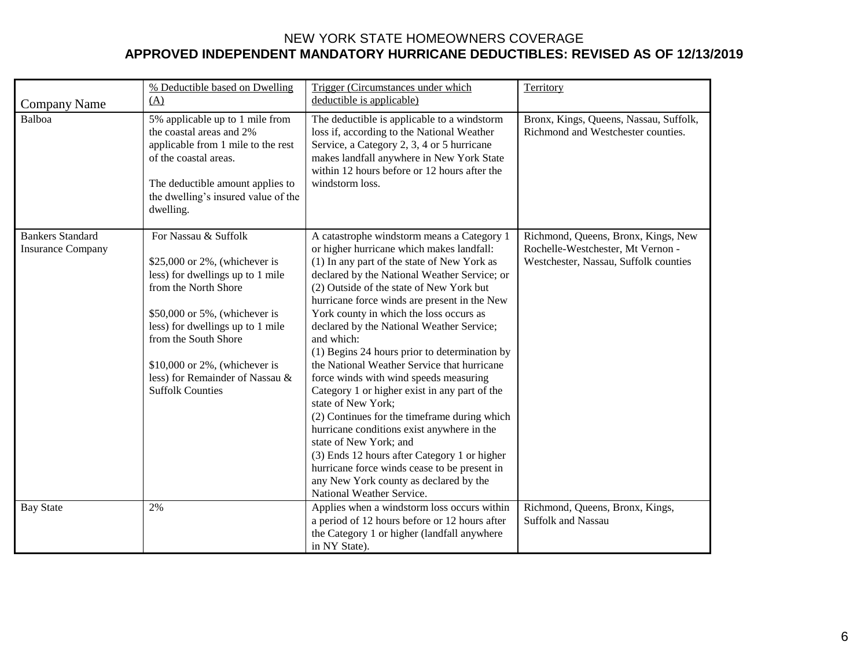| <b>Company Name</b>                                 | % Deductible based on Dwelling<br>(A)                                                                                                                                                                                                                                                                              | Trigger (Circumstances under which<br>deductible is applicable)                                                                                                                                                                                                                                                                                                                                                                                                                                                                                                                                                                                                                                                                                                                                                                                                                                          | Territory                                                                                                         |
|-----------------------------------------------------|--------------------------------------------------------------------------------------------------------------------------------------------------------------------------------------------------------------------------------------------------------------------------------------------------------------------|----------------------------------------------------------------------------------------------------------------------------------------------------------------------------------------------------------------------------------------------------------------------------------------------------------------------------------------------------------------------------------------------------------------------------------------------------------------------------------------------------------------------------------------------------------------------------------------------------------------------------------------------------------------------------------------------------------------------------------------------------------------------------------------------------------------------------------------------------------------------------------------------------------|-------------------------------------------------------------------------------------------------------------------|
| Balboa                                              | 5% applicable up to 1 mile from<br>the coastal areas and 2%<br>applicable from 1 mile to the rest<br>of the coastal areas.<br>The deductible amount applies to<br>the dwelling's insured value of the<br>dwelling.                                                                                                 | The deductible is applicable to a windstorm<br>loss if, according to the National Weather<br>Service, a Category 2, 3, 4 or 5 hurricane<br>makes landfall anywhere in New York State<br>within 12 hours before or 12 hours after the<br>windstorm loss.                                                                                                                                                                                                                                                                                                                                                                                                                                                                                                                                                                                                                                                  | Bronx, Kings, Queens, Nassau, Suffolk,<br>Richmond and Westchester counties.                                      |
| <b>Bankers Standard</b><br><b>Insurance Company</b> | For Nassau & Suffolk<br>\$25,000 or $2\%$ , (whichever is<br>less) for dwellings up to 1 mile<br>from the North Shore<br>\$50,000 or 5%, (whichever is<br>less) for dwellings up to 1 mile<br>from the South Shore<br>$$10,000$ or 2%, (whichever is<br>less) for Remainder of Nassau &<br><b>Suffolk Counties</b> | A catastrophe windstorm means a Category 1<br>or higher hurricane which makes landfall:<br>(1) In any part of the state of New York as<br>declared by the National Weather Service; or<br>(2) Outside of the state of New York but<br>hurricane force winds are present in the New<br>York county in which the loss occurs as<br>declared by the National Weather Service;<br>and which:<br>(1) Begins 24 hours prior to determination by<br>the National Weather Service that hurricane<br>force winds with wind speeds measuring<br>Category 1 or higher exist in any part of the<br>state of New York;<br>(2) Continues for the timeframe during which<br>hurricane conditions exist anywhere in the<br>state of New York; and<br>(3) Ends 12 hours after Category 1 or higher<br>hurricane force winds cease to be present in<br>any New York county as declared by the<br>National Weather Service. | Richmond, Queens, Bronx, Kings, New<br>Rochelle-Westchester, Mt Vernon -<br>Westchester, Nassau, Suffolk counties |
| <b>Bay State</b>                                    | 2%                                                                                                                                                                                                                                                                                                                 | Applies when a windstorm loss occurs within<br>a period of 12 hours before or 12 hours after<br>the Category 1 or higher (landfall anywhere<br>in NY State).                                                                                                                                                                                                                                                                                                                                                                                                                                                                                                                                                                                                                                                                                                                                             | Richmond, Queens, Bronx, Kings,<br><b>Suffolk and Nassau</b>                                                      |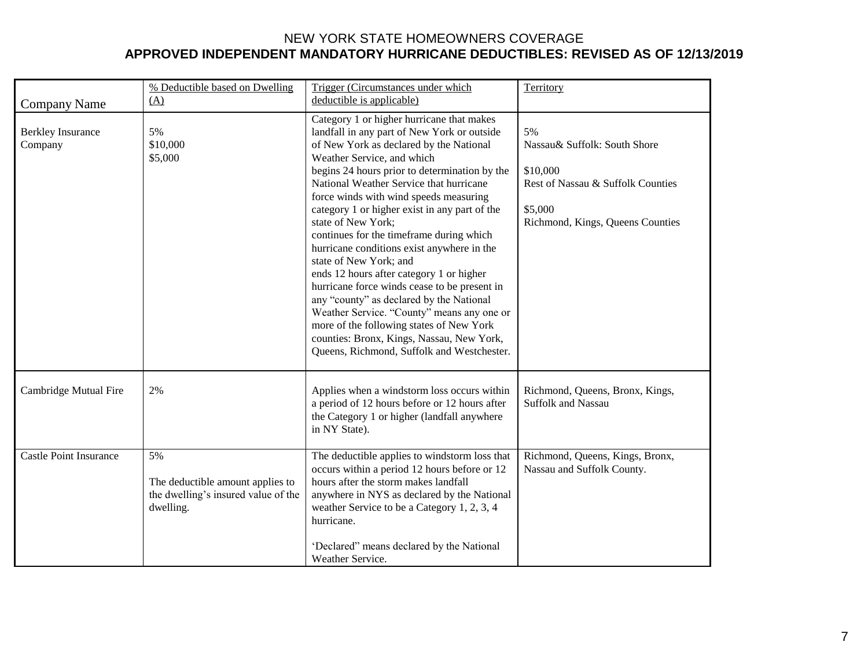| <b>Company Name</b>                 | % Deductible based on Dwelling<br>(A)                                                      | Trigger (Circumstances under which<br>deductible is applicable)                                                                                                                                                                                                                                                                                                                                                                                                                                                                                                                                                                                                                                                                                                                                                                 | Territory                                                                                                                          |
|-------------------------------------|--------------------------------------------------------------------------------------------|---------------------------------------------------------------------------------------------------------------------------------------------------------------------------------------------------------------------------------------------------------------------------------------------------------------------------------------------------------------------------------------------------------------------------------------------------------------------------------------------------------------------------------------------------------------------------------------------------------------------------------------------------------------------------------------------------------------------------------------------------------------------------------------------------------------------------------|------------------------------------------------------------------------------------------------------------------------------------|
| <b>Berkley Insurance</b><br>Company | 5%<br>\$10,000<br>\$5,000                                                                  | Category 1 or higher hurricane that makes<br>landfall in any part of New York or outside<br>of New York as declared by the National<br>Weather Service, and which<br>begins 24 hours prior to determination by the<br>National Weather Service that hurricane<br>force winds with wind speeds measuring<br>category 1 or higher exist in any part of the<br>state of New York;<br>continues for the timeframe during which<br>hurricane conditions exist anywhere in the<br>state of New York; and<br>ends 12 hours after category 1 or higher<br>hurricane force winds cease to be present in<br>any "county" as declared by the National<br>Weather Service. "County" means any one or<br>more of the following states of New York<br>counties: Bronx, Kings, Nassau, New York,<br>Queens, Richmond, Suffolk and Westchester. | 5%<br>Nassau& Suffolk: South Shore<br>\$10,000<br>Rest of Nassau & Suffolk Counties<br>\$5,000<br>Richmond, Kings, Queens Counties |
| Cambridge Mutual Fire               | 2%                                                                                         | Applies when a windstorm loss occurs within<br>a period of 12 hours before or 12 hours after<br>the Category 1 or higher (landfall anywhere<br>in NY State).                                                                                                                                                                                                                                                                                                                                                                                                                                                                                                                                                                                                                                                                    | Richmond, Queens, Bronx, Kings,<br><b>Suffolk and Nassau</b>                                                                       |
| <b>Castle Point Insurance</b>       | 5%<br>The deductible amount applies to<br>the dwelling's insured value of the<br>dwelling. | The deductible applies to windstorm loss that<br>occurs within a period 12 hours before or 12<br>hours after the storm makes landfall<br>anywhere in NYS as declared by the National<br>weather Service to be a Category 1, 2, 3, 4<br>hurricane.<br>'Declared" means declared by the National<br>Weather Service.                                                                                                                                                                                                                                                                                                                                                                                                                                                                                                              | Richmond, Queens, Kings, Bronx,<br>Nassau and Suffolk County.                                                                      |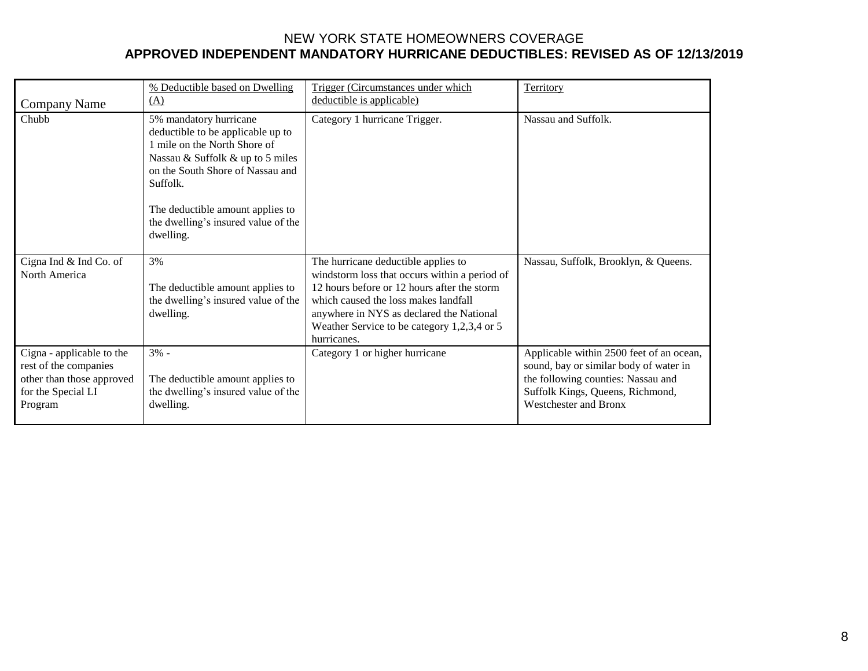|                                                                                                                  | % Deductible based on Dwelling                                                                                                                                                                                                                                          | Trigger (Circumstances under which                                                                                                                                                                                                                                                    | Territory                                                                                                                                                                             |
|------------------------------------------------------------------------------------------------------------------|-------------------------------------------------------------------------------------------------------------------------------------------------------------------------------------------------------------------------------------------------------------------------|---------------------------------------------------------------------------------------------------------------------------------------------------------------------------------------------------------------------------------------------------------------------------------------|---------------------------------------------------------------------------------------------------------------------------------------------------------------------------------------|
| <b>Company Name</b>                                                                                              | (A)                                                                                                                                                                                                                                                                     | deductible is applicable)                                                                                                                                                                                                                                                             |                                                                                                                                                                                       |
| Chubb                                                                                                            | 5% mandatory hurricane<br>deductible to be applicable up to<br>1 mile on the North Shore of<br>Nassau & Suffolk & up to 5 miles<br>on the South Shore of Nassau and<br>Suffolk.<br>The deductible amount applies to<br>the dwelling's insured value of the<br>dwelling. | Category 1 hurricane Trigger.                                                                                                                                                                                                                                                         | Nassau and Suffolk.                                                                                                                                                                   |
| Cigna Ind & Ind Co. of<br>North America                                                                          | 3%<br>The deductible amount applies to<br>the dwelling's insured value of the<br>dwelling.                                                                                                                                                                              | The hurricane deductible applies to<br>windstorm loss that occurs within a period of<br>12 hours before or 12 hours after the storm<br>which caused the loss makes landfall<br>anywhere in NYS as declared the National<br>Weather Service to be category 1,2,3,4 or 5<br>hurricanes. | Nassau, Suffolk, Brooklyn, & Queens.                                                                                                                                                  |
| Cigna - applicable to the<br>rest of the companies<br>other than those approved<br>for the Special LI<br>Program | $3% -$<br>The deductible amount applies to<br>the dwelling's insured value of the<br>dwelling.                                                                                                                                                                          | Category 1 or higher hurricane                                                                                                                                                                                                                                                        | Applicable within 2500 feet of an ocean,<br>sound, bay or similar body of water in<br>the following counties: Nassau and<br>Suffolk Kings, Queens, Richmond,<br>Westchester and Bronx |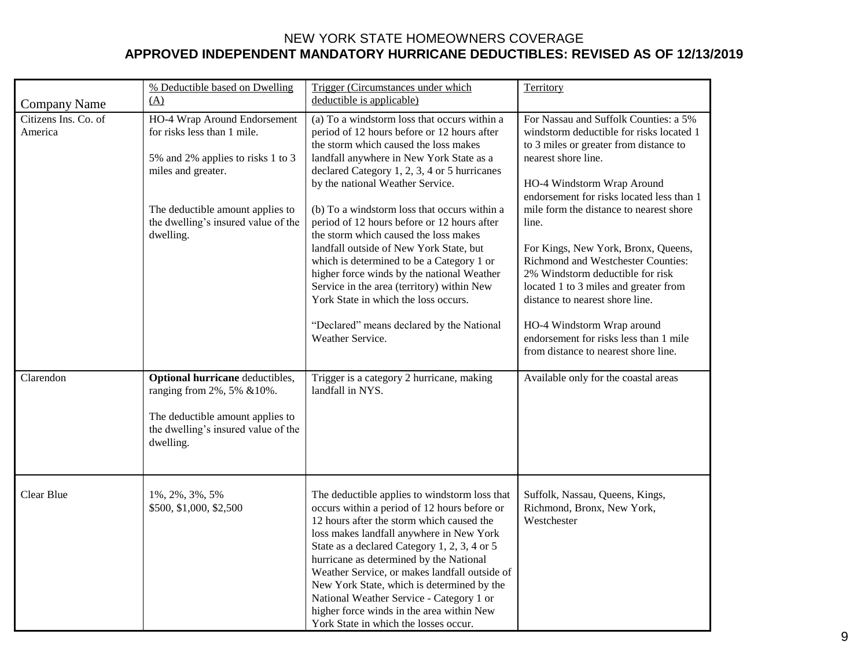|                                 | % Deductible based on Dwelling                                                                                                                                                                                 | Trigger (Circumstances under which                                                                                                                                                                                                                                                                                                                                                                                                                                                                                                                                                                                                       | Territory                                                                                                                                                                                                                                                                                                                                                                                                                                                                      |
|---------------------------------|----------------------------------------------------------------------------------------------------------------------------------------------------------------------------------------------------------------|------------------------------------------------------------------------------------------------------------------------------------------------------------------------------------------------------------------------------------------------------------------------------------------------------------------------------------------------------------------------------------------------------------------------------------------------------------------------------------------------------------------------------------------------------------------------------------------------------------------------------------------|--------------------------------------------------------------------------------------------------------------------------------------------------------------------------------------------------------------------------------------------------------------------------------------------------------------------------------------------------------------------------------------------------------------------------------------------------------------------------------|
| <b>Company Name</b>             | (A)                                                                                                                                                                                                            | deductible is applicable)                                                                                                                                                                                                                                                                                                                                                                                                                                                                                                                                                                                                                |                                                                                                                                                                                                                                                                                                                                                                                                                                                                                |
| Citizens Ins. Co. of<br>America | HO-4 Wrap Around Endorsement<br>for risks less than 1 mile.<br>5% and 2% applies to risks 1 to 3<br>miles and greater.<br>The deductible amount applies to<br>the dwelling's insured value of the<br>dwelling. | (a) To a windstorm loss that occurs within a<br>period of 12 hours before or 12 hours after<br>the storm which caused the loss makes<br>landfall anywhere in New York State as a<br>declared Category 1, 2, 3, 4 or 5 hurricanes<br>by the national Weather Service.<br>(b) To a windstorm loss that occurs within a<br>period of 12 hours before or 12 hours after<br>the storm which caused the loss makes<br>landfall outside of New York State, but<br>which is determined to be a Category 1 or<br>higher force winds by the national Weather<br>Service in the area (territory) within New<br>York State in which the loss occurs. | For Nassau and Suffolk Counties: a 5%<br>windstorm deductible for risks located 1<br>to 3 miles or greater from distance to<br>nearest shore line.<br>HO-4 Windstorm Wrap Around<br>endorsement for risks located less than 1<br>mile form the distance to nearest shore<br>line.<br>For Kings, New York, Bronx, Queens,<br>Richmond and Westchester Counties:<br>2% Windstorm deductible for risk<br>located 1 to 3 miles and greater from<br>distance to nearest shore line. |
|                                 |                                                                                                                                                                                                                | "Declared" means declared by the National<br>Weather Service.                                                                                                                                                                                                                                                                                                                                                                                                                                                                                                                                                                            | HO-4 Windstorm Wrap around<br>endorsement for risks less than 1 mile<br>from distance to nearest shore line.                                                                                                                                                                                                                                                                                                                                                                   |
| Clarendon                       | Optional hurricane deductibles,<br>ranging from 2%, 5% & 10%.<br>The deductible amount applies to<br>the dwelling's insured value of the<br>dwelling.                                                          | Trigger is a category 2 hurricane, making<br>landfall in NYS.                                                                                                                                                                                                                                                                                                                                                                                                                                                                                                                                                                            | Available only for the coastal areas                                                                                                                                                                                                                                                                                                                                                                                                                                           |
| Clear Blue                      | 1%, 2%, 3%, 5%<br>\$500, \$1,000, \$2,500                                                                                                                                                                      | The deductible applies to windstorm loss that<br>occurs within a period of 12 hours before or<br>12 hours after the storm which caused the<br>loss makes landfall anywhere in New York<br>State as a declared Category 1, 2, 3, 4 or 5<br>hurricane as determined by the National<br>Weather Service, or makes landfall outside of<br>New York State, which is determined by the<br>National Weather Service - Category 1 or<br>higher force winds in the area within New<br>York State in which the losses occur.                                                                                                                       | Suffolk, Nassau, Queens, Kings,<br>Richmond, Bronx, New York,<br>Westchester                                                                                                                                                                                                                                                                                                                                                                                                   |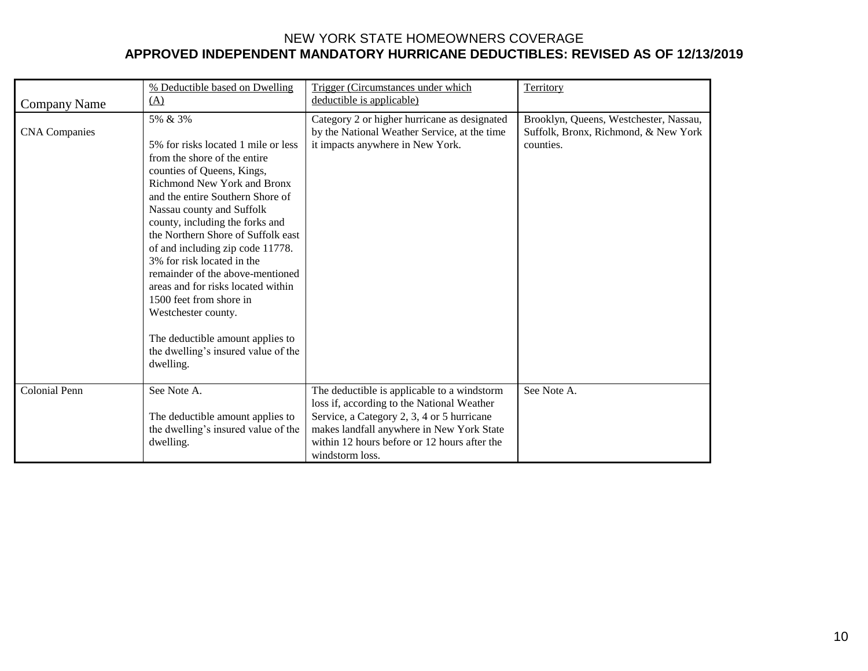|                      | % Deductible based on Dwelling                                                                                                                                                                                                                                                                                                                                                                                                                                                                                                                                 | Trigger (Circumstances under which                                                                                                                                                                                                                      | Territory                                                                                   |
|----------------------|----------------------------------------------------------------------------------------------------------------------------------------------------------------------------------------------------------------------------------------------------------------------------------------------------------------------------------------------------------------------------------------------------------------------------------------------------------------------------------------------------------------------------------------------------------------|---------------------------------------------------------------------------------------------------------------------------------------------------------------------------------------------------------------------------------------------------------|---------------------------------------------------------------------------------------------|
| <b>Company Name</b>  | (A)                                                                                                                                                                                                                                                                                                                                                                                                                                                                                                                                                            | deductible is applicable)                                                                                                                                                                                                                               |                                                                                             |
| <b>CNA</b> Companies | 5% & 3%<br>5% for risks located 1 mile or less<br>from the shore of the entire<br>counties of Queens, Kings,<br>Richmond New York and Bronx<br>and the entire Southern Shore of<br>Nassau county and Suffolk<br>county, including the forks and<br>the Northern Shore of Suffolk east<br>of and including zip code 11778.<br>3% for risk located in the<br>remainder of the above-mentioned<br>areas and for risks located within<br>1500 feet from shore in<br>Westchester county.<br>The deductible amount applies to<br>the dwelling's insured value of the | Category 2 or higher hurricane as designated<br>by the National Weather Service, at the time<br>it impacts anywhere in New York.                                                                                                                        | Brooklyn, Queens, Westchester, Nassau,<br>Suffolk, Bronx, Richmond, & New York<br>counties. |
|                      | dwelling.                                                                                                                                                                                                                                                                                                                                                                                                                                                                                                                                                      |                                                                                                                                                                                                                                                         |                                                                                             |
| <b>Colonial Penn</b> | See Note A.<br>The deductible amount applies to<br>the dwelling's insured value of the<br>dwelling.                                                                                                                                                                                                                                                                                                                                                                                                                                                            | The deductible is applicable to a windstorm<br>loss if, according to the National Weather<br>Service, a Category 2, 3, 4 or 5 hurricane<br>makes landfall anywhere in New York State<br>within 12 hours before or 12 hours after the<br>windstorm loss. | See Note A.                                                                                 |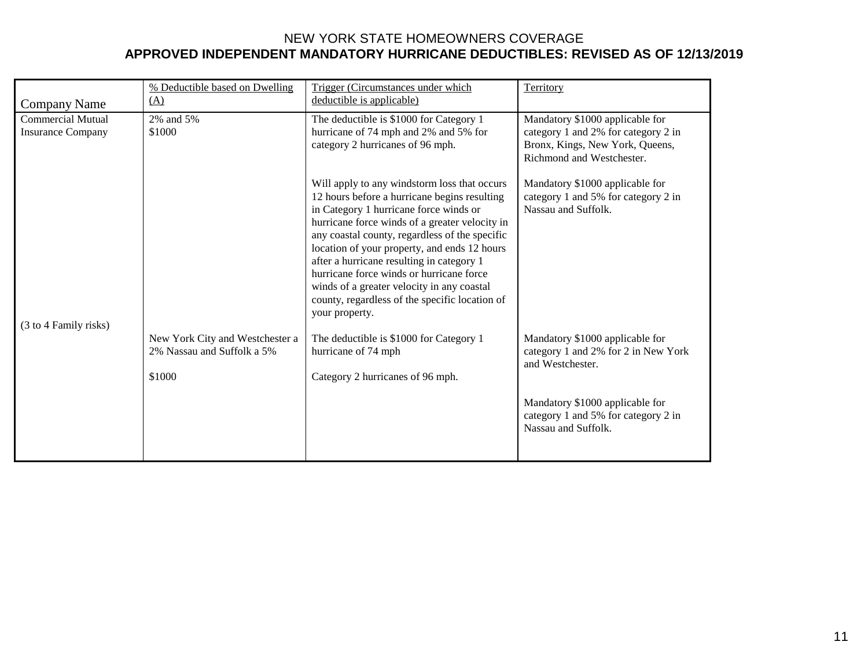|                          | % Deductible based on Dwelling                                          | Trigger (Circumstances under which                                                                                                                                                                                                                                                                                                                                                                                                                                                                    | Territory                                                                                           |
|--------------------------|-------------------------------------------------------------------------|-------------------------------------------------------------------------------------------------------------------------------------------------------------------------------------------------------------------------------------------------------------------------------------------------------------------------------------------------------------------------------------------------------------------------------------------------------------------------------------------------------|-----------------------------------------------------------------------------------------------------|
| Company Name             | (A)                                                                     | deductible is applicable)                                                                                                                                                                                                                                                                                                                                                                                                                                                                             |                                                                                                     |
| <b>Commercial Mutual</b> | 2% and 5%                                                               | The deductible is \$1000 for Category 1                                                                                                                                                                                                                                                                                                                                                                                                                                                               | Mandatory \$1000 applicable for                                                                     |
| <b>Insurance Company</b> | \$1000                                                                  | hurricane of 74 mph and 2% and 5% for<br>category 2 hurricanes of 96 mph.                                                                                                                                                                                                                                                                                                                                                                                                                             | category 1 and 2% for category 2 in<br>Bronx, Kings, New York, Queens,<br>Richmond and Westchester. |
| (3 to 4 Family risks)    |                                                                         | Will apply to any windstorm loss that occurs<br>12 hours before a hurricane begins resulting<br>in Category 1 hurricane force winds or<br>hurricane force winds of a greater velocity in<br>any coastal county, regardless of the specific<br>location of your property, and ends 12 hours<br>after a hurricane resulting in category 1<br>hurricane force winds or hurricane force<br>winds of a greater velocity in any coastal<br>county, regardless of the specific location of<br>your property. | Mandatory \$1000 applicable for<br>category 1 and 5% for category 2 in<br>Nassau and Suffolk.       |
|                          | New York City and Westchester a<br>2% Nassau and Suffolk a 5%<br>\$1000 | The deductible is \$1000 for Category 1<br>hurricane of 74 mph<br>Category 2 hurricanes of 96 mph.                                                                                                                                                                                                                                                                                                                                                                                                    | Mandatory \$1000 applicable for<br>category 1 and 2% for 2 in New York<br>and Westchester.          |
|                          |                                                                         |                                                                                                                                                                                                                                                                                                                                                                                                                                                                                                       | Mandatory \$1000 applicable for<br>category 1 and 5% for category 2 in<br>Nassau and Suffolk.       |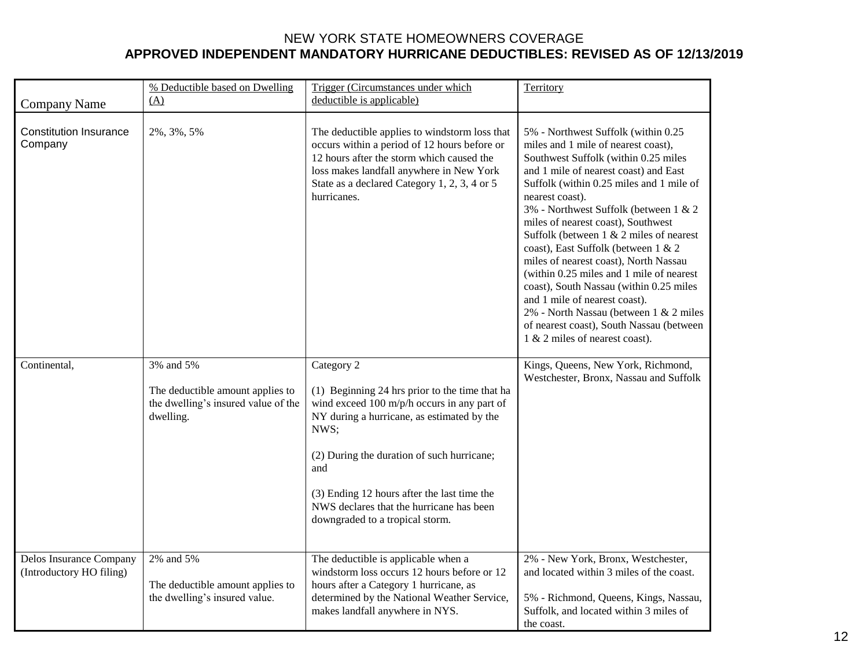| <b>Company Name</b>                                 | % Deductible based on Dwelling<br>(A)                                                             | Trigger (Circumstances under which<br>deductible is applicable)                                                                                                                                                                                                                                                                                      | Territory                                                                                                                                                                                                                                                                                                                                                                                                                                                                                                                                                                                                                                                                               |
|-----------------------------------------------------|---------------------------------------------------------------------------------------------------|------------------------------------------------------------------------------------------------------------------------------------------------------------------------------------------------------------------------------------------------------------------------------------------------------------------------------------------------------|-----------------------------------------------------------------------------------------------------------------------------------------------------------------------------------------------------------------------------------------------------------------------------------------------------------------------------------------------------------------------------------------------------------------------------------------------------------------------------------------------------------------------------------------------------------------------------------------------------------------------------------------------------------------------------------------|
| <b>Constitution Insurance</b><br>Company            | 2%, 3%, 5%                                                                                        | The deductible applies to windstorm loss that<br>occurs within a period of 12 hours before or<br>12 hours after the storm which caused the<br>loss makes landfall anywhere in New York<br>State as a declared Category 1, 2, 3, 4 or 5<br>hurricanes.                                                                                                | 5% - Northwest Suffolk (within 0.25<br>miles and 1 mile of nearest coast),<br>Southwest Suffolk (within 0.25 miles<br>and 1 mile of nearest coast) and East<br>Suffolk (within 0.25 miles and 1 mile of<br>nearest coast).<br>3% - Northwest Suffolk (between 1 & 2<br>miles of nearest coast), Southwest<br>Suffolk (between $1 \& 2$ miles of nearest<br>coast), East Suffolk (between 1 & 2<br>miles of nearest coast), North Nassau<br>(within 0.25 miles and 1 mile of nearest<br>coast), South Nassau (within 0.25 miles<br>and 1 mile of nearest coast).<br>2% - North Nassau (between 1 & 2 miles<br>of nearest coast), South Nassau (between<br>1 & 2 miles of nearest coast). |
| Continental,                                        | 3% and 5%<br>The deductible amount applies to<br>the dwelling's insured value of the<br>dwelling. | Category 2<br>(1) Beginning 24 hrs prior to the time that ha<br>wind exceed 100 m/p/h occurs in any part of<br>NY during a hurricane, as estimated by the<br>NWS;<br>(2) During the duration of such hurricane;<br>and<br>(3) Ending 12 hours after the last time the<br>NWS declares that the hurricane has been<br>downgraded to a tropical storm. | Kings, Queens, New York, Richmond,<br>Westchester, Bronx, Nassau and Suffolk                                                                                                                                                                                                                                                                                                                                                                                                                                                                                                                                                                                                            |
| Delos Insurance Company<br>(Introductory HO filing) | 2% and 5%<br>The deductible amount applies to<br>the dwelling's insured value.                    | The deductible is applicable when a<br>windstorm loss occurs 12 hours before or 12<br>hours after a Category 1 hurricane, as<br>determined by the National Weather Service,<br>makes landfall anywhere in NYS.                                                                                                                                       | 2% - New York, Bronx, Westchester,<br>and located within 3 miles of the coast.<br>5% - Richmond, Queens, Kings, Nassau,<br>Suffolk, and located within 3 miles of<br>the coast.                                                                                                                                                                                                                                                                                                                                                                                                                                                                                                         |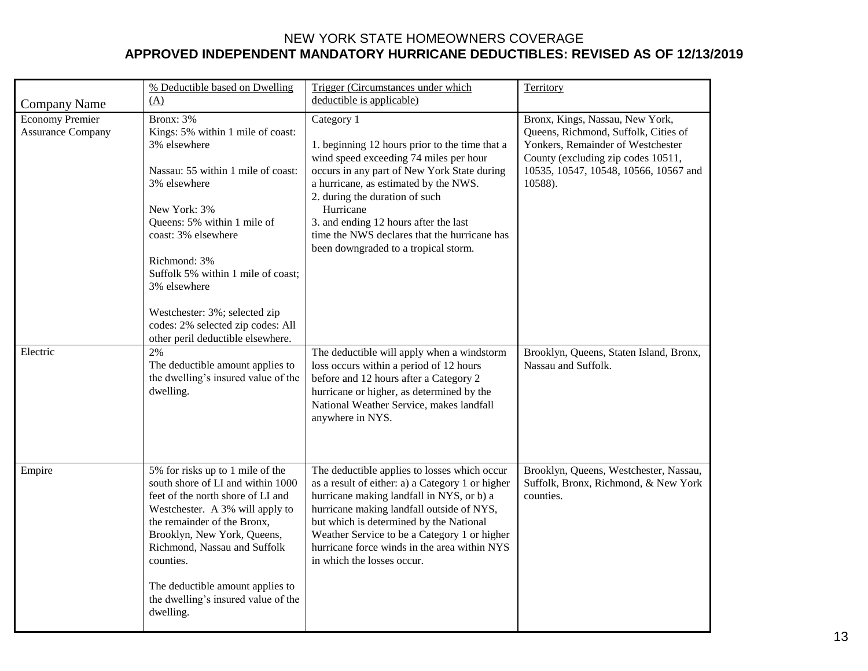|                                                                | % Deductible based on Dwelling                                                                                                                                                                                                                                                                                                                                                    | Trigger (Circumstances under which                                                                                                                                                                                                                                                                                                                                                                                           | Territory                                                                                                                                                                                                                                         |
|----------------------------------------------------------------|-----------------------------------------------------------------------------------------------------------------------------------------------------------------------------------------------------------------------------------------------------------------------------------------------------------------------------------------------------------------------------------|------------------------------------------------------------------------------------------------------------------------------------------------------------------------------------------------------------------------------------------------------------------------------------------------------------------------------------------------------------------------------------------------------------------------------|---------------------------------------------------------------------------------------------------------------------------------------------------------------------------------------------------------------------------------------------------|
| <b>Company Name</b>                                            | (A)                                                                                                                                                                                                                                                                                                                                                                               | deductible is applicable)                                                                                                                                                                                                                                                                                                                                                                                                    |                                                                                                                                                                                                                                                   |
| <b>Economy Premier</b><br><b>Assurance Company</b><br>Electric | Bronx: 3%<br>Kings: 5% within 1 mile of coast:<br>3% elsewhere<br>Nassau: 55 within 1 mile of coast:<br>3% elsewhere<br>New York: 3%<br>Queens: 5% within 1 mile of<br>coast: 3% elsewhere<br>Richmond: 3%<br>Suffolk 5% within 1 mile of coast;<br>3% elsewhere<br>Westchester: 3%; selected zip<br>codes: 2% selected zip codes: All<br>other peril deductible elsewhere.<br>2% | Category 1<br>1. beginning 12 hours prior to the time that a<br>wind speed exceeding 74 miles per hour<br>occurs in any part of New York State during<br>a hurricane, as estimated by the NWS.<br>2. during the duration of such<br>Hurricane<br>3. and ending 12 hours after the last<br>time the NWS declares that the hurricane has<br>been downgraded to a tropical storm.<br>The deductible will apply when a windstorm | Bronx, Kings, Nassau, New York,<br>Queens, Richmond, Suffolk, Cities of<br>Yonkers, Remainder of Westchester<br>County (excluding zip codes 10511,<br>10535, 10547, 10548, 10566, 10567 and<br>10588).<br>Brooklyn, Queens, Staten Island, Bronx, |
|                                                                | The deductible amount applies to<br>the dwelling's insured value of the<br>dwelling.                                                                                                                                                                                                                                                                                              | loss occurs within a period of 12 hours<br>before and 12 hours after a Category 2<br>hurricane or higher, as determined by the<br>National Weather Service, makes landfall<br>anywhere in NYS.                                                                                                                                                                                                                               | Nassau and Suffolk.                                                                                                                                                                                                                               |
| Empire                                                         | 5% for risks up to 1 mile of the<br>south shore of LI and within 1000<br>feet of the north shore of LI and<br>Westchester. A 3% will apply to<br>the remainder of the Bronx,<br>Brooklyn, New York, Queens,<br>Richmond, Nassau and Suffolk<br>counties.<br>The deductible amount applies to<br>the dwelling's insured value of the<br>dwelling.                                  | The deductible applies to losses which occur<br>as a result of either: a) a Category 1 or higher<br>hurricane making landfall in NYS, or b) a<br>hurricane making landfall outside of NYS,<br>but which is determined by the National<br>Weather Service to be a Category 1 or higher<br>hurricane force winds in the area within NYS<br>in which the losses occur.                                                          | Brooklyn, Queens, Westchester, Nassau,<br>Suffolk, Bronx, Richmond, & New York<br>counties.                                                                                                                                                       |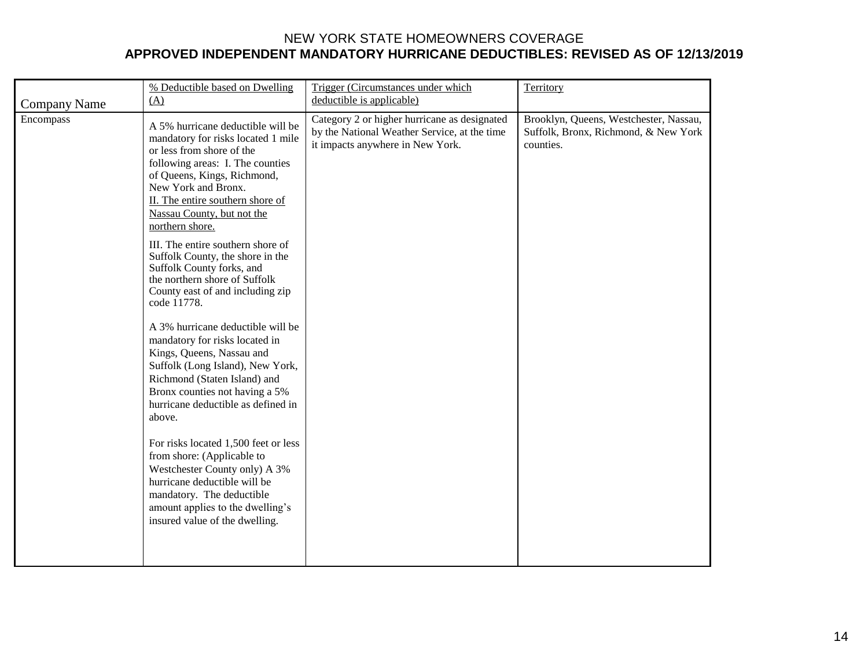|                                  | % Deductible based on Dwelling<br>(A)                                                                                                                                                                                                                                                                                                                                                                                                                                                                                                                                                                                                                                                                                                                                                                                                                                                                                                           | Trigger (Circumstances under which<br>deductible is applicable)                                                                  | Territory                                                                                   |
|----------------------------------|-------------------------------------------------------------------------------------------------------------------------------------------------------------------------------------------------------------------------------------------------------------------------------------------------------------------------------------------------------------------------------------------------------------------------------------------------------------------------------------------------------------------------------------------------------------------------------------------------------------------------------------------------------------------------------------------------------------------------------------------------------------------------------------------------------------------------------------------------------------------------------------------------------------------------------------------------|----------------------------------------------------------------------------------------------------------------------------------|---------------------------------------------------------------------------------------------|
| <b>Company Name</b><br>Encompass | A 5% hurricane deductible will be<br>mandatory for risks located 1 mile<br>or less from shore of the<br>following areas: I. The counties<br>of Queens, Kings, Richmond,<br>New York and Bronx.<br>II. The entire southern shore of<br>Nassau County, but not the<br>northern shore.<br>III. The entire southern shore of<br>Suffolk County, the shore in the<br>Suffolk County forks, and<br>the northern shore of Suffolk<br>County east of and including zip<br>code 11778.<br>A 3% hurricane deductible will be<br>mandatory for risks located in<br>Kings, Queens, Nassau and<br>Suffolk (Long Island), New York,<br>Richmond (Staten Island) and<br>Bronx counties not having a 5%<br>hurricane deductible as defined in<br>above.<br>For risks located 1,500 feet or less<br>from shore: (Applicable to<br>Westchester County only) A 3%<br>hurricane deductible will be<br>mandatory. The deductible<br>amount applies to the dwelling's | Category 2 or higher hurricane as designated<br>by the National Weather Service, at the time<br>it impacts anywhere in New York. | Brooklyn, Queens, Westchester, Nassau,<br>Suffolk, Bronx, Richmond, & New York<br>counties. |
|                                  | insured value of the dwelling.                                                                                                                                                                                                                                                                                                                                                                                                                                                                                                                                                                                                                                                                                                                                                                                                                                                                                                                  |                                                                                                                                  |                                                                                             |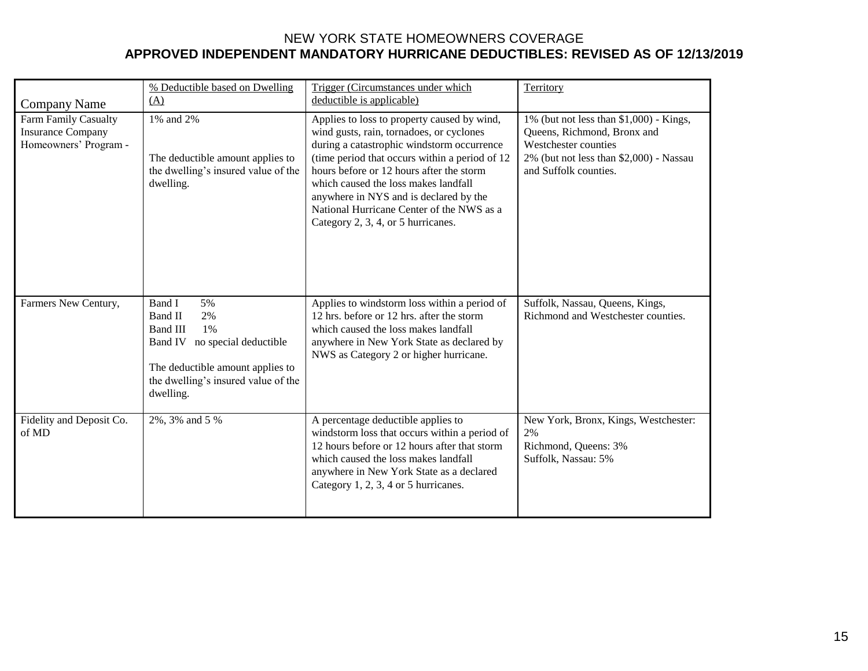| Company Name                                                                     | % Deductible based on Dwelling<br>(A)                                                                                                                                           | Trigger (Circumstances under which<br>deductible is applicable)                                                                                                                                                                                                                                                                                                                                           | Territory                                                                                                                                                          |
|----------------------------------------------------------------------------------|---------------------------------------------------------------------------------------------------------------------------------------------------------------------------------|-----------------------------------------------------------------------------------------------------------------------------------------------------------------------------------------------------------------------------------------------------------------------------------------------------------------------------------------------------------------------------------------------------------|--------------------------------------------------------------------------------------------------------------------------------------------------------------------|
| <b>Farm Family Casualty</b><br><b>Insurance Company</b><br>Homeowners' Program - | 1% and 2%<br>The deductible amount applies to<br>the dwelling's insured value of the<br>dwelling.                                                                               | Applies to loss to property caused by wind,<br>wind gusts, rain, tornadoes, or cyclones<br>during a catastrophic windstorm occurrence<br>(time period that occurs within a period of 12)<br>hours before or 12 hours after the storm<br>which caused the loss makes landfall<br>anywhere in NYS and is declared by the<br>National Hurricane Center of the NWS as a<br>Category 2, 3, 4, or 5 hurricanes. | 1% (but not less than \$1,000) - Kings,<br>Queens, Richmond, Bronx and<br>Westchester counties<br>2% (but not less than \$2,000) - Nassau<br>and Suffolk counties. |
| Farmers New Century,                                                             | Band I<br>5%<br>Band II<br>2%<br><b>Band III</b><br>1%<br>Band IV no special deductible<br>The deductible amount applies to<br>the dwelling's insured value of the<br>dwelling. | Applies to windstorm loss within a period of<br>12 hrs. before or 12 hrs. after the storm<br>which caused the loss makes landfall<br>anywhere in New York State as declared by<br>NWS as Category 2 or higher hurricane.                                                                                                                                                                                  | Suffolk, Nassau, Queens, Kings,<br>Richmond and Westchester counties.                                                                                              |
| Fidelity and Deposit Co.<br>of MD                                                | 2%, 3% and 5 %                                                                                                                                                                  | A percentage deductible applies to<br>windstorm loss that occurs within a period of<br>12 hours before or 12 hours after that storm<br>which caused the loss makes landfall<br>anywhere in New York State as a declared<br>Category 1, 2, 3, 4 or 5 hurricanes.                                                                                                                                           | New York, Bronx, Kings, Westchester:<br>2%<br>Richmond, Queens: 3%<br>Suffolk, Nassau: 5%                                                                          |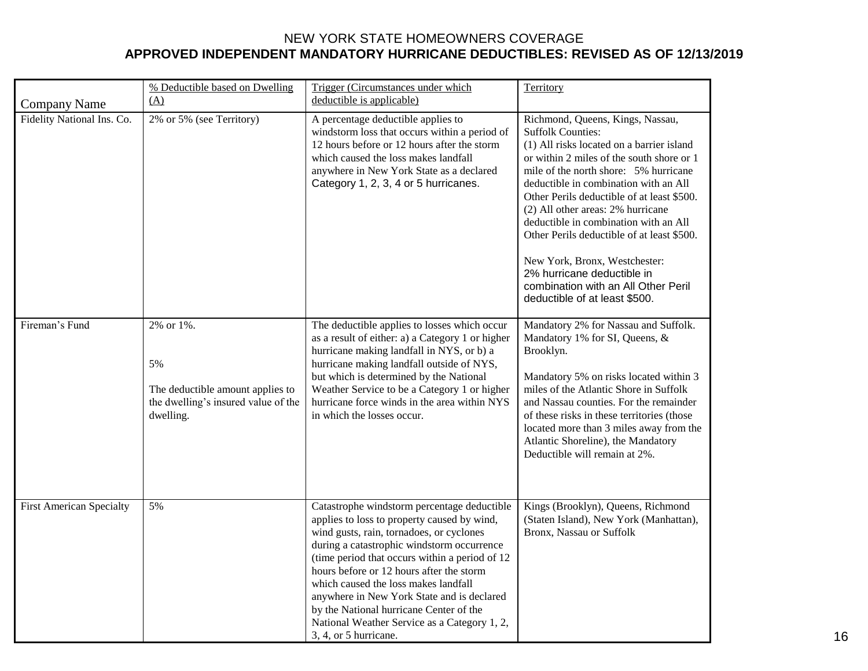|                                                   | % Deductible based on Dwelling                                                                          | Trigger (Circumstances under which                                                                                                                                                                                                                                                                                                                                                                                                                                                            | Territory                                                                                                                                                                                                                                                                                                                                                                                                                                                                                                                                                 |
|---------------------------------------------------|---------------------------------------------------------------------------------------------------------|-----------------------------------------------------------------------------------------------------------------------------------------------------------------------------------------------------------------------------------------------------------------------------------------------------------------------------------------------------------------------------------------------------------------------------------------------------------------------------------------------|-----------------------------------------------------------------------------------------------------------------------------------------------------------------------------------------------------------------------------------------------------------------------------------------------------------------------------------------------------------------------------------------------------------------------------------------------------------------------------------------------------------------------------------------------------------|
|                                                   | (A)                                                                                                     | deductible is applicable)                                                                                                                                                                                                                                                                                                                                                                                                                                                                     |                                                                                                                                                                                                                                                                                                                                                                                                                                                                                                                                                           |
| <b>Company Name</b><br>Fidelity National Ins. Co. | 2% or 5% (see Territory)                                                                                | A percentage deductible applies to<br>windstorm loss that occurs within a period of<br>12 hours before or 12 hours after the storm<br>which caused the loss makes landfall<br>anywhere in New York State as a declared<br>Category 1, 2, 3, 4 or 5 hurricanes.                                                                                                                                                                                                                                | Richmond, Queens, Kings, Nassau,<br><b>Suffolk Counties:</b><br>(1) All risks located on a barrier island<br>or within 2 miles of the south shore or 1<br>mile of the north shore: 5% hurricane<br>deductible in combination with an All<br>Other Perils deductible of at least \$500.<br>(2) All other areas: 2% hurricane<br>deductible in combination with an All<br>Other Perils deductible of at least \$500.<br>New York, Bronx, Westchester:<br>2% hurricane deductible in<br>combination with an All Other Peril<br>deductible of at least \$500. |
| Fireman's Fund                                    | 2% or 1%.<br>5%<br>The deductible amount applies to<br>the dwelling's insured value of the<br>dwelling. | The deductible applies to losses which occur<br>as a result of either: a) a Category 1 or higher<br>hurricane making landfall in NYS, or b) a<br>hurricane making landfall outside of NYS,<br>but which is determined by the National<br>Weather Service to be a Category 1 or higher<br>hurricane force winds in the area within NYS<br>in which the losses occur.                                                                                                                           | Mandatory 2% for Nassau and Suffolk.<br>Mandatory 1% for SI, Queens, &<br>Brooklyn.<br>Mandatory 5% on risks located within 3<br>miles of the Atlantic Shore in Suffolk<br>and Nassau counties. For the remainder<br>of these risks in these territories (those<br>located more than 3 miles away from the<br>Atlantic Shoreline), the Mandatory<br>Deductible will remain at 2%.                                                                                                                                                                         |
| <b>First American Specialty</b>                   | 5%                                                                                                      | Catastrophe windstorm percentage deductible<br>applies to loss to property caused by wind,<br>wind gusts, rain, tornadoes, or cyclones<br>during a catastrophic windstorm occurrence<br>(time period that occurs within a period of 12)<br>hours before or 12 hours after the storm<br>which caused the loss makes landfall<br>anywhere in New York State and is declared<br>by the National hurricane Center of the<br>National Weather Service as a Category 1, 2,<br>3, 4, or 5 hurricane. | Kings (Brooklyn), Queens, Richmond<br>(Staten Island), New York (Manhattan),<br>Bronx, Nassau or Suffolk                                                                                                                                                                                                                                                                                                                                                                                                                                                  |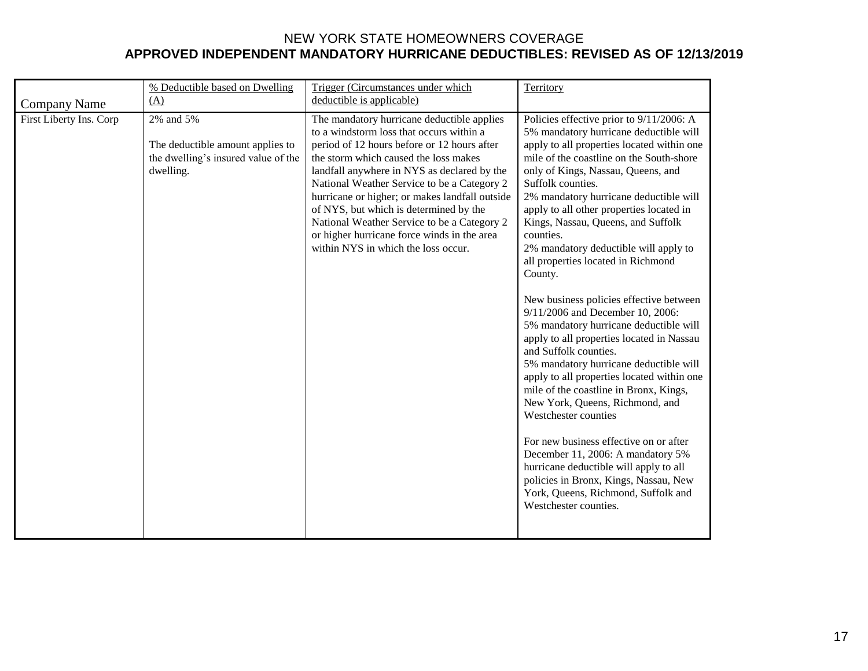|                         | % Deductible based on Dwelling                                                                    | Trigger (Circumstances under which                                                                                                                                                                                                                                                                                                                                                                                                                                                                            | Territory                                                                                                                                                                                                                                                                                                                                                                                                                                                                                                                                                                                                                                                                                                                                                                                                                                                                                                                                                                                                                                                                                                |
|-------------------------|---------------------------------------------------------------------------------------------------|---------------------------------------------------------------------------------------------------------------------------------------------------------------------------------------------------------------------------------------------------------------------------------------------------------------------------------------------------------------------------------------------------------------------------------------------------------------------------------------------------------------|----------------------------------------------------------------------------------------------------------------------------------------------------------------------------------------------------------------------------------------------------------------------------------------------------------------------------------------------------------------------------------------------------------------------------------------------------------------------------------------------------------------------------------------------------------------------------------------------------------------------------------------------------------------------------------------------------------------------------------------------------------------------------------------------------------------------------------------------------------------------------------------------------------------------------------------------------------------------------------------------------------------------------------------------------------------------------------------------------------|
| <b>Company Name</b>     | (A)                                                                                               | deductible is applicable)                                                                                                                                                                                                                                                                                                                                                                                                                                                                                     |                                                                                                                                                                                                                                                                                                                                                                                                                                                                                                                                                                                                                                                                                                                                                                                                                                                                                                                                                                                                                                                                                                          |
| First Liberty Ins. Corp | 2% and 5%<br>The deductible amount applies to<br>the dwelling's insured value of the<br>dwelling. | The mandatory hurricane deductible applies<br>to a windstorm loss that occurs within a<br>period of 12 hours before or 12 hours after<br>the storm which caused the loss makes<br>landfall anywhere in NYS as declared by the<br>National Weather Service to be a Category 2<br>hurricane or higher; or makes landfall outside<br>of NYS, but which is determined by the<br>National Weather Service to be a Category 2<br>or higher hurricane force winds in the area<br>within NYS in which the loss occur. | Policies effective prior to 9/11/2006: A<br>5% mandatory hurricane deductible will<br>apply to all properties located within one<br>mile of the coastline on the South-shore<br>only of Kings, Nassau, Queens, and<br>Suffolk counties.<br>2% mandatory hurricane deductible will<br>apply to all other properties located in<br>Kings, Nassau, Queens, and Suffolk<br>counties.<br>2% mandatory deductible will apply to<br>all properties located in Richmond<br>County.<br>New business policies effective between<br>9/11/2006 and December 10, 2006:<br>5% mandatory hurricane deductible will<br>apply to all properties located in Nassau<br>and Suffolk counties.<br>5% mandatory hurricane deductible will<br>apply to all properties located within one<br>mile of the coastline in Bronx, Kings,<br>New York, Queens, Richmond, and<br>Westchester counties<br>For new business effective on or after<br>December 11, 2006: A mandatory 5%<br>hurricane deductible will apply to all<br>policies in Bronx, Kings, Nassau, New<br>York, Queens, Richmond, Suffolk and<br>Westchester counties. |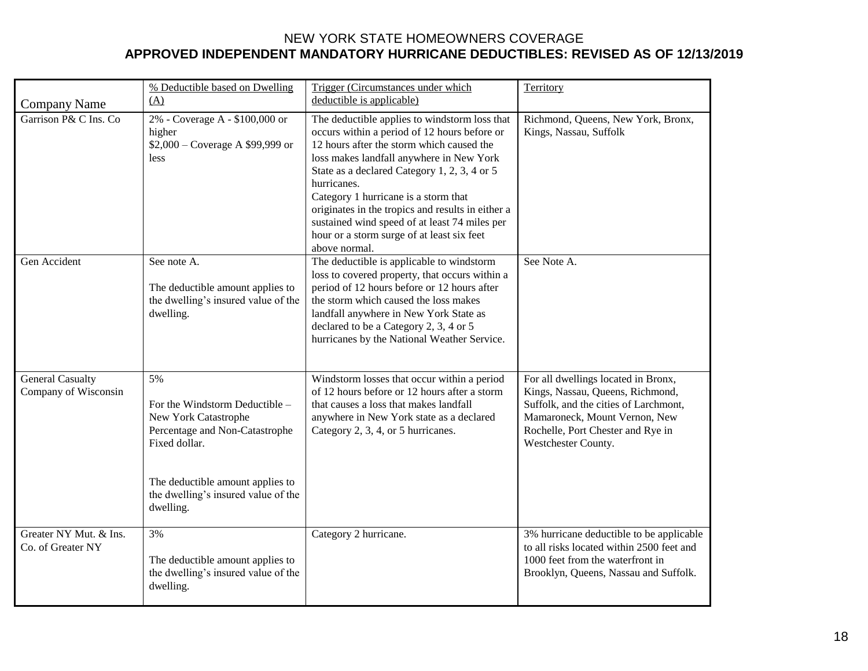|                                                 | % Deductible based on Dwelling                                                                                                                                                                          | Trigger (Circumstances under which                                                                                                                                                                                                                                                                                                                                                                                                                                 | Territory                                                                                                                                                                                                     |
|-------------------------------------------------|---------------------------------------------------------------------------------------------------------------------------------------------------------------------------------------------------------|--------------------------------------------------------------------------------------------------------------------------------------------------------------------------------------------------------------------------------------------------------------------------------------------------------------------------------------------------------------------------------------------------------------------------------------------------------------------|---------------------------------------------------------------------------------------------------------------------------------------------------------------------------------------------------------------|
| <b>Company Name</b>                             | (A)                                                                                                                                                                                                     | deductible is applicable)                                                                                                                                                                                                                                                                                                                                                                                                                                          |                                                                                                                                                                                                               |
| Garrison P& C Ins. Co                           | 2% - Coverage A - \$100,000 or<br>higher<br>\$2,000 – Coverage A \$99,999 or<br>less                                                                                                                    | The deductible applies to windstorm loss that<br>occurs within a period of 12 hours before or<br>12 hours after the storm which caused the<br>loss makes landfall anywhere in New York<br>State as a declared Category 1, 2, 3, 4 or 5<br>hurricanes.<br>Category 1 hurricane is a storm that<br>originates in the tropics and results in either a<br>sustained wind speed of at least 74 miles per<br>hour or a storm surge of at least six feet<br>above normal. | Richmond, Queens, New York, Bronx,<br>Kings, Nassau, Suffolk                                                                                                                                                  |
| Gen Accident                                    | See note A.<br>The deductible amount applies to<br>the dwelling's insured value of the<br>dwelling.                                                                                                     | The deductible is applicable to windstorm<br>loss to covered property, that occurs within a<br>period of 12 hours before or 12 hours after<br>the storm which caused the loss makes<br>landfall anywhere in New York State as<br>declared to be a Category 2, 3, 4 or 5<br>hurricanes by the National Weather Service.                                                                                                                                             | See Note A.                                                                                                                                                                                                   |
| <b>General Casualty</b><br>Company of Wisconsin | 5%<br>For the Windstorm Deductible -<br>New York Catastrophe<br>Percentage and Non-Catastrophe<br>Fixed dollar.<br>The deductible amount applies to<br>the dwelling's insured value of the<br>dwelling. | Windstorm losses that occur within a period<br>of 12 hours before or 12 hours after a storm<br>that causes a loss that makes landfall<br>anywhere in New York state as a declared<br>Category 2, 3, 4, or 5 hurricanes.                                                                                                                                                                                                                                            | For all dwellings located in Bronx,<br>Kings, Nassau, Queens, Richmond,<br>Suffolk, and the cities of Larchmont,<br>Mamaroneck, Mount Vernon, New<br>Rochelle, Port Chester and Rye in<br>Westchester County. |
| Greater NY Mut. & Ins.<br>Co. of Greater NY     | 3%<br>The deductible amount applies to<br>the dwelling's insured value of the<br>dwelling.                                                                                                              | Category 2 hurricane.                                                                                                                                                                                                                                                                                                                                                                                                                                              | 3% hurricane deductible to be applicable<br>to all risks located within 2500 feet and<br>1000 feet from the waterfront in<br>Brooklyn, Queens, Nassau and Suffolk.                                            |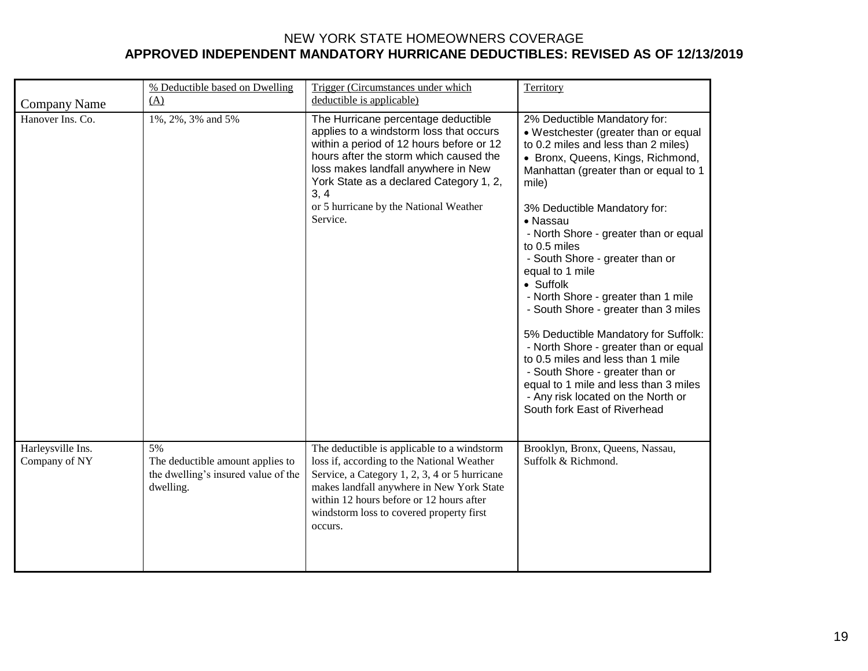|                                    | % Deductible based on Dwelling                                                             | Trigger (Circumstances under which                                                                                                                                                                                                                                                                                   | Territory                                                                                                                                                                                                                                                                                                                                                                                                                                                                                                                                                                                                                                                                                                                         |
|------------------------------------|--------------------------------------------------------------------------------------------|----------------------------------------------------------------------------------------------------------------------------------------------------------------------------------------------------------------------------------------------------------------------------------------------------------------------|-----------------------------------------------------------------------------------------------------------------------------------------------------------------------------------------------------------------------------------------------------------------------------------------------------------------------------------------------------------------------------------------------------------------------------------------------------------------------------------------------------------------------------------------------------------------------------------------------------------------------------------------------------------------------------------------------------------------------------------|
| Company Name                       | (A)                                                                                        | deductible is applicable)                                                                                                                                                                                                                                                                                            |                                                                                                                                                                                                                                                                                                                                                                                                                                                                                                                                                                                                                                                                                                                                   |
| Hanover Ins. Co.                   | 1%, 2%, 3% and 5%                                                                          | The Hurricane percentage deductible<br>applies to a windstorm loss that occurs<br>within a period of 12 hours before or 12<br>hours after the storm which caused the<br>loss makes landfall anywhere in New<br>York State as a declared Category 1, 2,<br>3, 4<br>or 5 hurricane by the National Weather<br>Service. | 2% Deductible Mandatory for:<br>• Westchester (greater than or equal<br>to 0.2 miles and less than 2 miles)<br>• Bronx, Queens, Kings, Richmond,<br>Manhattan (greater than or equal to 1<br>mile)<br>3% Deductible Mandatory for:<br>• Nassau<br>- North Shore - greater than or equal<br>to 0.5 miles<br>- South Shore - greater than or<br>equal to 1 mile<br>• Suffolk<br>- North Shore - greater than 1 mile<br>- South Shore - greater than 3 miles<br>5% Deductible Mandatory for Suffolk:<br>- North Shore - greater than or equal<br>to 0.5 miles and less than 1 mile<br>- South Shore - greater than or<br>equal to 1 mile and less than 3 miles<br>- Any risk located on the North or<br>South fork East of Riverhead |
| Harleysville Ins.<br>Company of NY | 5%<br>The deductible amount applies to<br>the dwelling's insured value of the<br>dwelling. | The deductible is applicable to a windstorm<br>loss if, according to the National Weather<br>Service, a Category 1, 2, 3, 4 or 5 hurricane<br>makes landfall anywhere in New York State<br>within 12 hours before or 12 hours after<br>windstorm loss to covered property first<br>occurs.                           | Brooklyn, Bronx, Queens, Nassau,<br>Suffolk & Richmond.                                                                                                                                                                                                                                                                                                                                                                                                                                                                                                                                                                                                                                                                           |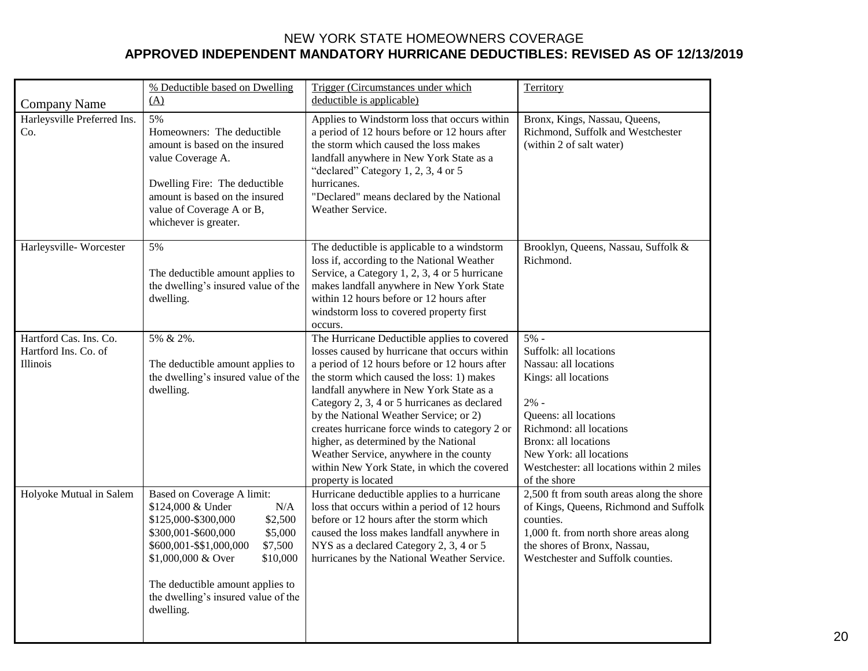|                                                                   | % Deductible based on Dwelling                                                                                                                                                                                                                                                             | Trigger (Circumstances under which                                                                                                                                                                                                                                                                                                                                                                                                                                                                                                           | Territory                                                                                                                                                                                                                                                       |
|-------------------------------------------------------------------|--------------------------------------------------------------------------------------------------------------------------------------------------------------------------------------------------------------------------------------------------------------------------------------------|----------------------------------------------------------------------------------------------------------------------------------------------------------------------------------------------------------------------------------------------------------------------------------------------------------------------------------------------------------------------------------------------------------------------------------------------------------------------------------------------------------------------------------------------|-----------------------------------------------------------------------------------------------------------------------------------------------------------------------------------------------------------------------------------------------------------------|
| <b>Company Name</b>                                               | (A)                                                                                                                                                                                                                                                                                        | deductible is applicable)                                                                                                                                                                                                                                                                                                                                                                                                                                                                                                                    |                                                                                                                                                                                                                                                                 |
| Harleysville Preferred Ins.<br>Co.                                | 5%<br>Homeowners: The deductible<br>amount is based on the insured<br>value Coverage A.<br>Dwelling Fire: The deductible<br>amount is based on the insured<br>value of Coverage A or B,<br>whichever is greater.                                                                           | Applies to Windstorm loss that occurs within<br>a period of 12 hours before or 12 hours after<br>the storm which caused the loss makes<br>landfall anywhere in New York State as a<br>"declared" Category 1, 2, 3, 4 or 5<br>hurricanes.<br>"Declared" means declared by the National<br>Weather Service.                                                                                                                                                                                                                                    | Bronx, Kings, Nassau, Queens,<br>Richmond, Suffolk and Westchester<br>(within 2 of salt water)                                                                                                                                                                  |
| Harleysville-Worcester                                            | 5%<br>The deductible amount applies to<br>the dwelling's insured value of the<br>dwelling.                                                                                                                                                                                                 | The deductible is applicable to a windstorm<br>loss if, according to the National Weather<br>Service, a Category 1, 2, 3, 4 or 5 hurricane<br>makes landfall anywhere in New York State<br>within 12 hours before or 12 hours after<br>windstorm loss to covered property first<br>occurs.                                                                                                                                                                                                                                                   | Brooklyn, Queens, Nassau, Suffolk &<br>Richmond.                                                                                                                                                                                                                |
| Hartford Cas. Ins. Co.<br>Hartford Ins. Co. of<br><b>Illinois</b> | 5% & 2%.<br>The deductible amount applies to<br>the dwelling's insured value of the<br>dwelling.                                                                                                                                                                                           | The Hurricane Deductible applies to covered<br>losses caused by hurricane that occurs within<br>a period of 12 hours before or 12 hours after<br>the storm which caused the loss: 1) makes<br>landfall anywhere in New York State as a<br>Category 2, 3, 4 or 5 hurricanes as declared<br>by the National Weather Service; or 2)<br>creates hurricane force winds to category 2 or<br>higher, as determined by the National<br>Weather Service, anywhere in the county<br>within New York State, in which the covered<br>property is located | $5% -$<br>Suffolk: all locations<br>Nassau: all locations<br>Kings: all locations<br>$2% -$<br>Queens: all locations<br>Richmond: all locations<br>Bronx: all locations<br>New York: all locations<br>Westchester: all locations within 2 miles<br>of the shore |
| Holyoke Mutual in Salem                                           | Based on Coverage A limit:<br>\$124,000 & Under<br>N/A<br>\$2,500<br>\$125,000-\$300,000<br>\$5,000<br>\$300,001-\$600,000<br>\$7,500<br>\$600,001-\$\$1,000,000<br>\$1,000,000 & Over<br>\$10,000<br>The deductible amount applies to<br>the dwelling's insured value of the<br>dwelling. | Hurricane deductible applies to a hurricane<br>loss that occurs within a period of 12 hours<br>before or 12 hours after the storm which<br>caused the loss makes landfall anywhere in<br>NYS as a declared Category 2, 3, 4 or 5<br>hurricanes by the National Weather Service.                                                                                                                                                                                                                                                              | 2,500 ft from south areas along the shore<br>of Kings, Queens, Richmond and Suffolk<br>counties.<br>1,000 ft. from north shore areas along<br>the shores of Bronx, Nassau,<br>Westchester and Suffolk counties.                                                 |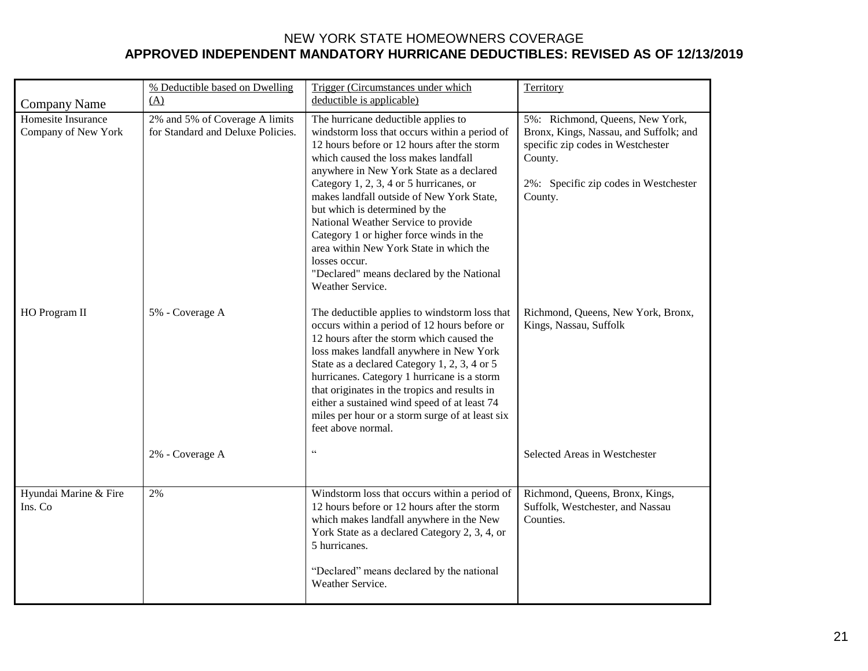|                                           | % Deductible based on Dwelling                                      | Trigger (Circumstances under which                                                                                                                                                                                                                                                                                                                                                                                                                                                                                                                               | Territory                                                                                                                                                                     |
|-------------------------------------------|---------------------------------------------------------------------|------------------------------------------------------------------------------------------------------------------------------------------------------------------------------------------------------------------------------------------------------------------------------------------------------------------------------------------------------------------------------------------------------------------------------------------------------------------------------------------------------------------------------------------------------------------|-------------------------------------------------------------------------------------------------------------------------------------------------------------------------------|
| <b>Company Name</b>                       | (A)                                                                 | deductible is applicable)                                                                                                                                                                                                                                                                                                                                                                                                                                                                                                                                        |                                                                                                                                                                               |
| Homesite Insurance<br>Company of New York | 2% and 5% of Coverage A limits<br>for Standard and Deluxe Policies. | The hurricane deductible applies to<br>windstorm loss that occurs within a period of<br>12 hours before or 12 hours after the storm<br>which caused the loss makes landfall<br>anywhere in New York State as a declared<br>Category 1, 2, 3, 4 or 5 hurricanes, or<br>makes landfall outside of New York State,<br>but which is determined by the<br>National Weather Service to provide<br>Category 1 or higher force winds in the<br>area within New York State in which the<br>losses occur.<br>"Declared" means declared by the National<br>Weather Service. | 5%: Richmond, Queens, New York,<br>Bronx, Kings, Nassau, and Suffolk; and<br>specific zip codes in Westchester<br>County.<br>2%: Specific zip codes in Westchester<br>County. |
| HO Program II                             | 5% - Coverage A                                                     | The deductible applies to windstorm loss that<br>occurs within a period of 12 hours before or<br>12 hours after the storm which caused the<br>loss makes landfall anywhere in New York<br>State as a declared Category 1, 2, 3, 4 or 5<br>hurricanes. Category 1 hurricane is a storm<br>that originates in the tropics and results in<br>either a sustained wind speed of at least 74<br>miles per hour or a storm surge of at least six<br>feet above normal.                                                                                                  | Richmond, Queens, New York, Bronx,<br>Kings, Nassau, Suffolk                                                                                                                  |
|                                           | 2% - Coverage A                                                     | $\zeta\,\zeta$                                                                                                                                                                                                                                                                                                                                                                                                                                                                                                                                                   | Selected Areas in Westchester                                                                                                                                                 |
| Hyundai Marine & Fire<br>Ins. Co          | 2%                                                                  | Windstorm loss that occurs within a period of<br>12 hours before or 12 hours after the storm<br>which makes landfall anywhere in the New<br>York State as a declared Category 2, 3, 4, or<br>5 hurricanes.<br>"Declared" means declared by the national<br>Weather Service.                                                                                                                                                                                                                                                                                      | Richmond, Queens, Bronx, Kings,<br>Suffolk, Westchester, and Nassau<br>Counties.                                                                                              |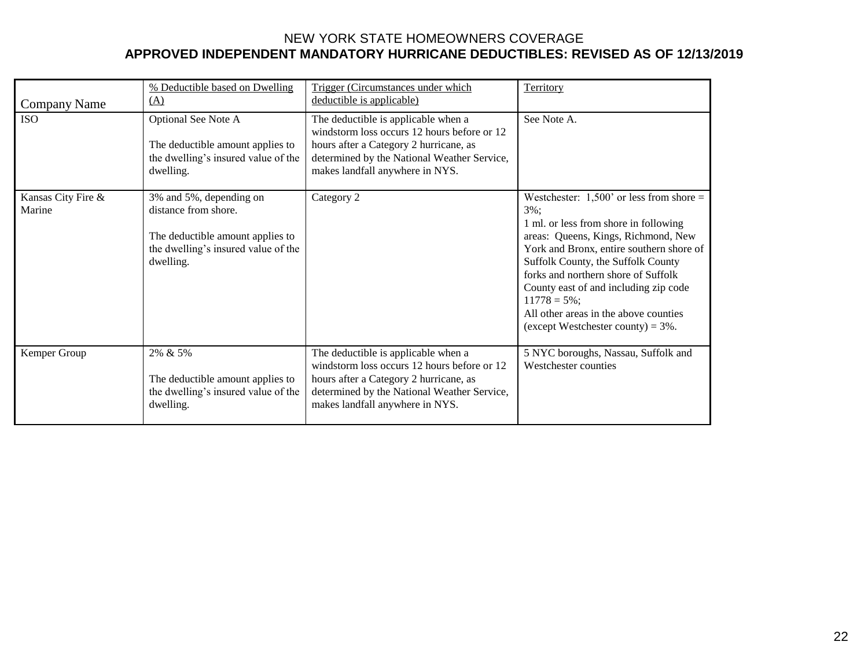| Company Name                 | % Deductible based on Dwelling<br>(A)                                                                                                   | Trigger (Circumstances under which<br>deductible is applicable)                                                                                                                                                | Territory                                                                                                                                                                                                                                                                                                                                                                                                    |
|------------------------------|-----------------------------------------------------------------------------------------------------------------------------------------|----------------------------------------------------------------------------------------------------------------------------------------------------------------------------------------------------------------|--------------------------------------------------------------------------------------------------------------------------------------------------------------------------------------------------------------------------------------------------------------------------------------------------------------------------------------------------------------------------------------------------------------|
| <b>ISO</b>                   | <b>Optional See Note A</b><br>The deductible amount applies to<br>the dwelling's insured value of the<br>dwelling.                      | The deductible is applicable when a<br>windstorm loss occurs 12 hours before or 12<br>hours after a Category 2 hurricane, as<br>determined by the National Weather Service,<br>makes landfall anywhere in NYS. | See Note A.                                                                                                                                                                                                                                                                                                                                                                                                  |
| Kansas City Fire &<br>Marine | 3% and 5%, depending on<br>distance from shore.<br>The deductible amount applies to<br>the dwelling's insured value of the<br>dwelling. | Category 2                                                                                                                                                                                                     | Westchester: $1,500'$ or less from shore =<br>$3\%$ :<br>1 ml. or less from shore in following<br>areas: Queens, Kings, Richmond, New<br>York and Bronx, entire southern shore of<br>Suffolk County, the Suffolk County<br>forks and northern shore of Suffolk<br>County east of and including zip code<br>$11778 = 5\%$ ;<br>All other areas in the above counties<br>(except Westchester county) = $3\%$ . |
| Kemper Group                 | 2% & 5%<br>The deductible amount applies to<br>the dwelling's insured value of the<br>dwelling.                                         | The deductible is applicable when a<br>windstorm loss occurs 12 hours before or 12<br>hours after a Category 2 hurricane, as<br>determined by the National Weather Service,<br>makes landfall anywhere in NYS. | 5 NYC boroughs, Nassau, Suffolk and<br>Westchester counties                                                                                                                                                                                                                                                                                                                                                  |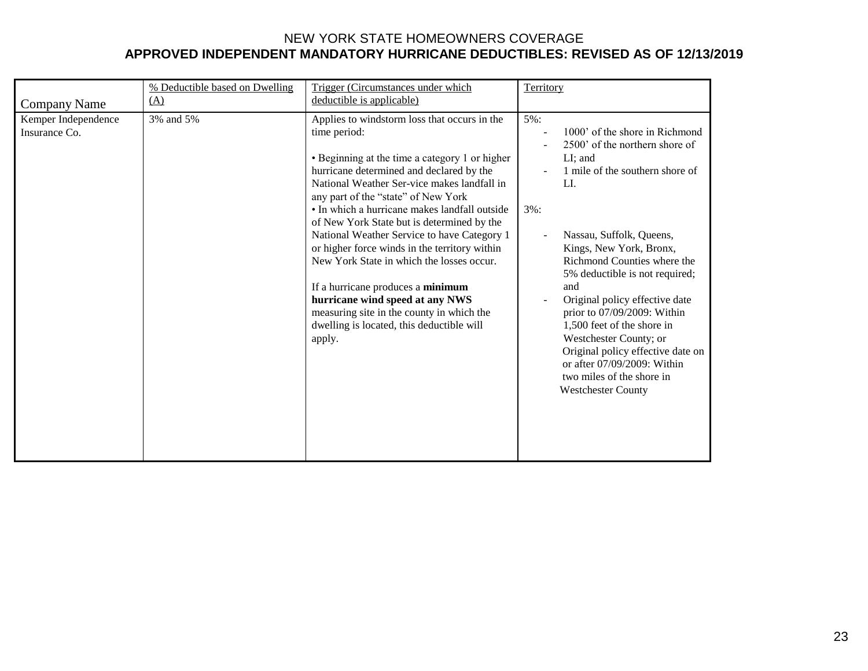|                                      | % Deductible based on Dwelling | Trigger (Circumstances under which                                                                                                                                                                                                                                                                                                                                                                                                                                                                                                                                                                                                                                       | Territory                                                                                                                                                                                                                                                                                                                                                                                                                                                                                                                        |
|--------------------------------------|--------------------------------|--------------------------------------------------------------------------------------------------------------------------------------------------------------------------------------------------------------------------------------------------------------------------------------------------------------------------------------------------------------------------------------------------------------------------------------------------------------------------------------------------------------------------------------------------------------------------------------------------------------------------------------------------------------------------|----------------------------------------------------------------------------------------------------------------------------------------------------------------------------------------------------------------------------------------------------------------------------------------------------------------------------------------------------------------------------------------------------------------------------------------------------------------------------------------------------------------------------------|
| <b>Company Name</b>                  | (A)                            | deductible is applicable)                                                                                                                                                                                                                                                                                                                                                                                                                                                                                                                                                                                                                                                |                                                                                                                                                                                                                                                                                                                                                                                                                                                                                                                                  |
| Kemper Independence<br>Insurance Co. | 3% and 5%                      | Applies to windstorm loss that occurs in the<br>time period:<br>• Beginning at the time a category 1 or higher<br>hurricane determined and declared by the<br>National Weather Ser-vice makes landfall in<br>any part of the "state" of New York<br>• In which a hurricane makes landfall outside<br>of New York State but is determined by the<br>National Weather Service to have Category 1<br>or higher force winds in the territory within<br>New York State in which the losses occur.<br>If a hurricane produces a minimum<br>hurricane wind speed at any NWS<br>measuring site in the county in which the<br>dwelling is located, this deductible will<br>apply. | 5%:<br>1000' of the shore in Richmond<br>2500' of the northern shore of<br>$LI$ ; and<br>1 mile of the southern shore of<br>LI.<br>$3\%$ :<br>Nassau, Suffolk, Queens,<br>Kings, New York, Bronx,<br>Richmond Counties where the<br>5% deductible is not required;<br>and<br>Original policy effective date<br>prior to 07/09/2009: Within<br>1,500 feet of the shore in<br>Westchester County; or<br>Original policy effective date on<br>or after 07/09/2009: Within<br>two miles of the shore in<br><b>Westchester County</b> |
|                                      |                                |                                                                                                                                                                                                                                                                                                                                                                                                                                                                                                                                                                                                                                                                          |                                                                                                                                                                                                                                                                                                                                                                                                                                                                                                                                  |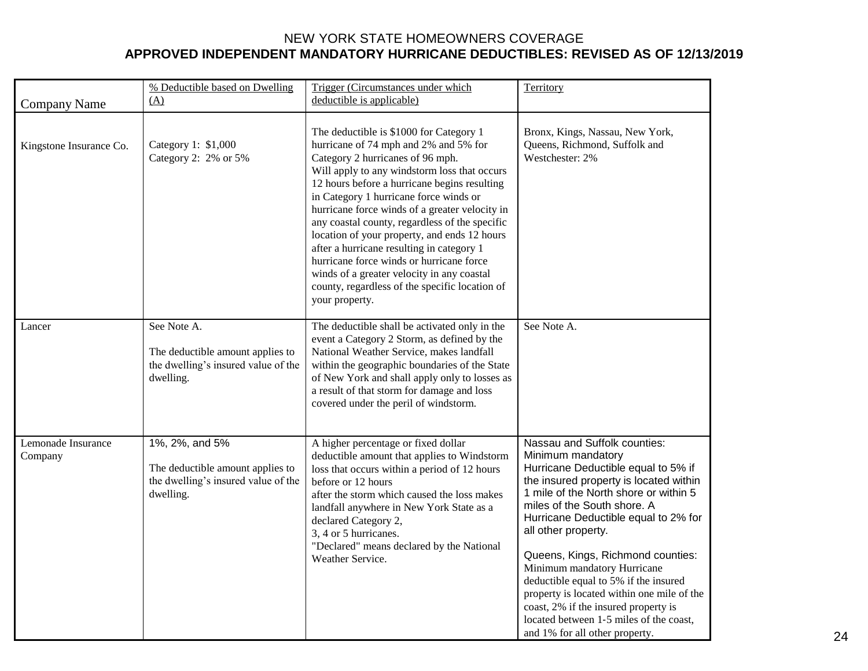|                               | % Deductible based on Dwelling<br>(A)                                                                  | Trigger (Circumstances under which<br>deductible is applicable)                                                                                                                                                                                                                                                                                                                                                                                                                                                                                                                                                               | Territory                                                                                                                                                                                                                                                                                                                                                                                                                                                                                                                                                 |
|-------------------------------|--------------------------------------------------------------------------------------------------------|-------------------------------------------------------------------------------------------------------------------------------------------------------------------------------------------------------------------------------------------------------------------------------------------------------------------------------------------------------------------------------------------------------------------------------------------------------------------------------------------------------------------------------------------------------------------------------------------------------------------------------|-----------------------------------------------------------------------------------------------------------------------------------------------------------------------------------------------------------------------------------------------------------------------------------------------------------------------------------------------------------------------------------------------------------------------------------------------------------------------------------------------------------------------------------------------------------|
| <b>Company Name</b>           |                                                                                                        |                                                                                                                                                                                                                                                                                                                                                                                                                                                                                                                                                                                                                               |                                                                                                                                                                                                                                                                                                                                                                                                                                                                                                                                                           |
| Kingstone Insurance Co.       | Category 1: \$1,000<br>Category 2: 2% or 5%                                                            | The deductible is \$1000 for Category 1<br>hurricane of 74 mph and 2% and 5% for<br>Category 2 hurricanes of 96 mph.<br>Will apply to any windstorm loss that occurs<br>12 hours before a hurricane begins resulting<br>in Category 1 hurricane force winds or<br>hurricane force winds of a greater velocity in<br>any coastal county, regardless of the specific<br>location of your property, and ends 12 hours<br>after a hurricane resulting in category 1<br>hurricane force winds or hurricane force<br>winds of a greater velocity in any coastal<br>county, regardless of the specific location of<br>your property. | Bronx, Kings, Nassau, New York,<br>Queens, Richmond, Suffolk and<br>Westchester: 2%                                                                                                                                                                                                                                                                                                                                                                                                                                                                       |
| Lancer                        | See Note A.<br>The deductible amount applies to<br>the dwelling's insured value of the<br>dwelling.    | The deductible shall be activated only in the<br>event a Category 2 Storm, as defined by the<br>National Weather Service, makes landfall<br>within the geographic boundaries of the State<br>of New York and shall apply only to losses as<br>a result of that storm for damage and loss<br>covered under the peril of windstorm.                                                                                                                                                                                                                                                                                             | See Note A.                                                                                                                                                                                                                                                                                                                                                                                                                                                                                                                                               |
| Lemonade Insurance<br>Company | 1%, 2%, and 5%<br>The deductible amount applies to<br>the dwelling's insured value of the<br>dwelling. | A higher percentage or fixed dollar<br>deductible amount that applies to Windstorm<br>loss that occurs within a period of 12 hours<br>before or 12 hours<br>after the storm which caused the loss makes<br>landfall anywhere in New York State as a<br>declared Category 2,<br>3, 4 or 5 hurricanes.<br>"Declared" means declared by the National<br>Weather Service.                                                                                                                                                                                                                                                         | Nassau and Suffolk counties:<br>Minimum mandatory<br>Hurricane Deductible equal to 5% if<br>the insured property is located within<br>1 mile of the North shore or within 5<br>miles of the South shore. A<br>Hurricane Deductible equal to 2% for<br>all other property.<br>Queens, Kings, Richmond counties:<br>Minimum mandatory Hurricane<br>deductible equal to 5% if the insured<br>property is located within one mile of the<br>coast, 2% if the insured property is<br>located between 1-5 miles of the coast,<br>and 1% for all other property. |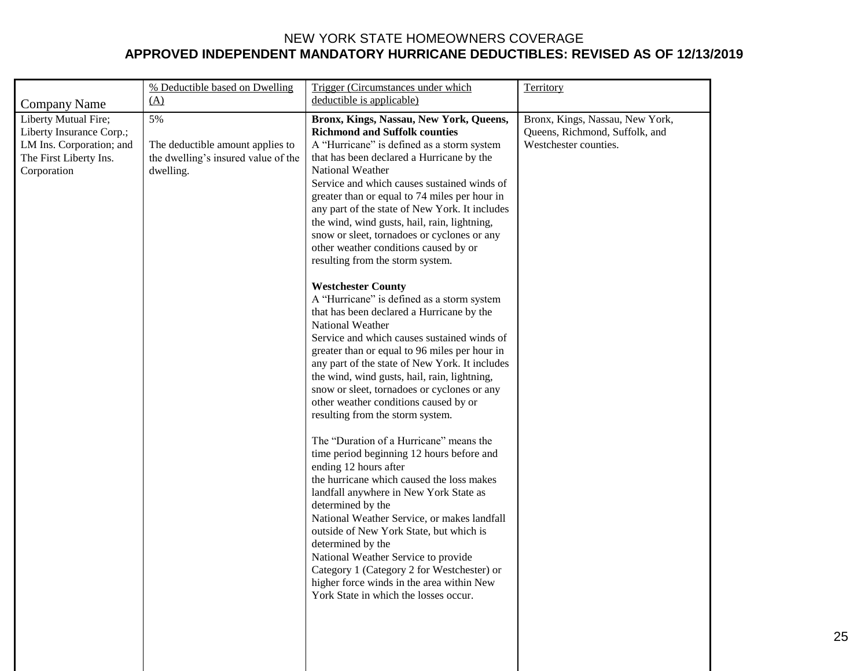|                                                                                                                       | % Deductible based on Dwelling                                                                    | Trigger (Circumstances under which                                                                                                                                                                                                                                                                                                                                                                                                                                                                                                                                                                                                                                                                                                                                                                 | Territory                                                                                  |
|-----------------------------------------------------------------------------------------------------------------------|---------------------------------------------------------------------------------------------------|----------------------------------------------------------------------------------------------------------------------------------------------------------------------------------------------------------------------------------------------------------------------------------------------------------------------------------------------------------------------------------------------------------------------------------------------------------------------------------------------------------------------------------------------------------------------------------------------------------------------------------------------------------------------------------------------------------------------------------------------------------------------------------------------------|--------------------------------------------------------------------------------------------|
| <b>Company Name</b>                                                                                                   |                                                                                                   |                                                                                                                                                                                                                                                                                                                                                                                                                                                                                                                                                                                                                                                                                                                                                                                                    |                                                                                            |
| Liberty Mutual Fire;<br>Liberty Insurance Corp.;<br>LM Ins. Corporation; and<br>The First Liberty Ins.<br>Corporation | (A)<br>5%<br>The deductible amount applies to<br>the dwelling's insured value of the<br>dwelling. | deductible is applicable)<br>Bronx, Kings, Nassau, New York, Queens,<br><b>Richmond and Suffolk counties</b><br>A "Hurricane" is defined as a storm system<br>that has been declared a Hurricane by the<br>National Weather<br>Service and which causes sustained winds of<br>greater than or equal to 74 miles per hour in<br>any part of the state of New York. It includes<br>the wind, wind gusts, hail, rain, lightning,<br>snow or sleet, tornadoes or cyclones or any<br>other weather conditions caused by or<br>resulting from the storm system.<br><b>Westchester County</b><br>A "Hurricane" is defined as a storm system<br>that has been declared a Hurricane by the<br>National Weather<br>Service and which causes sustained winds of                                               | Bronx, Kings, Nassau, New York,<br>Queens, Richmond, Suffolk, and<br>Westchester counties. |
|                                                                                                                       |                                                                                                   | greater than or equal to 96 miles per hour in<br>any part of the state of New York. It includes<br>the wind, wind gusts, hail, rain, lightning,<br>snow or sleet, tornadoes or cyclones or any<br>other weather conditions caused by or<br>resulting from the storm system.<br>The "Duration of a Hurricane" means the<br>time period beginning 12 hours before and<br>ending 12 hours after<br>the hurricane which caused the loss makes<br>landfall anywhere in New York State as<br>determined by the<br>National Weather Service, or makes landfall<br>outside of New York State, but which is<br>determined by the<br>National Weather Service to provide<br>Category 1 (Category 2 for Westchester) or<br>higher force winds in the area within New<br>York State in which the losses occur. |                                                                                            |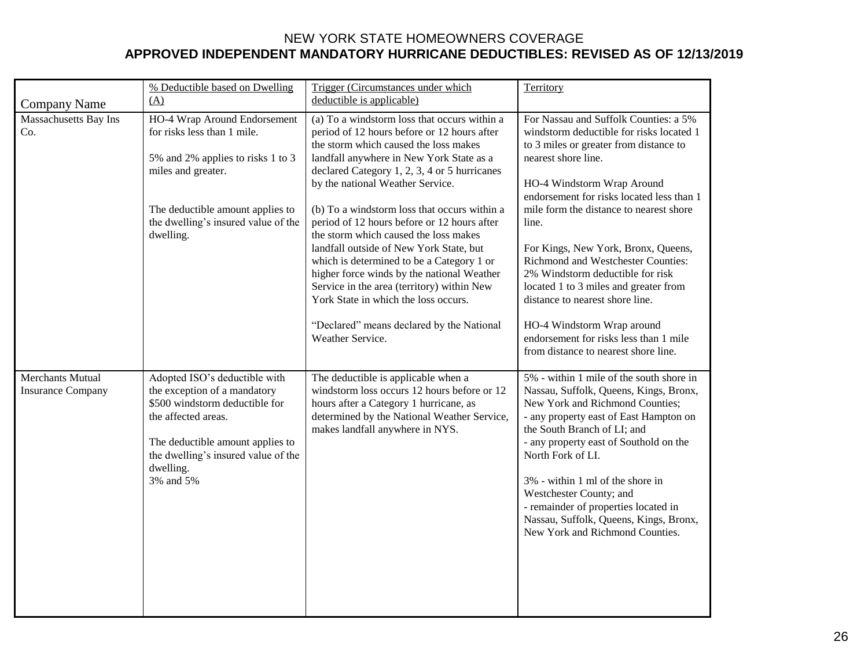|                                              | % Deductible based on Dwelling                                                                                                                                                                                              | Trigger (Circumstances under which                                                                                                                                                                                                                                                                                                                                                                                                                                                                                                                                                                                                                                                                        | Territory                                                                                                                                                                                                                                                                                                                                                                                                                                                                                                                                                                                      |
|----------------------------------------------|-----------------------------------------------------------------------------------------------------------------------------------------------------------------------------------------------------------------------------|-----------------------------------------------------------------------------------------------------------------------------------------------------------------------------------------------------------------------------------------------------------------------------------------------------------------------------------------------------------------------------------------------------------------------------------------------------------------------------------------------------------------------------------------------------------------------------------------------------------------------------------------------------------------------------------------------------------|------------------------------------------------------------------------------------------------------------------------------------------------------------------------------------------------------------------------------------------------------------------------------------------------------------------------------------------------------------------------------------------------------------------------------------------------------------------------------------------------------------------------------------------------------------------------------------------------|
| <b>Company Name</b>                          | (A)                                                                                                                                                                                                                         | deductible is applicable)                                                                                                                                                                                                                                                                                                                                                                                                                                                                                                                                                                                                                                                                                 |                                                                                                                                                                                                                                                                                                                                                                                                                                                                                                                                                                                                |
| Massachusetts Bay Ins<br>Co.                 | HO-4 Wrap Around Endorsement<br>for risks less than 1 mile.<br>5% and 2% applies to risks 1 to 3<br>miles and greater.<br>The deductible amount applies to<br>the dwelling's insured value of the<br>dwelling.              | (a) To a windstorm loss that occurs within a<br>period of 12 hours before or 12 hours after<br>the storm which caused the loss makes<br>landfall anywhere in New York State as a<br>declared Category 1, 2, 3, 4 or 5 hurricanes<br>by the national Weather Service.<br>(b) To a windstorm loss that occurs within a<br>period of 12 hours before or 12 hours after<br>the storm which caused the loss makes<br>landfall outside of New York State, but<br>which is determined to be a Category 1 or<br>higher force winds by the national Weather<br>Service in the area (territory) within New<br>York State in which the loss occurs.<br>"Declared" means declared by the National<br>Weather Service. | For Nassau and Suffolk Counties: a 5%<br>windstorm deductible for risks located 1<br>to 3 miles or greater from distance to<br>nearest shore line.<br>HO-4 Windstorm Wrap Around<br>endorsement for risks located less than 1<br>mile form the distance to nearest shore<br>line.<br>For Kings, New York, Bronx, Queens,<br>Richmond and Westchester Counties:<br>2% Windstorm deductible for risk<br>located 1 to 3 miles and greater from<br>distance to nearest shore line.<br>HO-4 Windstorm Wrap around<br>endorsement for risks less than 1 mile<br>from distance to nearest shore line. |
| Merchants Mutual<br><b>Insurance Company</b> | Adopted ISO's deductible with<br>the exception of a mandatory<br>\$500 windstorm deductible for<br>the affected areas.<br>The deductible amount applies to<br>the dwelling's insured value of the<br>dwelling.<br>3% and 5% | The deductible is applicable when a<br>windstorm loss occurs 12 hours before or 12<br>hours after a Category 1 hurricane, as<br>determined by the National Weather Service,<br>makes landfall anywhere in NYS.                                                                                                                                                                                                                                                                                                                                                                                                                                                                                            | 5% - within 1 mile of the south shore in<br>Nassau, Suffolk, Queens, Kings, Bronx,<br>New York and Richmond Counties;<br>- any property east of East Hampton on<br>the South Branch of LI; and<br>- any property east of Southold on the<br>North Fork of LI.<br>3% - within 1 ml of the shore in<br>Westchester County; and<br>- remainder of properties located in<br>Nassau, Suffolk, Queens, Kings, Bronx,<br>New York and Richmond Counties.                                                                                                                                              |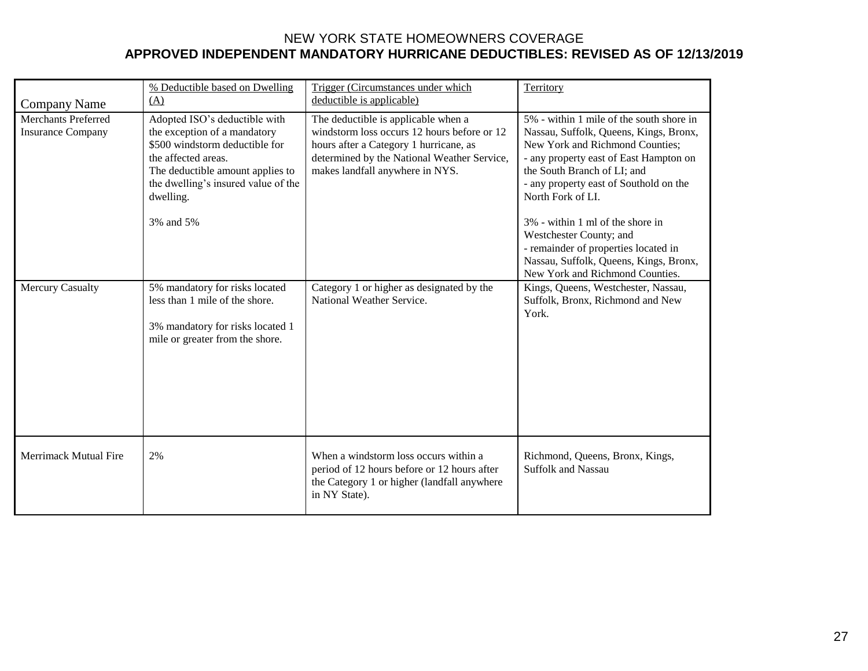| Company Name                                           | % Deductible based on Dwelling<br>(A)                                                                                                                                                                                       | Trigger (Circumstances under which<br>deductible is applicable)                                                                                                                                                | Territory                                                                                                                                                                                                                                                                                                                                                                                                                                         |
|--------------------------------------------------------|-----------------------------------------------------------------------------------------------------------------------------------------------------------------------------------------------------------------------------|----------------------------------------------------------------------------------------------------------------------------------------------------------------------------------------------------------------|---------------------------------------------------------------------------------------------------------------------------------------------------------------------------------------------------------------------------------------------------------------------------------------------------------------------------------------------------------------------------------------------------------------------------------------------------|
| <b>Merchants Preferred</b><br><b>Insurance Company</b> | Adopted ISO's deductible with<br>the exception of a mandatory<br>\$500 windstorm deductible for<br>the affected areas.<br>The deductible amount applies to<br>the dwelling's insured value of the<br>dwelling.<br>3% and 5% | The deductible is applicable when a<br>windstorm loss occurs 12 hours before or 12<br>hours after a Category 1 hurricane, as<br>determined by the National Weather Service,<br>makes landfall anywhere in NYS. | 5% - within 1 mile of the south shore in<br>Nassau, Suffolk, Queens, Kings, Bronx,<br>New York and Richmond Counties;<br>- any property east of East Hampton on<br>the South Branch of LI; and<br>- any property east of Southold on the<br>North Fork of LI.<br>3% - within 1 ml of the shore in<br>Westchester County; and<br>- remainder of properties located in<br>Nassau, Suffolk, Queens, Kings, Bronx,<br>New York and Richmond Counties. |
| <b>Mercury Casualty</b>                                | 5% mandatory for risks located<br>less than 1 mile of the shore.<br>3% mandatory for risks located 1<br>mile or greater from the shore.                                                                                     | Category 1 or higher as designated by the<br>National Weather Service.                                                                                                                                         | Kings, Queens, Westchester, Nassau,<br>Suffolk, Bronx, Richmond and New<br>York.                                                                                                                                                                                                                                                                                                                                                                  |
| Merrimack Mutual Fire                                  | 2%                                                                                                                                                                                                                          | When a windstorm loss occurs within a<br>period of 12 hours before or 12 hours after<br>the Category 1 or higher (landfall anywhere<br>in NY State).                                                           | Richmond, Queens, Bronx, Kings,<br><b>Suffolk and Nassau</b>                                                                                                                                                                                                                                                                                                                                                                                      |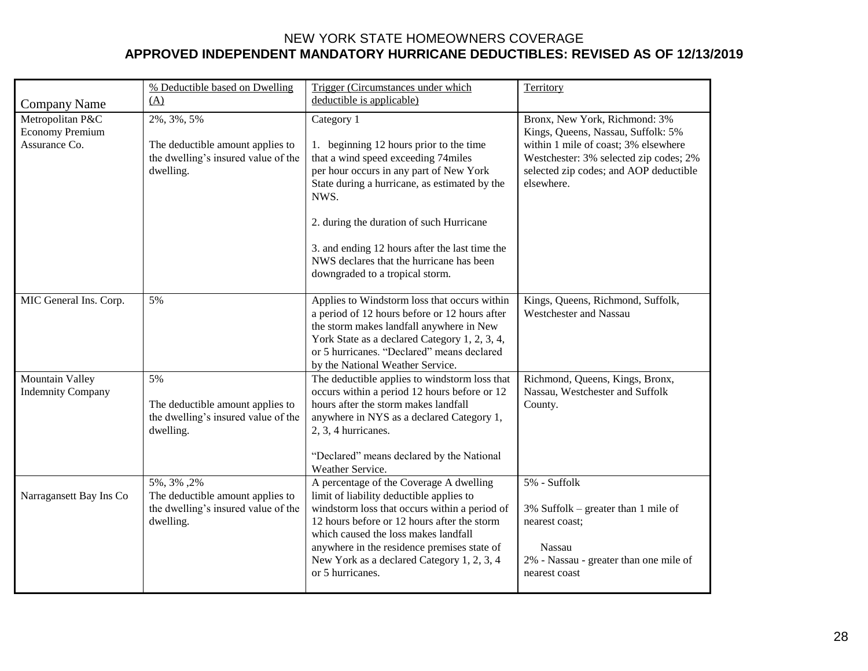|                                             | % Deductible based on Dwelling                                                                     | Trigger (Circumstances under which                                                                                                                                                                                                                                                                                                           | Territory                                                                                                                                  |
|---------------------------------------------|----------------------------------------------------------------------------------------------------|----------------------------------------------------------------------------------------------------------------------------------------------------------------------------------------------------------------------------------------------------------------------------------------------------------------------------------------------|--------------------------------------------------------------------------------------------------------------------------------------------|
| <b>Company Name</b>                         | (A)                                                                                                | deductible is applicable)                                                                                                                                                                                                                                                                                                                    |                                                                                                                                            |
| Metropolitan P&C<br><b>Economy Premium</b>  | 2%, 3%, 5%                                                                                         | Category 1                                                                                                                                                                                                                                                                                                                                   | Bronx, New York, Richmond: 3%<br>Kings, Queens, Nassau, Suffolk: 5%                                                                        |
| Assurance Co.                               | The deductible amount applies to<br>the dwelling's insured value of the<br>dwelling.               | 1. beginning 12 hours prior to the time<br>that a wind speed exceeding 74miles<br>per hour occurs in any part of New York<br>State during a hurricane, as estimated by the<br>NWS.                                                                                                                                                           | within 1 mile of coast; 3% elsewhere<br>Westchester: 3% selected zip codes; 2%<br>selected zip codes; and AOP deductible<br>elsewhere.     |
|                                             |                                                                                                    | 2. during the duration of such Hurricane                                                                                                                                                                                                                                                                                                     |                                                                                                                                            |
|                                             |                                                                                                    | 3. and ending 12 hours after the last time the<br>NWS declares that the hurricane has been<br>downgraded to a tropical storm.                                                                                                                                                                                                                |                                                                                                                                            |
| MIC General Ins. Corp.                      | 5%                                                                                                 | Applies to Windstorm loss that occurs within<br>a period of 12 hours before or 12 hours after<br>the storm makes landfall anywhere in New<br>York State as a declared Category 1, 2, 3, 4,<br>or 5 hurricanes. "Declared" means declared<br>by the National Weather Service.                                                                 | Kings, Queens, Richmond, Suffolk,<br><b>Westchester and Nassau</b>                                                                         |
| Mountain Valley<br><b>Indemnity Company</b> | 5%<br>The deductible amount applies to<br>the dwelling's insured value of the<br>dwelling.         | The deductible applies to windstorm loss that<br>occurs within a period 12 hours before or 12<br>hours after the storm makes landfall<br>anywhere in NYS as a declared Category 1,<br>2, 3, 4 hurricanes.<br>"Declared" means declared by the National<br>Weather Service.                                                                   | Richmond, Queens, Kings, Bronx,<br>Nassau, Westchester and Suffolk<br>County.                                                              |
| Narragansett Bay Ins Co                     | 5%, 3%, 2%<br>The deductible amount applies to<br>the dwelling's insured value of the<br>dwelling. | A percentage of the Coverage A dwelling<br>limit of liability deductible applies to<br>windstorm loss that occurs within a period of<br>12 hours before or 12 hours after the storm<br>which caused the loss makes landfall<br>anywhere in the residence premises state of<br>New York as a declared Category 1, 2, 3, 4<br>or 5 hurricanes. | 5% - Suffolk<br>3% Suffolk – greater than 1 mile of<br>nearest coast;<br>Nassau<br>2% - Nassau - greater than one mile of<br>nearest coast |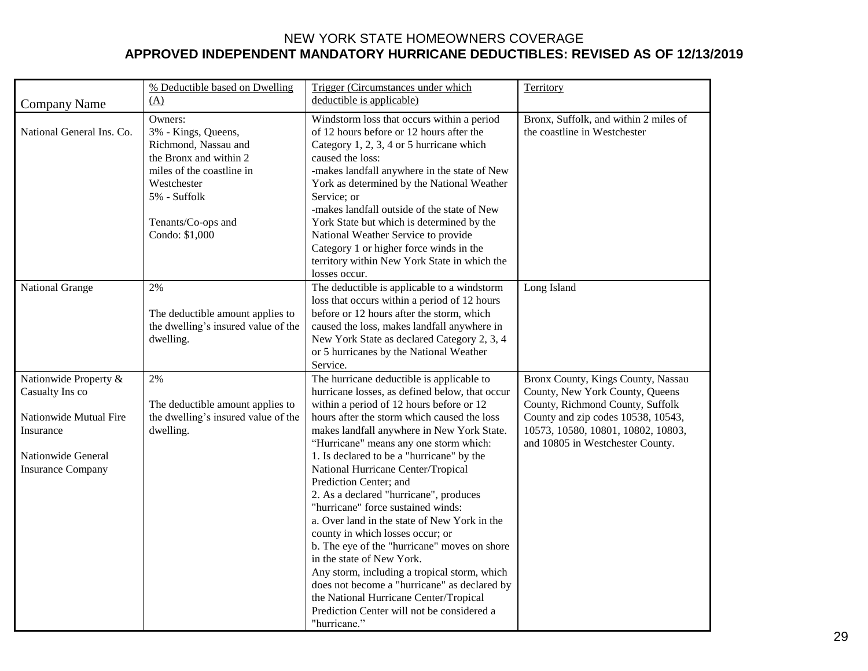|                                                                                                                                   | % Deductible based on Dwelling                                                                                                                                                       | Trigger (Circumstances under which                                                                                                                                                                                                                                                                                                                                                                                                                                                                                                                                                                                                                                                                                                                                                                                                                   | Territory                                                                                                                                                                                                                 |
|-----------------------------------------------------------------------------------------------------------------------------------|--------------------------------------------------------------------------------------------------------------------------------------------------------------------------------------|------------------------------------------------------------------------------------------------------------------------------------------------------------------------------------------------------------------------------------------------------------------------------------------------------------------------------------------------------------------------------------------------------------------------------------------------------------------------------------------------------------------------------------------------------------------------------------------------------------------------------------------------------------------------------------------------------------------------------------------------------------------------------------------------------------------------------------------------------|---------------------------------------------------------------------------------------------------------------------------------------------------------------------------------------------------------------------------|
| <b>Company Name</b>                                                                                                               | (A)                                                                                                                                                                                  | deductible is applicable)                                                                                                                                                                                                                                                                                                                                                                                                                                                                                                                                                                                                                                                                                                                                                                                                                            |                                                                                                                                                                                                                           |
| National General Ins. Co.                                                                                                         | Owners:<br>3% - Kings, Queens,<br>Richmond, Nassau and<br>the Bronx and within 2<br>miles of the coastline in<br>Westchester<br>5% - Suffolk<br>Tenants/Co-ops and<br>Condo: \$1,000 | Windstorm loss that occurs within a period<br>of 12 hours before or 12 hours after the<br>Category 1, 2, 3, 4 or 5 hurricane which<br>caused the loss:<br>-makes landfall anywhere in the state of New<br>York as determined by the National Weather<br>Service; or<br>-makes landfall outside of the state of New<br>York State but which is determined by the<br>National Weather Service to provide<br>Category 1 or higher force winds in the<br>territory within New York State in which the<br>losses occur.                                                                                                                                                                                                                                                                                                                                   | Bronx, Suffolk, and within 2 miles of<br>the coastline in Westchester                                                                                                                                                     |
| National Grange                                                                                                                   | 2%<br>The deductible amount applies to<br>the dwelling's insured value of the<br>dwelling.                                                                                           | The deductible is applicable to a windstorm<br>loss that occurs within a period of 12 hours<br>before or 12 hours after the storm, which<br>caused the loss, makes landfall anywhere in<br>New York State as declared Category 2, 3, 4<br>or 5 hurricanes by the National Weather<br>Service.                                                                                                                                                                                                                                                                                                                                                                                                                                                                                                                                                        | Long Island                                                                                                                                                                                                               |
| Nationwide Property &<br>Casualty Ins co<br>Nationwide Mutual Fire<br>Insurance<br>Nationwide General<br><b>Insurance Company</b> | 2%<br>The deductible amount applies to<br>the dwelling's insured value of the<br>dwelling.                                                                                           | The hurricane deductible is applicable to<br>hurricane losses, as defined below, that occur<br>within a period of 12 hours before or 12<br>hours after the storm which caused the loss<br>makes landfall anywhere in New York State.<br>"Hurricane" means any one storm which:<br>1. Is declared to be a "hurricane" by the<br>National Hurricane Center/Tropical<br>Prediction Center; and<br>2. As a declared "hurricane", produces<br>"hurricane" force sustained winds:<br>a. Over land in the state of New York in the<br>county in which losses occur; or<br>b. The eye of the "hurricane" moves on shore<br>in the state of New York.<br>Any storm, including a tropical storm, which<br>does not become a "hurricane" as declared by<br>the National Hurricane Center/Tropical<br>Prediction Center will not be considered a<br>"hurricane." | Bronx County, Kings County, Nassau<br>County, New York County, Queens<br>County, Richmond County, Suffolk<br>County and zip codes 10538, 10543,<br>10573, 10580, 10801, 10802, 10803,<br>and 10805 in Westchester County. |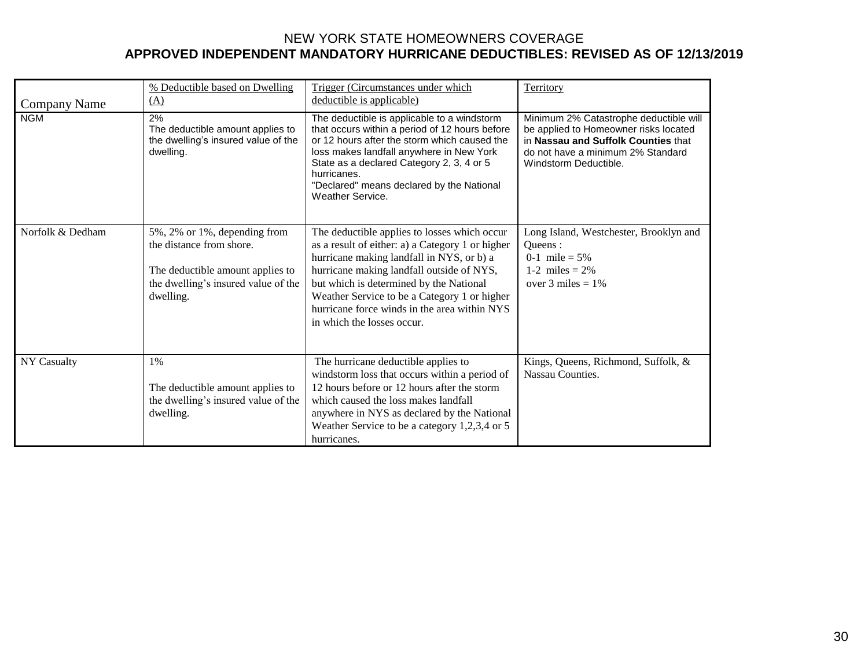|                    | % Deductible based on Dwelling                                                                                                                   | Trigger (Circumstances under which                                                                                                                                                                                                                                                                                                                                  | Territory                                                                                                                                                                            |
|--------------------|--------------------------------------------------------------------------------------------------------------------------------------------------|---------------------------------------------------------------------------------------------------------------------------------------------------------------------------------------------------------------------------------------------------------------------------------------------------------------------------------------------------------------------|--------------------------------------------------------------------------------------------------------------------------------------------------------------------------------------|
| Company Name       | (A)                                                                                                                                              | deductible is applicable)                                                                                                                                                                                                                                                                                                                                           |                                                                                                                                                                                      |
| <b>NGM</b>         | 2%<br>The deductible amount applies to<br>the dwelling's insured value of the<br>dwelling.                                                       | The deductible is applicable to a windstorm<br>that occurs within a period of 12 hours before<br>or 12 hours after the storm which caused the<br>loss makes landfall anywhere in New York<br>State as a declared Category 2, 3, 4 or 5<br>hurricanes.<br>"Declared" means declared by the National<br>Weather Service.                                              | Minimum 2% Catastrophe deductible will<br>be applied to Homeowner risks located<br>in Nassau and Suffolk Counties that<br>do not have a minimum 2% Standard<br>Windstorm Deductible. |
| Norfolk & Dedham   | 5%, 2% or 1%, depending from<br>the distance from shore.<br>The deductible amount applies to<br>the dwelling's insured value of the<br>dwelling. | The deductible applies to losses which occur<br>as a result of either: a) a Category 1 or higher<br>hurricane making landfall in NYS, or b) a<br>hurricane making landfall outside of NYS,<br>but which is determined by the National<br>Weather Service to be a Category 1 or higher<br>hurricane force winds in the area within NYS<br>in which the losses occur. | Long Island, Westchester, Brooklyn and<br>Oueens :<br>0-1 mile = $5\%$<br>1-2 miles = $2%$<br>over 3 miles $= 1\%$                                                                   |
| <b>NY Casualty</b> | 1%<br>The deductible amount applies to<br>the dwelling's insured value of the<br>dwelling.                                                       | The hurricane deductible applies to<br>windstorm loss that occurs within a period of<br>12 hours before or 12 hours after the storm<br>which caused the loss makes landfall<br>anywhere in NYS as declared by the National<br>Weather Service to be a category $1,2,3,4$ or 5<br>hurricanes.                                                                        | Kings, Queens, Richmond, Suffolk, &<br>Nassau Counties.                                                                                                                              |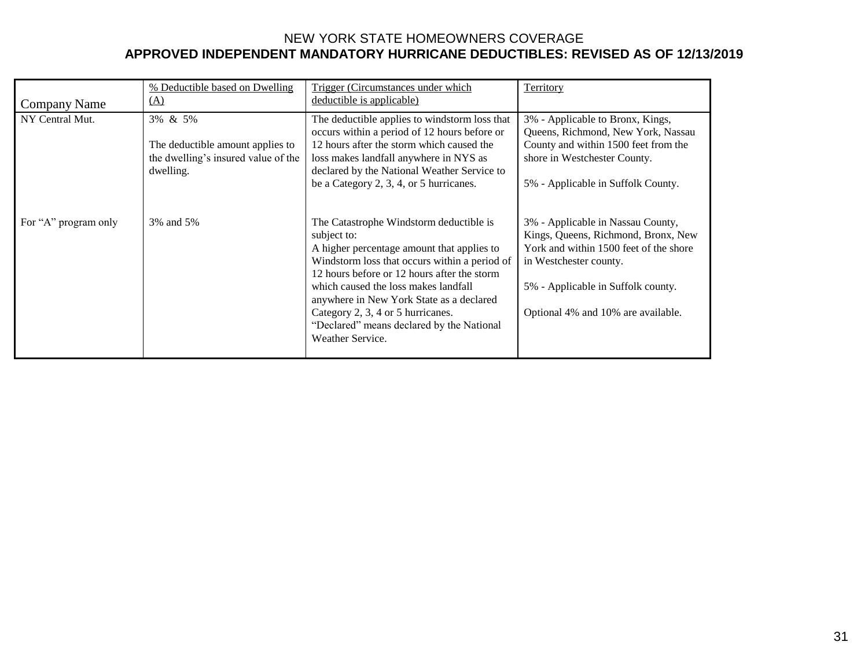| Company Name         | % Deductible based on Dwelling<br>$\Delta$                                                      | Trigger (Circumstances under which<br>deductible is applicable)                                                                                                                                                                                                                                                                                                                                | Territory                                                                                                                                                                                                                |
|----------------------|-------------------------------------------------------------------------------------------------|------------------------------------------------------------------------------------------------------------------------------------------------------------------------------------------------------------------------------------------------------------------------------------------------------------------------------------------------------------------------------------------------|--------------------------------------------------------------------------------------------------------------------------------------------------------------------------------------------------------------------------|
| NY Central Mut.      | 3% & 5%<br>The deductible amount applies to<br>the dwelling's insured value of the<br>dwelling. | The deductible applies to windstorm loss that<br>occurs within a period of 12 hours before or<br>12 hours after the storm which caused the<br>loss makes landfall anywhere in NYS as<br>declared by the National Weather Service to<br>be a Category 2, 3, 4, or 5 hurricanes.                                                                                                                 | 3% - Applicable to Bronx, Kings,<br>Queens, Richmond, New York, Nassau<br>County and within 1500 feet from the<br>shore in Westchester County.<br>5% - Applicable in Suffolk County.                                     |
| For "A" program only | 3% and 5%                                                                                       | The Catastrophe Windstorm deductible is<br>subject to:<br>A higher percentage amount that applies to<br>Windstorm loss that occurs within a period of<br>12 hours before or 12 hours after the storm<br>which caused the loss makes landfall<br>anywhere in New York State as a declared<br>Category 2, 3, 4 or 5 hurricanes.<br>"Declared" means declared by the National<br>Weather Service. | 3% - Applicable in Nassau County,<br>Kings, Queens, Richmond, Bronx, New<br>York and within 1500 feet of the shore<br>in Westchester county.<br>5% - Applicable in Suffolk county.<br>Optional 4% and 10% are available. |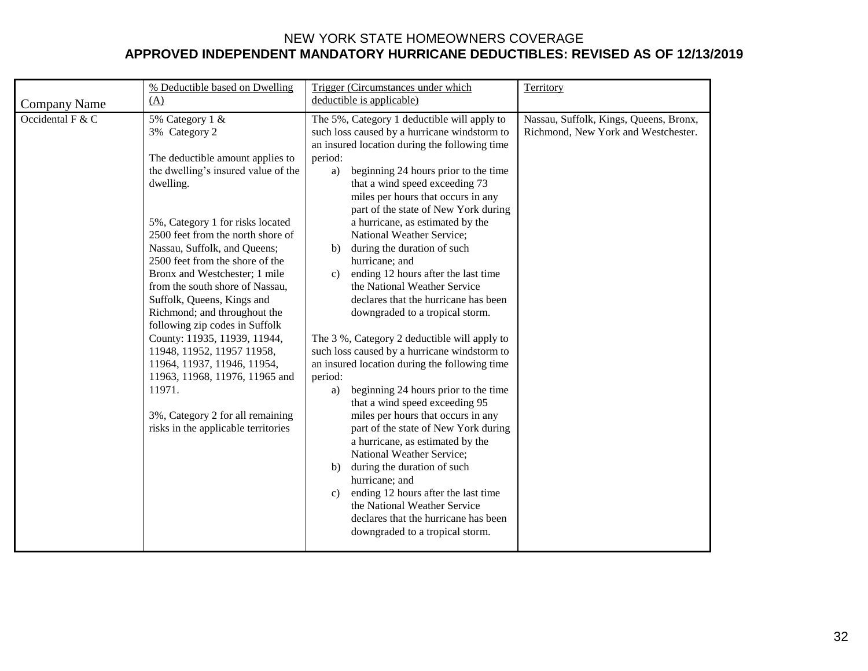|                     | % Deductible based on Dwelling                                                                                                                                                                                                                                                                                                                                                                                                                                                                                                                                                                                                                               | Trigger (Circumstances under which                                                                                                                                                                                                                                                                                                                                                                                                                                                                                                                                                                                                                                                                                                                                                                                                                                                                                                                                                                                                                                                                                                                                                                              | Territory                                                                     |
|---------------------|--------------------------------------------------------------------------------------------------------------------------------------------------------------------------------------------------------------------------------------------------------------------------------------------------------------------------------------------------------------------------------------------------------------------------------------------------------------------------------------------------------------------------------------------------------------------------------------------------------------------------------------------------------------|-----------------------------------------------------------------------------------------------------------------------------------------------------------------------------------------------------------------------------------------------------------------------------------------------------------------------------------------------------------------------------------------------------------------------------------------------------------------------------------------------------------------------------------------------------------------------------------------------------------------------------------------------------------------------------------------------------------------------------------------------------------------------------------------------------------------------------------------------------------------------------------------------------------------------------------------------------------------------------------------------------------------------------------------------------------------------------------------------------------------------------------------------------------------------------------------------------------------|-------------------------------------------------------------------------------|
| <b>Company Name</b> | (A)                                                                                                                                                                                                                                                                                                                                                                                                                                                                                                                                                                                                                                                          | deductible is applicable)                                                                                                                                                                                                                                                                                                                                                                                                                                                                                                                                                                                                                                                                                                                                                                                                                                                                                                                                                                                                                                                                                                                                                                                       |                                                                               |
| Occidental F & C    | 5% Category 1 &<br>3% Category 2<br>The deductible amount applies to<br>the dwelling's insured value of the<br>dwelling.<br>5%, Category 1 for risks located<br>2500 feet from the north shore of<br>Nassau, Suffolk, and Queens;<br>2500 feet from the shore of the<br>Bronx and Westchester; 1 mile<br>from the south shore of Nassau,<br>Suffolk, Queens, Kings and<br>Richmond; and throughout the<br>following zip codes in Suffolk<br>County: 11935, 11939, 11944,<br>11948, 11952, 11957 11958,<br>11964, 11937, 11946, 11954,<br>11963, 11968, 11976, 11965 and<br>11971.<br>3%, Category 2 for all remaining<br>risks in the applicable territories | The 5%, Category 1 deductible will apply to<br>such loss caused by a hurricane windstorm to<br>an insured location during the following time<br>period:<br>beginning 24 hours prior to the time<br>a)<br>that a wind speed exceeding 73<br>miles per hours that occurs in any<br>part of the state of New York during<br>a hurricane, as estimated by the<br>National Weather Service;<br>during the duration of such<br>b)<br>hurricane; and<br>ending 12 hours after the last time<br>C)<br>the National Weather Service<br>declares that the hurricane has been<br>downgraded to a tropical storm.<br>The 3 %, Category 2 deductible will apply to<br>such loss caused by a hurricane windstorm to<br>an insured location during the following time<br>period:<br>beginning 24 hours prior to the time<br>a)<br>that a wind speed exceeding 95<br>miles per hours that occurs in any<br>part of the state of New York during<br>a hurricane, as estimated by the<br>National Weather Service;<br>during the duration of such<br>b)<br>hurricane; and<br>ending 12 hours after the last time<br>c)<br>the National Weather Service<br>declares that the hurricane has been<br>downgraded to a tropical storm. | Nassau, Suffolk, Kings, Queens, Bronx,<br>Richmond, New York and Westchester. |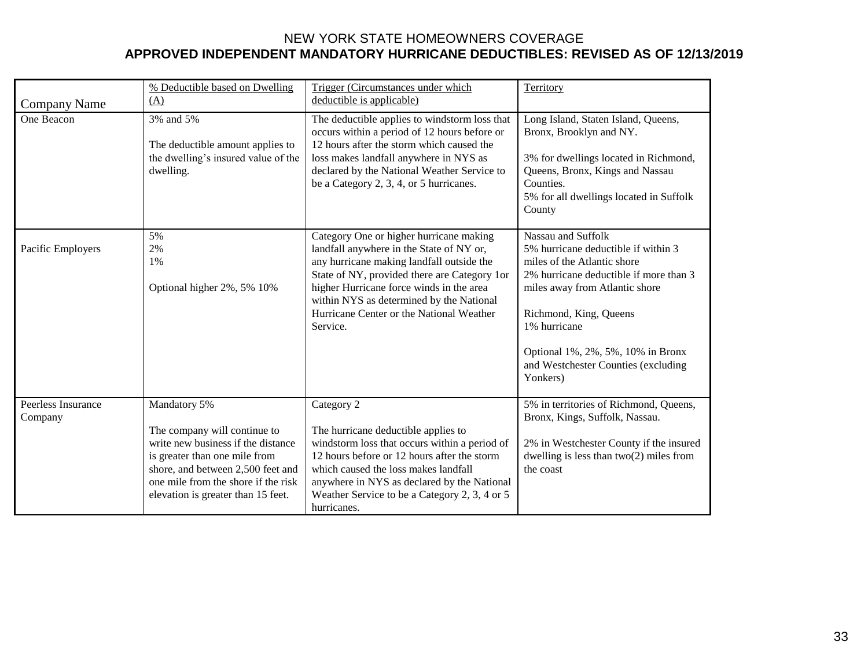| <b>Company Name</b>           | % Deductible based on Dwelling<br>(A)                                                                                                                                                                                                 | Trigger (Circumstances under which<br>deductible is applicable)                                                                                                                                                                                                                                                                  | Territory                                                                                                                                                                                                                                                                                              |
|-------------------------------|---------------------------------------------------------------------------------------------------------------------------------------------------------------------------------------------------------------------------------------|----------------------------------------------------------------------------------------------------------------------------------------------------------------------------------------------------------------------------------------------------------------------------------------------------------------------------------|--------------------------------------------------------------------------------------------------------------------------------------------------------------------------------------------------------------------------------------------------------------------------------------------------------|
| One Beacon                    | 3% and 5%<br>The deductible amount applies to<br>the dwelling's insured value of the<br>dwelling.                                                                                                                                     | The deductible applies to windstorm loss that<br>occurs within a period of 12 hours before or<br>12 hours after the storm which caused the<br>loss makes landfall anywhere in NYS as<br>declared by the National Weather Service to<br>be a Category 2, 3, 4, or 5 hurricanes.                                                   | Long Island, Staten Island, Queens,<br>Bronx, Brooklyn and NY.<br>3% for dwellings located in Richmond,<br>Queens, Bronx, Kings and Nassau<br>Counties.<br>5% for all dwellings located in Suffolk<br>County                                                                                           |
| Pacific Employers             | 5%<br>2%<br>1%<br>Optional higher 2%, 5% 10%                                                                                                                                                                                          | Category One or higher hurricane making<br>landfall anywhere in the State of NY or,<br>any hurricane making landfall outside the<br>State of NY, provided there are Category 1or<br>higher Hurricane force winds in the area<br>within NYS as determined by the National<br>Hurricane Center or the National Weather<br>Service. | Nassau and Suffolk<br>5% hurricane deductible if within 3<br>miles of the Atlantic shore<br>2% hurricane deductible if more than 3<br>miles away from Atlantic shore<br>Richmond, King, Queens<br>1% hurricane<br>Optional 1%, 2%, 5%, 10% in Bronx<br>and Westchester Counties (excluding<br>Yonkers) |
| Peerless Insurance<br>Company | Mandatory 5%<br>The company will continue to<br>write new business if the distance<br>is greater than one mile from<br>shore, and between 2,500 feet and<br>one mile from the shore if the risk<br>elevation is greater than 15 feet. | Category 2<br>The hurricane deductible applies to<br>windstorm loss that occurs within a period of<br>12 hours before or 12 hours after the storm<br>which caused the loss makes landfall<br>anywhere in NYS as declared by the National<br>Weather Service to be a Category 2, 3, 4 or 5<br>hurricanes.                         | 5% in territories of Richmond, Queens,<br>Bronx, Kings, Suffolk, Nassau.<br>2% in Westchester County if the insured<br>dwelling is less than $two(2)$ miles from<br>the coast                                                                                                                          |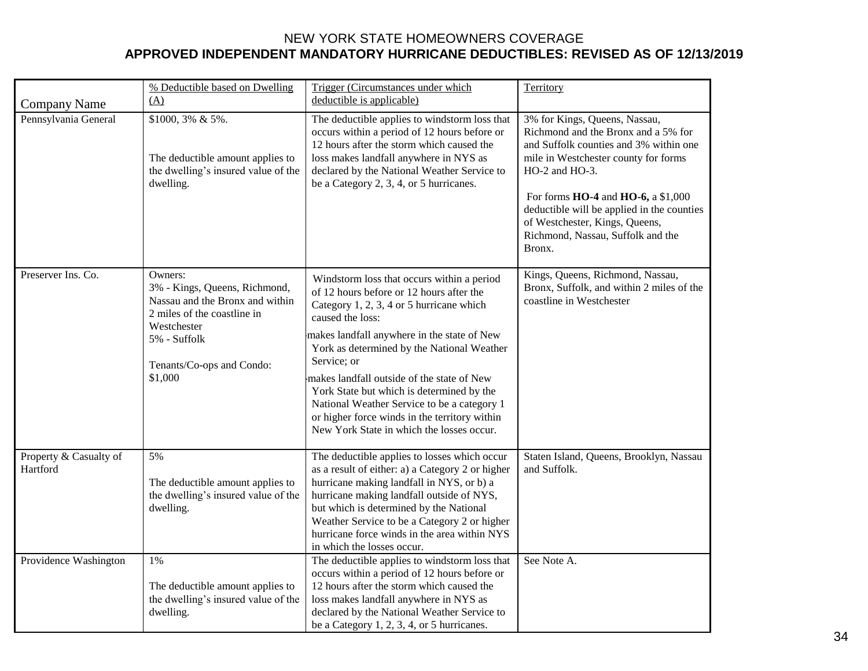|                                    | % Deductible based on Dwelling                                                                                                                                                    | Trigger (Circumstances under which                                                                                                                                                                                                                                                                                                                                                                                                                                                                         | Territory                                                                                                                                                                                                                                                                                                                                          |
|------------------------------------|-----------------------------------------------------------------------------------------------------------------------------------------------------------------------------------|------------------------------------------------------------------------------------------------------------------------------------------------------------------------------------------------------------------------------------------------------------------------------------------------------------------------------------------------------------------------------------------------------------------------------------------------------------------------------------------------------------|----------------------------------------------------------------------------------------------------------------------------------------------------------------------------------------------------------------------------------------------------------------------------------------------------------------------------------------------------|
| <b>Company Name</b>                | (A)                                                                                                                                                                               | deductible is applicable)                                                                                                                                                                                                                                                                                                                                                                                                                                                                                  |                                                                                                                                                                                                                                                                                                                                                    |
| Pennsylvania General               | \$1000, 3% & 5%.<br>The deductible amount applies to<br>the dwelling's insured value of the<br>dwelling.                                                                          | The deductible applies to windstorm loss that<br>occurs within a period of 12 hours before or<br>12 hours after the storm which caused the<br>loss makes landfall anywhere in NYS as<br>declared by the National Weather Service to<br>be a Category 2, 3, 4, or 5 hurricanes.                                                                                                                                                                                                                             | 3% for Kings, Queens, Nassau,<br>Richmond and the Bronx and a 5% for<br>and Suffolk counties and 3% within one<br>mile in Westchester county for forms<br>$HO-2$ and $HO-3$ .<br>For forms HO-4 and HO-6, a \$1,000<br>deductible will be applied in the counties<br>of Westchester, Kings, Queens,<br>Richmond, Nassau, Suffolk and the<br>Bronx. |
| Preserver Ins. Co.                 | Owners:<br>3% - Kings, Queens, Richmond,<br>Nassau and the Bronx and within<br>2 miles of the coastline in<br>Westchester<br>5% - Suffolk<br>Tenants/Co-ops and Condo:<br>\$1,000 | Windstorm loss that occurs within a period<br>of 12 hours before or 12 hours after the<br>Category 1, 2, 3, 4 or 5 hurricane which<br>caused the loss:<br>makes landfall anywhere in the state of New<br>York as determined by the National Weather<br>Service; or<br>makes landfall outside of the state of New<br>York State but which is determined by the<br>National Weather Service to be a category 1<br>or higher force winds in the territory within<br>New York State in which the losses occur. | Kings, Queens, Richmond, Nassau,<br>Bronx, Suffolk, and within 2 miles of the<br>coastline in Westchester                                                                                                                                                                                                                                          |
| Property & Casualty of<br>Hartford | 5%<br>The deductible amount applies to<br>the dwelling's insured value of the<br>dwelling.                                                                                        | The deductible applies to losses which occur<br>as a result of either: a) a Category 2 or higher<br>hurricane making landfall in NYS, or b) a<br>hurricane making landfall outside of NYS,<br>but which is determined by the National<br>Weather Service to be a Category 2 or higher<br>hurricane force winds in the area within NYS<br>in which the losses occur.                                                                                                                                        | Staten Island, Queens, Brooklyn, Nassau<br>and Suffolk.                                                                                                                                                                                                                                                                                            |
| Providence Washington              | 1%<br>The deductible amount applies to<br>the dwelling's insured value of the<br>dwelling.                                                                                        | The deductible applies to windstorm loss that<br>occurs within a period of 12 hours before or<br>12 hours after the storm which caused the<br>loss makes landfall anywhere in NYS as<br>declared by the National Weather Service to<br>be a Category 1, 2, 3, 4, or 5 hurricanes.                                                                                                                                                                                                                          | See Note A.                                                                                                                                                                                                                                                                                                                                        |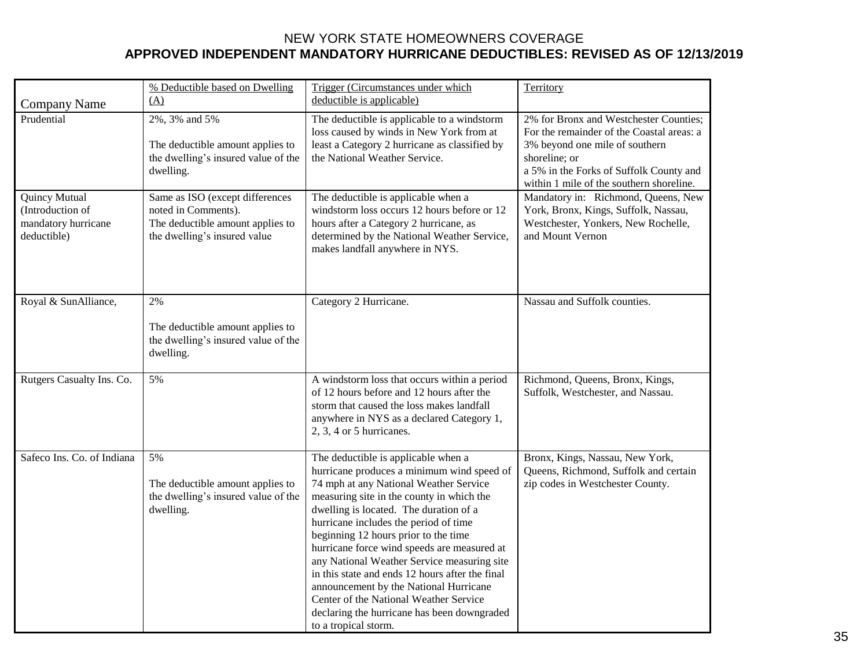|                                                                                | % Deductible based on Dwelling                                                                                             | Trigger (Circumstances under which                                                                                                                                                                                                                                                                                                                                                                                                                                                                                                                                                                              | Territory                                                                                                                                                                                                                     |
|--------------------------------------------------------------------------------|----------------------------------------------------------------------------------------------------------------------------|-----------------------------------------------------------------------------------------------------------------------------------------------------------------------------------------------------------------------------------------------------------------------------------------------------------------------------------------------------------------------------------------------------------------------------------------------------------------------------------------------------------------------------------------------------------------------------------------------------------------|-------------------------------------------------------------------------------------------------------------------------------------------------------------------------------------------------------------------------------|
| <b>Company Name</b>                                                            | (A)                                                                                                                        | deductible is applicable)                                                                                                                                                                                                                                                                                                                                                                                                                                                                                                                                                                                       |                                                                                                                                                                                                                               |
| Prudential                                                                     | 2%, 3% and 5%<br>The deductible amount applies to<br>the dwelling's insured value of the<br>dwelling.                      | The deductible is applicable to a windstorm<br>loss caused by winds in New York from at<br>least a Category 2 hurricane as classified by<br>the National Weather Service.                                                                                                                                                                                                                                                                                                                                                                                                                                       | 2% for Bronx and Westchester Counties;<br>For the remainder of the Coastal areas: a<br>3% beyond one mile of southern<br>shoreline; or<br>a 5% in the Forks of Suffolk County and<br>within 1 mile of the southern shoreline. |
| <b>Quincy Mutual</b><br>(Introduction of<br>mandatory hurricane<br>deductible) | Same as ISO (except differences<br>noted in Comments).<br>The deductible amount applies to<br>the dwelling's insured value | The deductible is applicable when a<br>windstorm loss occurs 12 hours before or 12<br>hours after a Category 2 hurricane, as<br>determined by the National Weather Service,<br>makes landfall anywhere in NYS.                                                                                                                                                                                                                                                                                                                                                                                                  | Mandatory in: Richmond, Queens, New<br>York, Bronx, Kings, Suffolk, Nassau,<br>Westchester, Yonkers, New Rochelle,<br>and Mount Vernon                                                                                        |
| Royal & SunAlliance,                                                           | $2\%$<br>The deductible amount applies to<br>the dwelling's insured value of the<br>dwelling.                              | Category 2 Hurricane.                                                                                                                                                                                                                                                                                                                                                                                                                                                                                                                                                                                           | Nassau and Suffolk counties.                                                                                                                                                                                                  |
| Rutgers Casualty Ins. Co.                                                      | 5%                                                                                                                         | A windstorm loss that occurs within a period<br>of 12 hours before and 12 hours after the<br>storm that caused the loss makes landfall<br>anywhere in NYS as a declared Category 1,<br>$2, 3, 4$ or 5 hurricanes.                                                                                                                                                                                                                                                                                                                                                                                               | Richmond, Queens, Bronx, Kings,<br>Suffolk, Westchester, and Nassau.                                                                                                                                                          |
| Safeco Ins. Co. of Indiana                                                     | 5%<br>The deductible amount applies to<br>the dwelling's insured value of the<br>dwelling.                                 | The deductible is applicable when a<br>hurricane produces a minimum wind speed of<br>74 mph at any National Weather Service<br>measuring site in the county in which the<br>dwelling is located. The duration of a<br>hurricane includes the period of time<br>beginning 12 hours prior to the time<br>hurricane force wind speeds are measured at<br>any National Weather Service measuring site<br>in this state and ends 12 hours after the final<br>announcement by the National Hurricane<br>Center of the National Weather Service<br>declaring the hurricane has been downgraded<br>to a tropical storm. | Bronx, Kings, Nassau, New York,<br>Queens, Richmond, Suffolk and certain<br>zip codes in Westchester County.                                                                                                                  |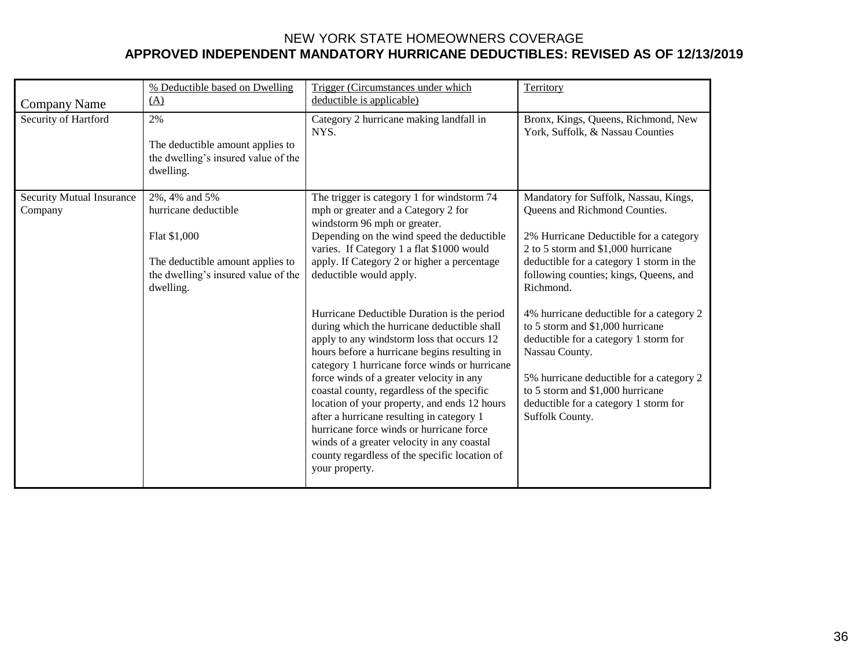| <b>Company Name</b>                         | % Deductible based on Dwelling<br>(A)                                                                                                         | Trigger (Circumstances under which<br>deductible is applicable)                                                                                                                                                                                                                                                                                                                                                                                                                                                                                                                               | Territory                                                                                                                                                                                                                                                                           |
|---------------------------------------------|-----------------------------------------------------------------------------------------------------------------------------------------------|-----------------------------------------------------------------------------------------------------------------------------------------------------------------------------------------------------------------------------------------------------------------------------------------------------------------------------------------------------------------------------------------------------------------------------------------------------------------------------------------------------------------------------------------------------------------------------------------------|-------------------------------------------------------------------------------------------------------------------------------------------------------------------------------------------------------------------------------------------------------------------------------------|
| Security of Hartford                        | 2%<br>The deductible amount applies to<br>the dwelling's insured value of the<br>dwelling.                                                    | Category 2 hurricane making landfall in<br>NYS.                                                                                                                                                                                                                                                                                                                                                                                                                                                                                                                                               | Bronx, Kings, Queens, Richmond, New<br>York, Suffolk, & Nassau Counties                                                                                                                                                                                                             |
| <b>Security Mutual Insurance</b><br>Company | 2%, 4% and 5%<br>hurricane deductible<br>Flat \$1,000<br>The deductible amount applies to<br>the dwelling's insured value of the<br>dwelling. | The trigger is category 1 for windstorm 74<br>mph or greater and a Category 2 for<br>windstorm 96 mph or greater.<br>Depending on the wind speed the deductible<br>varies. If Category 1 a flat \$1000 would<br>apply. If Category 2 or higher a percentage<br>deductible would apply.                                                                                                                                                                                                                                                                                                        | Mandatory for Suffolk, Nassau, Kings,<br>Queens and Richmond Counties.<br>2% Hurricane Deductible for a category<br>2 to 5 storm and \$1,000 hurricane<br>deductible for a category 1 storm in the<br>following counties; kings, Queens, and<br>Richmond.                           |
|                                             |                                                                                                                                               | Hurricane Deductible Duration is the period<br>during which the hurricane deductible shall<br>apply to any windstorm loss that occurs 12<br>hours before a hurricane begins resulting in<br>category 1 hurricane force winds or hurricane<br>force winds of a greater velocity in any<br>coastal county, regardless of the specific<br>location of your property, and ends 12 hours<br>after a hurricane resulting in category 1<br>hurricane force winds or hurricane force<br>winds of a greater velocity in any coastal<br>county regardless of the specific location of<br>your property. | 4% hurricane deductible for a category 2<br>to 5 storm and \$1,000 hurricane<br>deductible for a category 1 storm for<br>Nassau County.<br>5% hurricane deductible for a category 2<br>to 5 storm and \$1,000 hurricane<br>deductible for a category 1 storm for<br>Suffolk County. |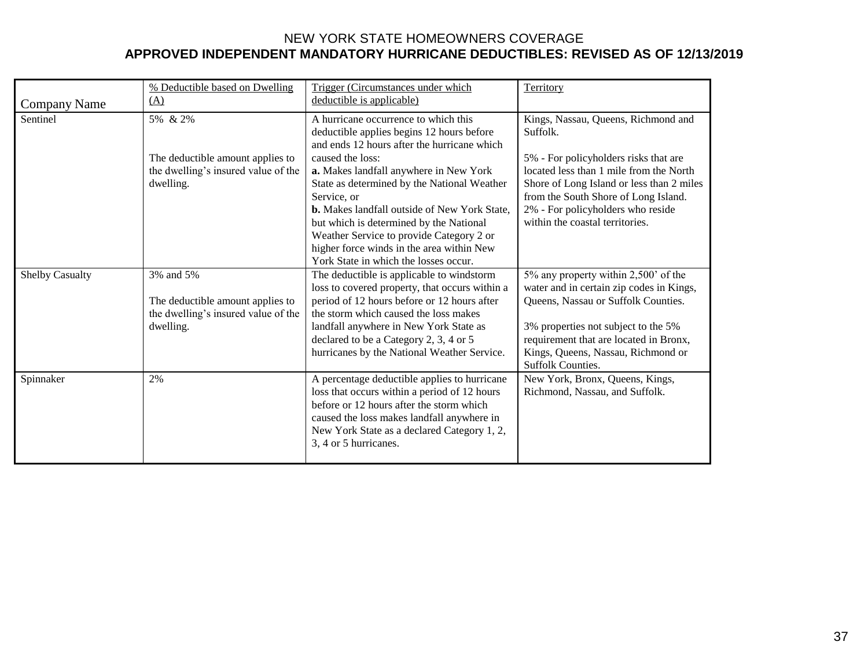|                        | % Deductible based on Dwelling                                                                    | Trigger (Circumstances under which                                                                                                                                                                                                                                                                                                                           | Territory                                                                                                                                                                                                                                                                  |
|------------------------|---------------------------------------------------------------------------------------------------|--------------------------------------------------------------------------------------------------------------------------------------------------------------------------------------------------------------------------------------------------------------------------------------------------------------------------------------------------------------|----------------------------------------------------------------------------------------------------------------------------------------------------------------------------------------------------------------------------------------------------------------------------|
| <b>Company Name</b>    | (A)                                                                                               | deductible is applicable)                                                                                                                                                                                                                                                                                                                                    |                                                                                                                                                                                                                                                                            |
| Sentinel               | 5% & 2%                                                                                           | A hurricane occurrence to which this<br>deductible applies begins 12 hours before<br>and ends 12 hours after the hurricane which                                                                                                                                                                                                                             | Kings, Nassau, Queens, Richmond and<br>Suffolk.                                                                                                                                                                                                                            |
|                        | The deductible amount applies to<br>the dwelling's insured value of the<br>dwelling.              | caused the loss:<br>a. Makes landfall anywhere in New York<br>State as determined by the National Weather<br>Service, or<br><b>b.</b> Makes landfall outside of New York State,<br>but which is determined by the National<br>Weather Service to provide Category 2 or<br>higher force winds in the area within New<br>York State in which the losses occur. | 5% - For policyholders risks that are<br>located less than 1 mile from the North<br>Shore of Long Island or less than 2 miles<br>from the South Shore of Long Island.<br>2% - For policyholders who reside<br>within the coastal territories.                              |
| <b>Shelby Casualty</b> | 3% and 5%<br>The deductible amount applies to<br>the dwelling's insured value of the<br>dwelling. | The deductible is applicable to windstorm<br>loss to covered property, that occurs within a<br>period of 12 hours before or 12 hours after<br>the storm which caused the loss makes<br>landfall anywhere in New York State as<br>declared to be a Category 2, 3, 4 or 5<br>hurricanes by the National Weather Service.                                       | 5% any property within 2,500' of the<br>water and in certain zip codes in Kings,<br>Queens, Nassau or Suffolk Counties.<br>3% properties not subject to the 5%<br>requirement that are located in Bronx,<br>Kings, Queens, Nassau, Richmond or<br><b>Suffolk Counties.</b> |
| Spinnaker              | 2%                                                                                                | A percentage deductible applies to hurricane<br>loss that occurs within a period of 12 hours<br>before or 12 hours after the storm which<br>caused the loss makes landfall anywhere in<br>New York State as a declared Category 1, 2,<br>3, 4 or 5 hurricanes.                                                                                               | New York, Bronx, Queens, Kings,<br>Richmond, Nassau, and Suffolk.                                                                                                                                                                                                          |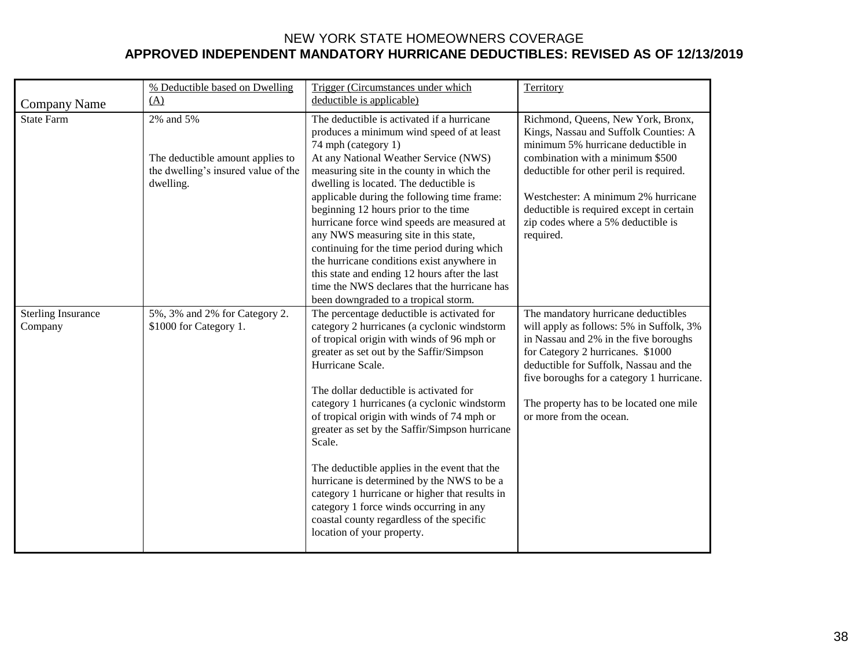| <b>Company Name</b>                  | % Deductible based on Dwelling<br>(A)                                                             | Trigger (Circumstances under which<br>deductible is applicable)                                                                                                                                                                                                                                                                                                                                                                                                                                                                                                                                                                                                                  | Territory                                                                                                                                                                                                                                                                                                                              |
|--------------------------------------|---------------------------------------------------------------------------------------------------|----------------------------------------------------------------------------------------------------------------------------------------------------------------------------------------------------------------------------------------------------------------------------------------------------------------------------------------------------------------------------------------------------------------------------------------------------------------------------------------------------------------------------------------------------------------------------------------------------------------------------------------------------------------------------------|----------------------------------------------------------------------------------------------------------------------------------------------------------------------------------------------------------------------------------------------------------------------------------------------------------------------------------------|
| <b>State Farm</b>                    | 2% and 5%<br>The deductible amount applies to<br>the dwelling's insured value of the<br>dwelling. | The deductible is activated if a hurricane<br>produces a minimum wind speed of at least<br>74 mph (category 1)<br>At any National Weather Service (NWS)<br>measuring site in the county in which the<br>dwelling is located. The deductible is<br>applicable during the following time frame:<br>beginning 12 hours prior to the time<br>hurricane force wind speeds are measured at<br>any NWS measuring site in this state,<br>continuing for the time period during which<br>the hurricane conditions exist anywhere in<br>this state and ending 12 hours after the last<br>time the NWS declares that the hurricane has<br>been downgraded to a tropical storm.              | Richmond, Queens, New York, Bronx,<br>Kings, Nassau and Suffolk Counties: A<br>minimum 5% hurricane deductible in<br>combination with a minimum \$500<br>deductible for other peril is required.<br>Westchester: A minimum 2% hurricane<br>deductible is required except in certain<br>zip codes where a 5% deductible is<br>required. |
| <b>Sterling Insurance</b><br>Company | 5%, 3% and 2% for Category 2.<br>\$1000 for Category 1.                                           | The percentage deductible is activated for<br>category 2 hurricanes (a cyclonic windstorm<br>of tropical origin with winds of 96 mph or<br>greater as set out by the Saffir/Simpson<br>Hurricane Scale.<br>The dollar deductible is activated for<br>category 1 hurricanes (a cyclonic windstorm<br>of tropical origin with winds of 74 mph or<br>greater as set by the Saffir/Simpson hurricane<br>Scale.<br>The deductible applies in the event that the<br>hurricane is determined by the NWS to be a<br>category 1 hurricane or higher that results in<br>category 1 force winds occurring in any<br>coastal county regardless of the specific<br>location of your property. | The mandatory hurricane deductibles<br>will apply as follows: 5% in Suffolk, 3%<br>in Nassau and 2% in the five boroughs<br>for Category 2 hurricanes. \$1000<br>deductible for Suffolk, Nassau and the<br>five boroughs for a category 1 hurricane.<br>The property has to be located one mile<br>or more from the ocean.             |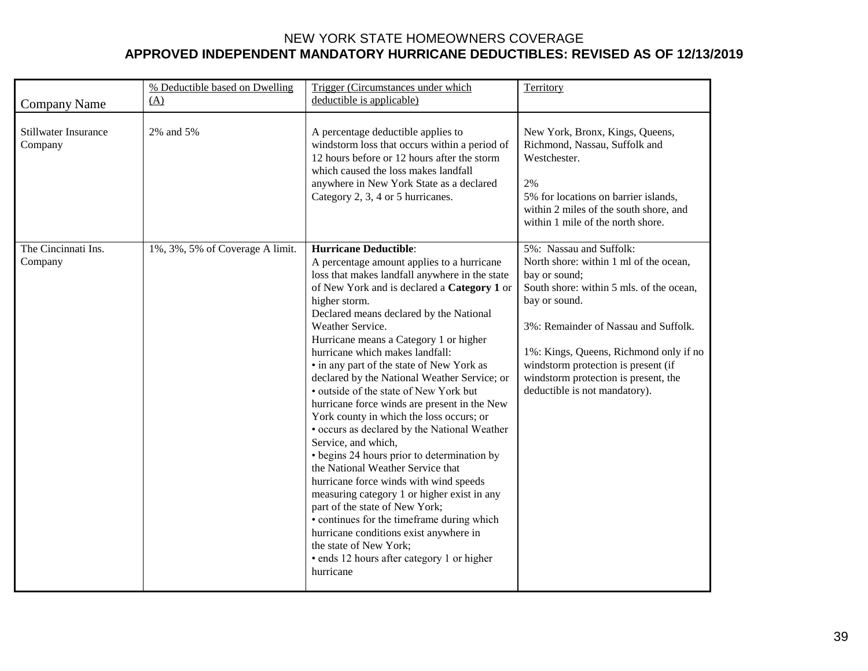| <b>Company Name</b>             | % Deductible based on Dwelling<br>(A) | Trigger (Circumstances under which<br>deductible is applicable)                                                                                                                                                                                                                                                                                                                                                                                                                                                                                                                                                                                                                                                                                                                                                                                                                                                                                                                                                                                | Territory                                                                                                                                                                                                                                                                                                                                         |
|---------------------------------|---------------------------------------|------------------------------------------------------------------------------------------------------------------------------------------------------------------------------------------------------------------------------------------------------------------------------------------------------------------------------------------------------------------------------------------------------------------------------------------------------------------------------------------------------------------------------------------------------------------------------------------------------------------------------------------------------------------------------------------------------------------------------------------------------------------------------------------------------------------------------------------------------------------------------------------------------------------------------------------------------------------------------------------------------------------------------------------------|---------------------------------------------------------------------------------------------------------------------------------------------------------------------------------------------------------------------------------------------------------------------------------------------------------------------------------------------------|
| Stillwater Insurance<br>Company | 2% and 5%                             | A percentage deductible applies to<br>windstorm loss that occurs within a period of<br>12 hours before or 12 hours after the storm<br>which caused the loss makes landfall<br>anywhere in New York State as a declared<br>Category 2, 3, 4 or 5 hurricanes.                                                                                                                                                                                                                                                                                                                                                                                                                                                                                                                                                                                                                                                                                                                                                                                    | New York, Bronx, Kings, Queens,<br>Richmond, Nassau, Suffolk and<br>Westchester.<br>2%<br>5% for locations on barrier islands,<br>within 2 miles of the south shore, and<br>within 1 mile of the north shore.                                                                                                                                     |
| The Cincinnati Ins.<br>Company  | 1%, 3%, 5% of Coverage A limit.       | <b>Hurricane Deductible:</b><br>A percentage amount applies to a hurricane<br>loss that makes landfall anywhere in the state<br>of New York and is declared a Category 1 or<br>higher storm.<br>Declared means declared by the National<br>Weather Service.<br>Hurricane means a Category 1 or higher<br>hurricane which makes landfall:<br>• in any part of the state of New York as<br>declared by the National Weather Service; or<br>· outside of the state of New York but<br>hurricane force winds are present in the New<br>York county in which the loss occurs; or<br>· occurs as declared by the National Weather<br>Service, and which,<br>• begins 24 hours prior to determination by<br>the National Weather Service that<br>hurricane force winds with wind speeds<br>measuring category 1 or higher exist in any<br>part of the state of New York;<br>• continues for the timeframe during which<br>hurricane conditions exist anywhere in<br>the state of New York;<br>• ends 12 hours after category 1 or higher<br>hurricane | 5%: Nassau and Suffolk:<br>North shore: within 1 ml of the ocean,<br>bay or sound;<br>South shore: within 5 mls. of the ocean,<br>bay or sound.<br>3%: Remainder of Nassau and Suffolk.<br>1%: Kings, Queens, Richmond only if no<br>windstorm protection is present (if<br>windstorm protection is present, the<br>deductible is not mandatory). |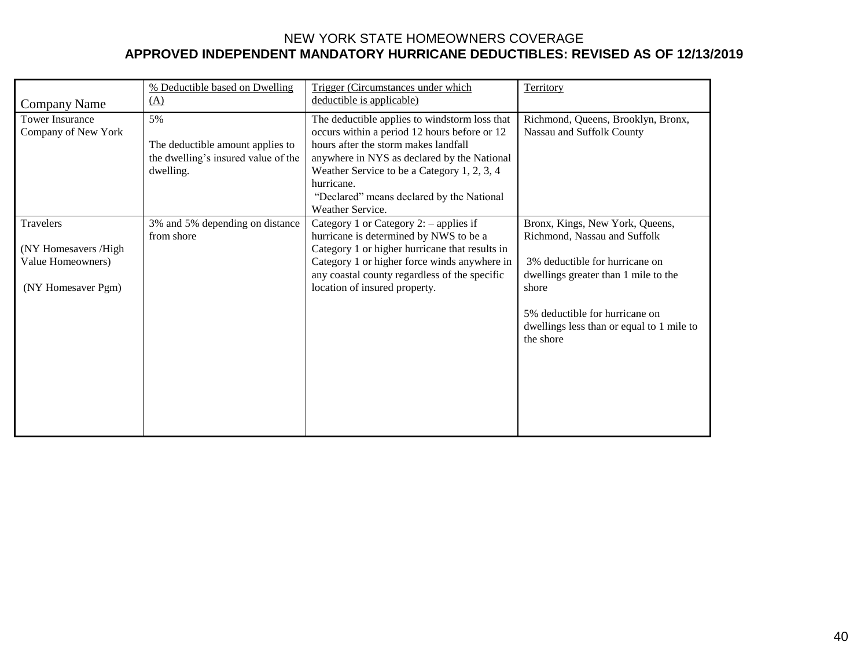|                              | % Deductible based on Dwelling      | Trigger (Circumstances under which             | Territory                                              |
|------------------------------|-------------------------------------|------------------------------------------------|--------------------------------------------------------|
| (A)<br>Company Name          |                                     | deductible is applicable)                      |                                                        |
| <b>Tower Insurance</b><br>5% |                                     | The deductible applies to windstorm loss that  | Richmond, Queens, Brooklyn, Bronx,                     |
| Company of New York          |                                     | occurs within a period 12 hours before or 12   | Nassau and Suffolk County                              |
|                              | The deductible amount applies to    | hours after the storm makes landfall           |                                                        |
|                              | the dwelling's insured value of the | anywhere in NYS as declared by the National    |                                                        |
|                              | dwelling.                           | Weather Service to be a Category 1, 2, 3, 4    |                                                        |
|                              |                                     | hurricane.                                     |                                                        |
|                              |                                     | "Declared" means declared by the National      |                                                        |
|                              |                                     | Weather Service.                               |                                                        |
| <b>Travelers</b>             | 3% and 5% depending on distance     | Category 1 or Category 2: $-$ applies if       | Bronx, Kings, New York, Queens,                        |
|                              | from shore                          | hurricane is determined by NWS to be a         | Richmond, Nassau and Suffolk                           |
| (NY Homesavers /High         |                                     | Category 1 or higher hurricane that results in |                                                        |
| Value Homeowners)            |                                     | Category 1 or higher force winds anywhere in   | 3% deductible for hurricane on                         |
|                              |                                     | any coastal county regardless of the specific  | dwellings greater than 1 mile to the                   |
| (NY Homesaver Pgm)           |                                     | location of insured property.                  | shore                                                  |
|                              |                                     |                                                |                                                        |
|                              |                                     |                                                | 5% deductible for hurricane on                         |
|                              |                                     |                                                | dwellings less than or equal to 1 mile to<br>the shore |
|                              |                                     |                                                |                                                        |
|                              |                                     |                                                |                                                        |
|                              |                                     |                                                |                                                        |
|                              |                                     |                                                |                                                        |
|                              |                                     |                                                |                                                        |
|                              |                                     |                                                |                                                        |
|                              |                                     |                                                |                                                        |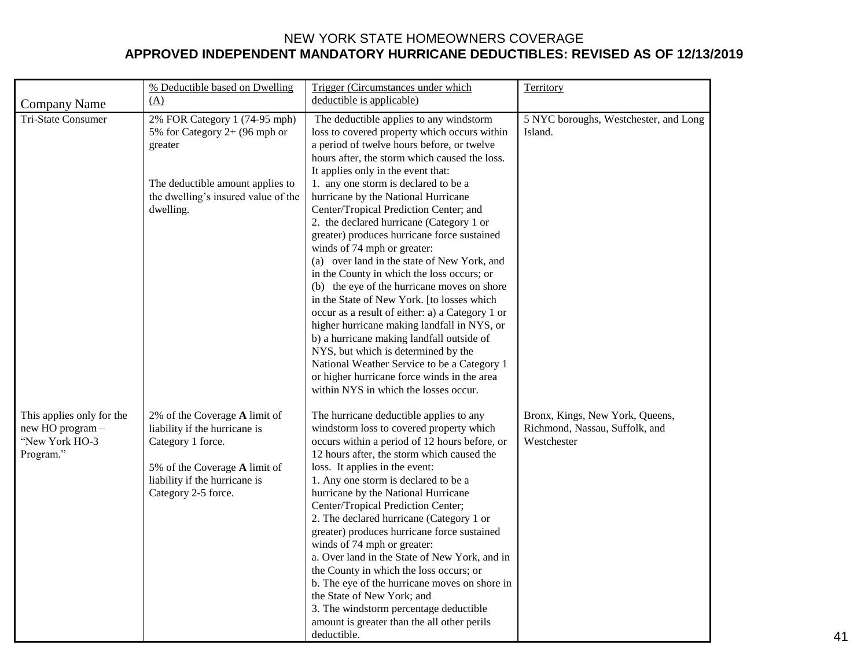|                                                                              | % Deductible based on Dwelling                                                                                                                                               | Trigger (Circumstances under which                                                                                                                                                                                                                                                                                                                                                                                                                                                                                                                                                                                                                                                                                                                                     | Territory                                                                        |
|------------------------------------------------------------------------------|------------------------------------------------------------------------------------------------------------------------------------------------------------------------------|------------------------------------------------------------------------------------------------------------------------------------------------------------------------------------------------------------------------------------------------------------------------------------------------------------------------------------------------------------------------------------------------------------------------------------------------------------------------------------------------------------------------------------------------------------------------------------------------------------------------------------------------------------------------------------------------------------------------------------------------------------------------|----------------------------------------------------------------------------------|
| <b>Company Name</b>                                                          | (A)                                                                                                                                                                          | deductible is applicable)                                                                                                                                                                                                                                                                                                                                                                                                                                                                                                                                                                                                                                                                                                                                              |                                                                                  |
| Tri-State Consumer                                                           | 2% FOR Category 1 (74-95 mph)<br>5% for Category $2+$ (96 mph or<br>greater                                                                                                  | The deductible applies to any windstorm<br>loss to covered property which occurs within<br>a period of twelve hours before, or twelve<br>hours after, the storm which caused the loss.<br>It applies only in the event that:                                                                                                                                                                                                                                                                                                                                                                                                                                                                                                                                           | 5 NYC boroughs, Westchester, and Long<br>Island.                                 |
|                                                                              | The deductible amount applies to<br>the dwelling's insured value of the<br>dwelling.                                                                                         | 1. any one storm is declared to be a<br>hurricane by the National Hurricane<br>Center/Tropical Prediction Center; and<br>2. the declared hurricane (Category 1 or<br>greater) produces hurricane force sustained<br>winds of 74 mph or greater:<br>(a) over land in the state of New York, and<br>in the County in which the loss occurs; or<br>(b) the eye of the hurricane moves on shore<br>in the State of New York. [to losses which<br>occur as a result of either: a) a Category 1 or<br>higher hurricane making landfall in NYS, or<br>b) a hurricane making landfall outside of<br>NYS, but which is determined by the<br>National Weather Service to be a Category 1<br>or higher hurricane force winds in the area<br>within NYS in which the losses occur. |                                                                                  |
| This applies only for the<br>new HO program -<br>"New York HO-3<br>Program." | 2% of the Coverage A limit of<br>liability if the hurricane is<br>Category 1 force.<br>5% of the Coverage A limit of<br>liability if the hurricane is<br>Category 2-5 force. | The hurricane deductible applies to any<br>windstorm loss to covered property which<br>occurs within a period of 12 hours before, or<br>12 hours after, the storm which caused the<br>loss. It applies in the event:<br>1. Any one storm is declared to be a<br>hurricane by the National Hurricane<br>Center/Tropical Prediction Center;<br>2. The declared hurricane (Category 1 or<br>greater) produces hurricane force sustained<br>winds of 74 mph or greater:<br>a. Over land in the State of New York, and in<br>the County in which the loss occurs; or<br>b. The eye of the hurricane moves on shore in<br>the State of New York; and<br>3. The windstorm percentage deductible<br>amount is greater than the all other perils<br>deductible.                 | Bronx, Kings, New York, Queens,<br>Richmond, Nassau, Suffolk, and<br>Westchester |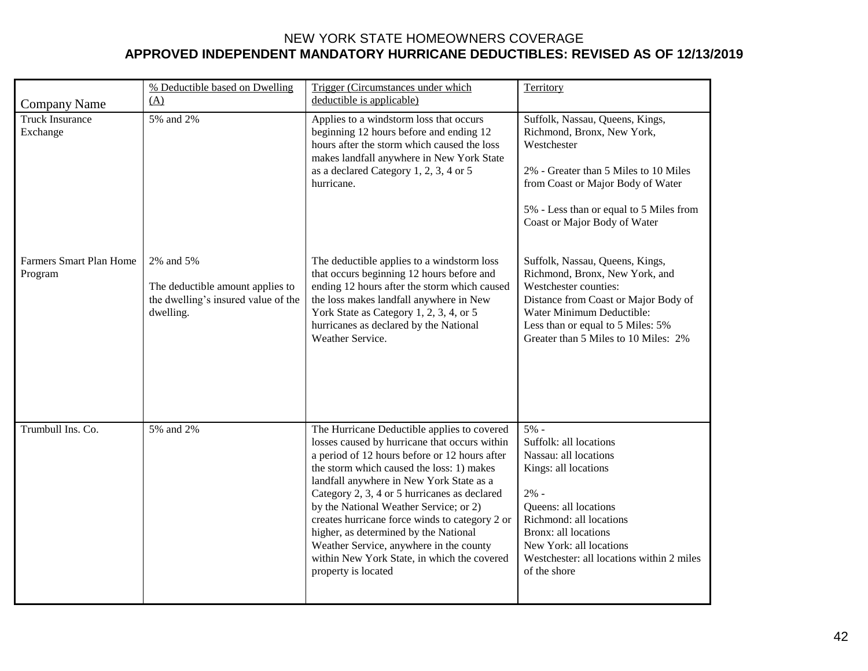|                                           | % Deductible based on Dwelling                                                                    | Trigger (Circumstances under which                                                                                                                                                                                                                                                                                                                                                                                                                                                                                                           | Territory                                                                                                                                                                                                                                                       |
|-------------------------------------------|---------------------------------------------------------------------------------------------------|----------------------------------------------------------------------------------------------------------------------------------------------------------------------------------------------------------------------------------------------------------------------------------------------------------------------------------------------------------------------------------------------------------------------------------------------------------------------------------------------------------------------------------------------|-----------------------------------------------------------------------------------------------------------------------------------------------------------------------------------------------------------------------------------------------------------------|
| <b>Company Name</b>                       | (A)                                                                                               | deductible is applicable)                                                                                                                                                                                                                                                                                                                                                                                                                                                                                                                    |                                                                                                                                                                                                                                                                 |
| <b>Truck Insurance</b><br>Exchange        | 5% and 2%                                                                                         | Applies to a windstorm loss that occurs<br>beginning 12 hours before and ending 12<br>hours after the storm which caused the loss<br>makes landfall anywhere in New York State<br>as a declared Category 1, 2, 3, 4 or 5<br>hurricane.                                                                                                                                                                                                                                                                                                       | Suffolk, Nassau, Queens, Kings,<br>Richmond, Bronx, New York,<br>Westchester<br>2% - Greater than 5 Miles to 10 Miles<br>from Coast or Major Body of Water<br>5% - Less than or equal to 5 Miles from<br>Coast or Major Body of Water                           |
| <b>Farmers Smart Plan Home</b><br>Program | 2% and 5%<br>The deductible amount applies to<br>the dwelling's insured value of the<br>dwelling. | The deductible applies to a windstorm loss<br>that occurs beginning 12 hours before and<br>ending 12 hours after the storm which caused<br>the loss makes landfall anywhere in New<br>York State as Category 1, 2, 3, 4, or 5<br>hurricanes as declared by the National<br>Weather Service.                                                                                                                                                                                                                                                  | Suffolk, Nassau, Queens, Kings,<br>Richmond, Bronx, New York, and<br>Westchester counties:<br>Distance from Coast or Major Body of<br>Water Minimum Deductible:<br>Less than or equal to 5 Miles: 5%<br>Greater than 5 Miles to 10 Miles: 2%                    |
| Trumbull Ins. Co.                         | 5% and 2%                                                                                         | The Hurricane Deductible applies to covered<br>losses caused by hurricane that occurs within<br>a period of 12 hours before or 12 hours after<br>the storm which caused the loss: 1) makes<br>landfall anywhere in New York State as a<br>Category 2, 3, 4 or 5 hurricanes as declared<br>by the National Weather Service; or 2)<br>creates hurricane force winds to category 2 or<br>higher, as determined by the National<br>Weather Service, anywhere in the county<br>within New York State, in which the covered<br>property is located | $5% -$<br>Suffolk: all locations<br>Nassau: all locations<br>Kings: all locations<br>$2% -$<br>Queens: all locations<br>Richmond: all locations<br>Bronx: all locations<br>New York: all locations<br>Westchester: all locations within 2 miles<br>of the shore |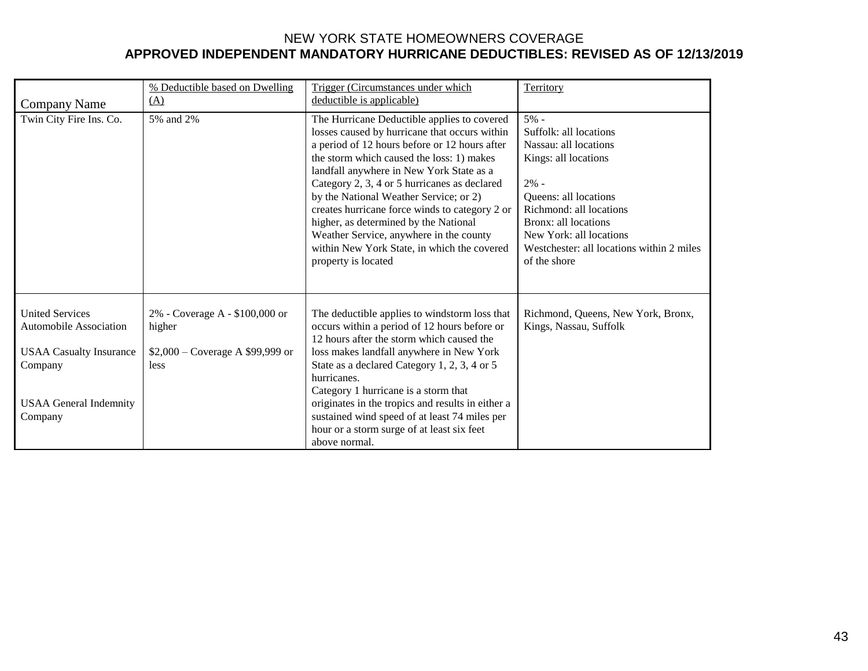|                                                                                                                                                  | % Deductible based on Dwelling                                                              | Trigger (Circumstances under which                                                                                                                                                                                                                                                                                                                                                                                                                                                                                                           | Territory                                                                                                                                                                                                                                                     |
|--------------------------------------------------------------------------------------------------------------------------------------------------|---------------------------------------------------------------------------------------------|----------------------------------------------------------------------------------------------------------------------------------------------------------------------------------------------------------------------------------------------------------------------------------------------------------------------------------------------------------------------------------------------------------------------------------------------------------------------------------------------------------------------------------------------|---------------------------------------------------------------------------------------------------------------------------------------------------------------------------------------------------------------------------------------------------------------|
| <b>Company Name</b>                                                                                                                              | (A)                                                                                         | deductible is applicable)                                                                                                                                                                                                                                                                                                                                                                                                                                                                                                                    |                                                                                                                                                                                                                                                               |
| Twin City Fire Ins. Co.                                                                                                                          | 5% and 2%                                                                                   | The Hurricane Deductible applies to covered<br>losses caused by hurricane that occurs within<br>a period of 12 hours before or 12 hours after<br>the storm which caused the loss: 1) makes<br>landfall anywhere in New York State as a<br>Category 2, 3, 4 or 5 hurricanes as declared<br>by the National Weather Service; or 2)<br>creates hurricane force winds to category 2 or<br>higher, as determined by the National<br>Weather Service, anywhere in the county<br>within New York State, in which the covered<br>property is located | 5% -<br>Suffolk: all locations<br>Nassau: all locations<br>Kings: all locations<br>$2% -$<br>Queens: all locations<br>Richmond: all locations<br>Bronx: all locations<br>New York: all locations<br>Westchester: all locations within 2 miles<br>of the shore |
| <b>United Services</b><br><b>Automobile Association</b><br><b>USAA Casualty Insurance</b><br>Company<br><b>USAA General Indemnity</b><br>Company | 2% - Coverage A - \$100,000 or<br>higher<br>$$2,000 - \text{Coverage A $99,999}$ or<br>less | The deductible applies to windstorm loss that<br>occurs within a period of 12 hours before or<br>12 hours after the storm which caused the<br>loss makes landfall anywhere in New York<br>State as a declared Category 1, 2, 3, 4 or 5<br>hurricanes.<br>Category 1 hurricane is a storm that<br>originates in the tropics and results in either a<br>sustained wind speed of at least 74 miles per<br>hour or a storm surge of at least six feet<br>above normal.                                                                           | Richmond, Queens, New York, Bronx,<br>Kings, Nassau, Suffolk                                                                                                                                                                                                  |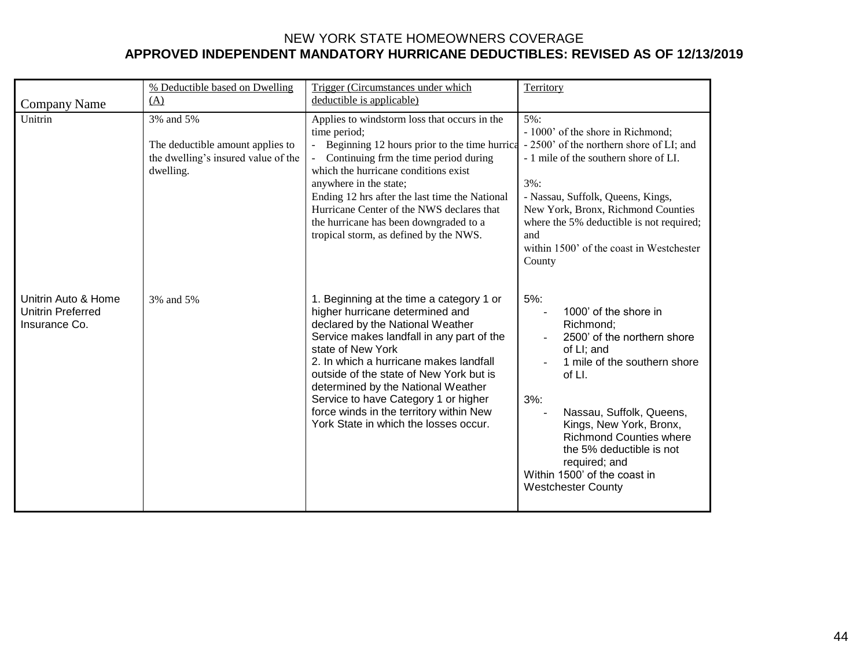| <b>Company Name</b>                                              | % Deductible based on Dwelling<br>(A)                                                             | Trigger (Circumstances under which<br>deductible is applicable)                                                                                                                                                                                                                                                                                                                                                                          | Territory                                                                                                                                                                                                                                                                                                                                                          |
|------------------------------------------------------------------|---------------------------------------------------------------------------------------------------|------------------------------------------------------------------------------------------------------------------------------------------------------------------------------------------------------------------------------------------------------------------------------------------------------------------------------------------------------------------------------------------------------------------------------------------|--------------------------------------------------------------------------------------------------------------------------------------------------------------------------------------------------------------------------------------------------------------------------------------------------------------------------------------------------------------------|
| Unitrin                                                          | 3% and 5%<br>The deductible amount applies to<br>the dwelling's insured value of the<br>dwelling. | Applies to windstorm loss that occurs in the<br>time period;<br>Beginning 12 hours prior to the time hurrical<br>Continuing frm the time period during<br>which the hurricane conditions exist<br>anywhere in the state;<br>Ending 12 hrs after the last time the National<br>Hurricane Center of the NWS declares that<br>the hurricane has been downgraded to a<br>tropical storm, as defined by the NWS.                              | 5%:<br>- 1000' of the shore in Richmond;<br>- 2500' of the northern shore of LI; and<br>- 1 mile of the southern shore of LI.<br>$3\%$ :<br>- Nassau, Suffolk, Queens, Kings,<br>New York, Bronx, Richmond Counties<br>where the 5% deductible is not required;<br>and<br>within 1500' of the coast in Westchester<br>County                                       |
| Unitrin Auto & Home<br><b>Unitrin Preferred</b><br>Insurance Co. | 3% and 5%                                                                                         | 1. Beginning at the time a category 1 or<br>higher hurricane determined and<br>declared by the National Weather<br>Service makes landfall in any part of the<br>state of New York<br>2. In which a hurricane makes landfall<br>outside of the state of New York but is<br>determined by the National Weather<br>Service to have Category 1 or higher<br>force winds in the territory within New<br>York State in which the losses occur. | $5%$ :<br>1000' of the shore in<br>Richmond:<br>2500' of the northern shore<br>of LI; and<br>1 mile of the southern shore<br>of LI.<br>$3%$ :<br>Nassau, Suffolk, Queens,<br>$\overline{a}$<br>Kings, New York, Bronx,<br><b>Richmond Counties where</b><br>the 5% deductible is not<br>required; and<br>Within 1500' of the coast in<br><b>Westchester County</b> |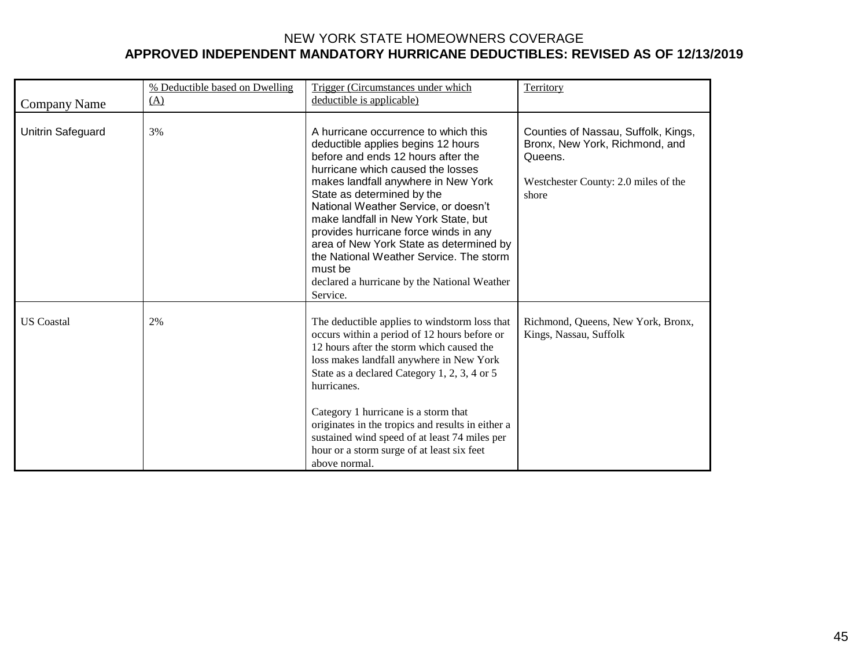| Company Name      | % Deductible based on Dwelling<br>(A) | Trigger (Circumstances under which<br>deductible is applicable)                                                                                                                                                                                                                                                                                                                                                                                                                                                  | Territory                                                                                                                         |
|-------------------|---------------------------------------|------------------------------------------------------------------------------------------------------------------------------------------------------------------------------------------------------------------------------------------------------------------------------------------------------------------------------------------------------------------------------------------------------------------------------------------------------------------------------------------------------------------|-----------------------------------------------------------------------------------------------------------------------------------|
| Unitrin Safeguard | 3%                                    | A hurricane occurrence to which this<br>deductible applies begins 12 hours<br>before and ends 12 hours after the<br>hurricane which caused the losses<br>makes landfall anywhere in New York<br>State as determined by the<br>National Weather Service, or doesn't<br>make landfall in New York State, but<br>provides hurricane force winds in any<br>area of New York State as determined by<br>the National Weather Service. The storm<br>must be<br>declared a hurricane by the National Weather<br>Service. | Counties of Nassau, Suffolk, Kings,<br>Bronx, New York, Richmond, and<br>Queens.<br>Westchester County: 2.0 miles of the<br>shore |
| <b>US</b> Coastal | 2%                                    | The deductible applies to windstorm loss that<br>occurs within a period of 12 hours before or<br>12 hours after the storm which caused the<br>loss makes landfall anywhere in New York<br>State as a declared Category 1, 2, 3, 4 or 5<br>hurricanes.<br>Category 1 hurricane is a storm that<br>originates in the tropics and results in either a<br>sustained wind speed of at least 74 miles per<br>hour or a storm surge of at least six feet<br>above normal.                                               | Richmond, Queens, New York, Bronx,<br>Kings, Nassau, Suffolk                                                                      |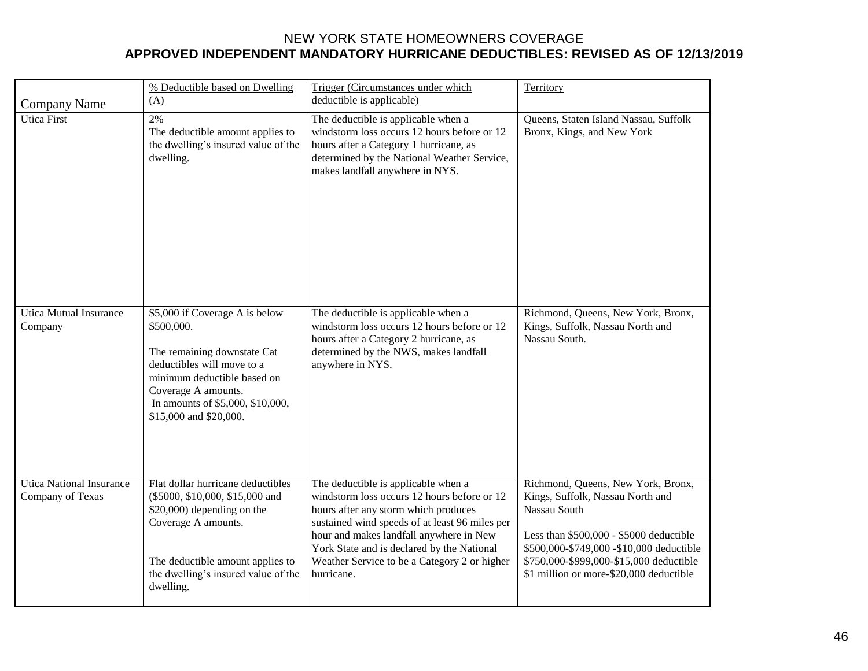|                                                     | % Deductible based on Dwelling<br>(A)                                                                                                                                                                                         | Trigger (Circumstances under which<br>deductible is applicable)                                                                                                                                                                                                                                                                     | Territory                                                                                                                                                                                                                                                           |
|-----------------------------------------------------|-------------------------------------------------------------------------------------------------------------------------------------------------------------------------------------------------------------------------------|-------------------------------------------------------------------------------------------------------------------------------------------------------------------------------------------------------------------------------------------------------------------------------------------------------------------------------------|---------------------------------------------------------------------------------------------------------------------------------------------------------------------------------------------------------------------------------------------------------------------|
| <b>Company Name</b><br><b>Utica First</b>           | 2%<br>The deductible amount applies to<br>the dwelling's insured value of the<br>dwelling.                                                                                                                                    | The deductible is applicable when a<br>windstorm loss occurs 12 hours before or 12<br>hours after a Category 1 hurricane, as<br>determined by the National Weather Service,<br>makes landfall anywhere in NYS.                                                                                                                      | Queens, Staten Island Nassau, Suffolk<br>Bronx, Kings, and New York                                                                                                                                                                                                 |
| <b>Utica Mutual Insurance</b><br>Company            | \$5,000 if Coverage A is below<br>\$500,000.<br>The remaining downstate Cat<br>deductibles will move to a<br>minimum deductible based on<br>Coverage A amounts.<br>In amounts of \$5,000, \$10,000,<br>\$15,000 and \$20,000. | The deductible is applicable when a<br>windstorm loss occurs 12 hours before or 12<br>hours after a Category 2 hurricane, as<br>determined by the NWS, makes landfall<br>anywhere in NYS.                                                                                                                                           | Richmond, Queens, New York, Bronx,<br>Kings, Suffolk, Nassau North and<br>Nassau South.                                                                                                                                                                             |
| <b>Utica National Insurance</b><br>Company of Texas | Flat dollar hurricane deductibles<br>(\$5000, \$10,000, \$15,000 and<br>\$20,000) depending on the<br>Coverage A amounts.<br>The deductible amount applies to<br>the dwelling's insured value of the<br>dwelling.             | The deductible is applicable when a<br>windstorm loss occurs 12 hours before or 12<br>hours after any storm which produces<br>sustained wind speeds of at least 96 miles per<br>hour and makes landfall anywhere in New<br>York State and is declared by the National<br>Weather Service to be a Category 2 or higher<br>hurricane. | Richmond, Queens, New York, Bronx,<br>Kings, Suffolk, Nassau North and<br>Nassau South<br>Less than $$500,000 - $5000$ deductible<br>\$500,000-\$749,000 -\$10,000 deductible<br>\$750,000-\$999,000-\$15,000 deductible<br>\$1 million or more-\$20,000 deductible |